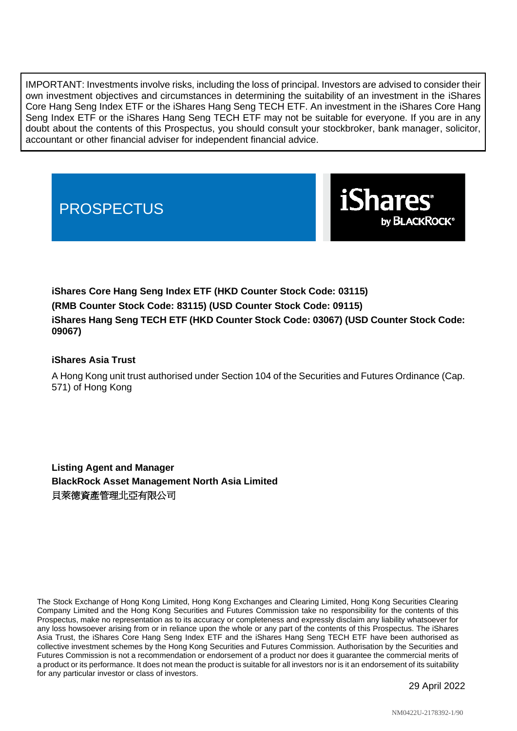IMPORTANT: Investments involve risks, including the loss of principal. Investors are advised to consider their own investment objectives and circumstances in determining the suitability of an investment in the iShares Core Hang Seng Index ETF or the iShares Hang Seng TECH ETF. An investment in the iShares Core Hang Seng Index ETF or the iShares Hang Seng TECH ETF may not be suitable for everyone. If you are in any doubt about the contents of this Prospectus, you should consult your stockbroker, bank manager, solicitor, accountant or other financial adviser for independent financial advice.

# **PROSPECTUS**



**iShares Core Hang Seng Index ETF (HKD Counter Stock Code: 03115) (RMB Counter Stock Code: 83115) (USD Counter Stock Code: 09115) iShares Hang Seng TECH ETF (HKD Counter Stock Code: 03067) (USD Counter Stock Code: 09067)**

# **iShares Asia Trust**

A Hong Kong unit trust authorised under Section 104 of the Securities and Futures Ordinance (Cap. 571) of Hong Kong

**Listing Agent and Manager BlackRock Asset Management North Asia Limited** 貝萊德資產管理北亞有限公司

The Stock Exchange of Hong Kong Limited, Hong Kong Exchanges and Clearing Limited, Hong Kong Securities Clearing Company Limited and the Hong Kong Securities and Futures Commission take no responsibility for the contents of this Prospectus, make no representation as to its accuracy or completeness and expressly disclaim any liability whatsoever for any loss howsoever arising from or in reliance upon the whole or any part of the contents of this Prospectus. The iShares Asia Trust, the iShares Core Hang Seng Index ETF and the iShares Hang Seng TECH ETF have been authorised as collective investment schemes by the Hong Kong Securities and Futures Commission. Authorisation by the Securities and Futures Commission is not a recommendation or endorsement of a product nor does it guarantee the commercial merits of a product or its performance. It does not mean the product is suitable for all investors nor is it an endorsement of its suitability for any particular investor or class of investors.

29 April 2022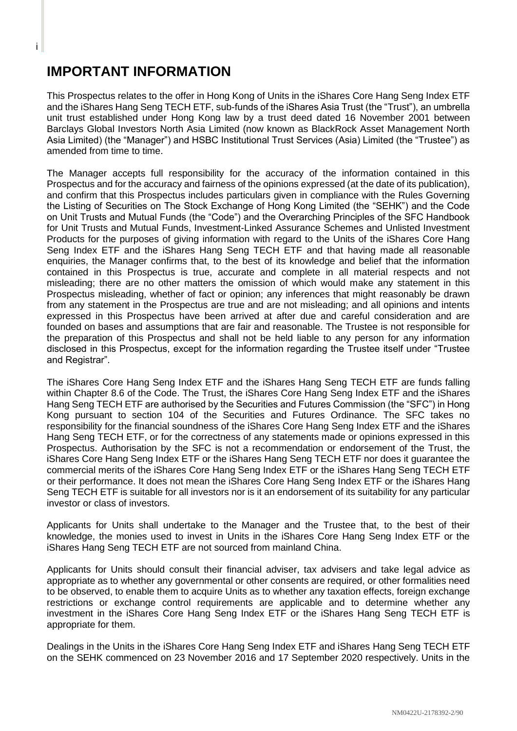# **IMPORTANT INFORMATION**

i

This Prospectus relates to the offer in Hong Kong of Units in the iShares Core Hang Seng Index ETF and the iShares Hang Seng TECH ETF, sub-funds of the iShares Asia Trust (the "Trust"), an umbrella unit trust established under Hong Kong law by a trust deed dated 16 November 2001 between Barclays Global Investors North Asia Limited (now known as BlackRock Asset Management North Asia Limited) (the "Manager") and HSBC Institutional Trust Services (Asia) Limited (the "Trustee") as amended from time to time.

The Manager accepts full responsibility for the accuracy of the information contained in this Prospectus and for the accuracy and fairness of the opinions expressed (at the date of its publication), and confirm that this Prospectus includes particulars given in compliance with the Rules Governing the Listing of Securities on The Stock Exchange of Hong Kong Limited (the "SEHK") and the Code on Unit Trusts and Mutual Funds (the "Code") and the Overarching Principles of the SFC Handbook for Unit Trusts and Mutual Funds, Investment-Linked Assurance Schemes and Unlisted Investment Products for the purposes of giving information with regard to the Units of the iShares Core Hang Seng Index ETF and the iShares Hang Seng TECH ETF and that having made all reasonable enquiries, the Manager confirms that, to the best of its knowledge and belief that the information contained in this Prospectus is true, accurate and complete in all material respects and not misleading; there are no other matters the omission of which would make any statement in this Prospectus misleading, whether of fact or opinion; any inferences that might reasonably be drawn from any statement in the Prospectus are true and are not misleading; and all opinions and intents expressed in this Prospectus have been arrived at after due and careful consideration and are founded on bases and assumptions that are fair and reasonable. The Trustee is not responsible for the preparation of this Prospectus and shall not be held liable to any person for any information disclosed in this Prospectus, except for the information regarding the Trustee itself under "Trustee and Registrar".

The iShares Core Hang Seng Index ETF and the iShares Hang Seng TECH ETF are funds falling within Chapter 8.6 of the Code. The Trust, the iShares Core Hang Seng Index ETF and the iShares Hang Seng TECH ETF are authorised by the Securities and Futures Commission (the "SFC") in Hong Kong pursuant to section 104 of the Securities and Futures Ordinance. The SFC takes no responsibility for the financial soundness of the iShares Core Hang Seng Index ETF and the iShares Hang Seng TECH ETF, or for the correctness of any statements made or opinions expressed in this Prospectus. Authorisation by the SFC is not a recommendation or endorsement of the Trust, the iShares Core Hang Seng Index ETF or the iShares Hang Seng TECH ETF nor does it guarantee the commercial merits of the iShares Core Hang Seng Index ETF or the iShares Hang Seng TECH ETF or their performance. It does not mean the iShares Core Hang Seng Index ETF or the iShares Hang Seng TECH ETF is suitable for all investors nor is it an endorsement of its suitability for any particular investor or class of investors.

Applicants for Units shall undertake to the Manager and the Trustee that, to the best of their knowledge, the monies used to invest in Units in the iShares Core Hang Seng Index ETF or the iShares Hang Seng TECH ETF are not sourced from mainland China.

Applicants for Units should consult their financial adviser, tax advisers and take legal advice as appropriate as to whether any governmental or other consents are required, or other formalities need to be observed, to enable them to acquire Units as to whether any taxation effects, foreign exchange restrictions or exchange control requirements are applicable and to determine whether any investment in the iShares Core Hang Seng Index ETF or the iShares Hang Seng TECH ETF is appropriate for them.

Dealings in the Units in the iShares Core Hang Seng Index ETF and iShares Hang Seng TECH ETF on the SEHK commenced on 23 November 2016 and 17 September 2020 respectively. Units in the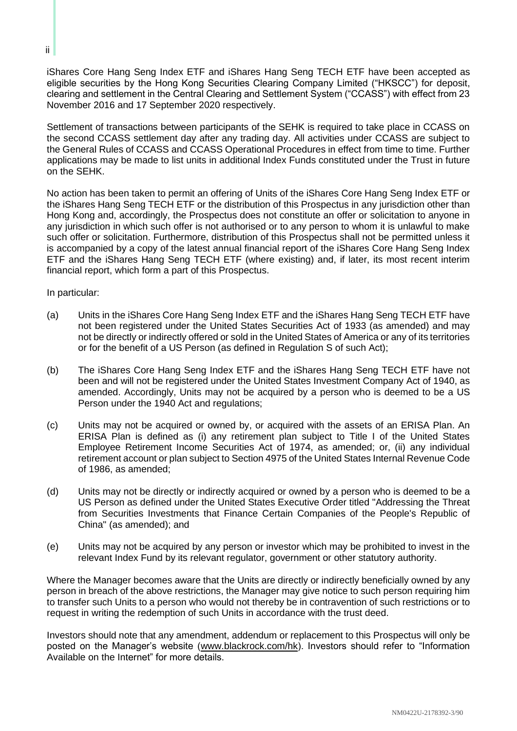iShares Core Hang Seng Index ETF and iShares Hang Seng TECH ETF have been accepted as eligible securities by the Hong Kong Securities Clearing Company Limited ("HKSCC") for deposit, clearing and settlement in the Central Clearing and Settlement System ("CCASS") with effect from 23 November 2016 and 17 September 2020 respectively.

Settlement of transactions between participants of the SEHK is required to take place in CCASS on the second CCASS settlement day after any trading day. All activities under CCASS are subject to the General Rules of CCASS and CCASS Operational Procedures in effect from time to time. Further applications may be made to list units in additional Index Funds constituted under the Trust in future on the SEHK.

No action has been taken to permit an offering of Units of the iShares Core Hang Seng Index ETF or the iShares Hang Seng TECH ETF or the distribution of this Prospectus in any jurisdiction other than Hong Kong and, accordingly, the Prospectus does not constitute an offer or solicitation to anyone in any jurisdiction in which such offer is not authorised or to any person to whom it is unlawful to make such offer or solicitation. Furthermore, distribution of this Prospectus shall not be permitted unless it is accompanied by a copy of the latest annual financial report of the iShares Core Hang Seng Index ETF and the iShares Hang Seng TECH ETF (where existing) and, if later, its most recent interim financial report, which form a part of this Prospectus.

In particular:

- (a) Units in the iShares Core Hang Seng Index ETF and the iShares Hang Seng TECH ETF have not been registered under the United States Securities Act of 1933 (as amended) and may not be directly or indirectly offered or sold in the United States of America or any of its territories or for the benefit of a US Person (as defined in Regulation S of such Act);
- (b) The iShares Core Hang Seng Index ETF and the iShares Hang Seng TECH ETF have not been and will not be registered under the United States Investment Company Act of 1940, as amended. Accordingly, Units may not be acquired by a person who is deemed to be a US Person under the 1940 Act and regulations;
- (c) Units may not be acquired or owned by, or acquired with the assets of an ERISA Plan. An ERISA Plan is defined as (i) any retirement plan subject to Title I of the United States Employee Retirement Income Securities Act of 1974, as amended; or, (ii) any individual retirement account or plan subject to Section 4975 of the United States Internal Revenue Code of 1986, as amended;
- (d) Units may not be directly or indirectly acquired or owned by a person who is deemed to be a US Person as defined under the United States Executive Order titled "Addressing the Threat from Securities Investments that Finance Certain Companies of the People's Republic of China" (as amended); and
- (e) Units may not be acquired by any person or investor which may be prohibited to invest in the relevant Index Fund by its relevant regulator, government or other statutory authority.

Where the Manager becomes aware that the Units are directly or indirectly beneficially owned by any person in breach of the above restrictions, the Manager may give notice to such person requiring him to transfer such Units to a person who would not thereby be in contravention of such restrictions or to request in writing the redemption of such Units in accordance with the trust deed.

Investors should note that any amendment, addendum or replacement to this Prospectus will only be posted on the Manager's website (www.blackrock.com/hk). Investors should refer to "Information Available on the Internet" for more details.

ii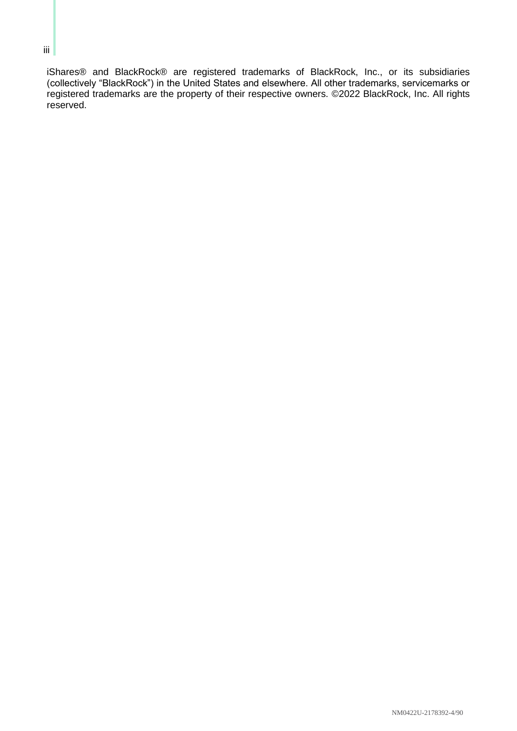# iShares® and BlackRock® are registered trademarks of BlackRock, Inc., or its subsidiaries (collectively "BlackRock") in the United States and elsewhere. All other trademarks, servicemarks or registered trademarks are the property of their respective owners. ©2022 BlackRock, Inc. All rights reserved.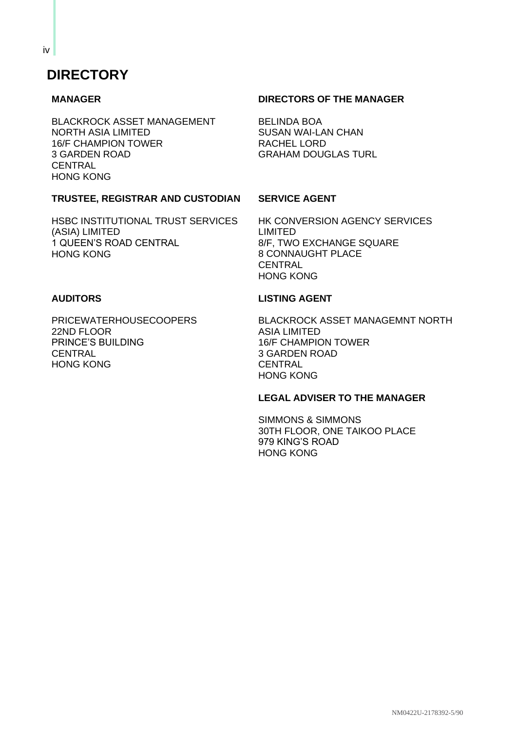# **DIRECTORY**

## **MANAGER**

BLACKROCK ASSET MANAGEMENT NORTH ASIA LIMITED 16/F CHAMPION TOWER 3 GARDEN ROAD CENTRAL HONG KONG

# **DIRECTORS OF THE MANAGER**

BELINDA BOA SUSAN WAI-LAN CHAN RACHEL LORD GRAHAM DOUGLAS TURL

# **TRUSTEE, REGISTRAR AND CUSTODIAN**

HSBC INSTITUTIONAL TRUST SERVICES (ASIA) LIMITED 1 QUEEN'S ROAD CENTRAL HONG KONG

## **SERVICE AGENT**

HK CONVERSION AGENCY SERVICES LIMITED 8/F, TWO EXCHANGE SQUARE 8 CONNAUGHT PLACE **CENTRAL** HONG KONG

### **AUDITORS**

PRICEWATERHOUSECOOPERS 22ND FLOOR PRINCE'S BUILDING **CENTRAL** HONG KONG

#### **LISTING AGENT**

BLACKROCK ASSET MANAGEMNT NORTH ASIA LIMITED 16/F CHAMPION TOWER 3 GARDEN ROAD **CENTRAL** HONG KONG

#### **LEGAL ADVISER TO THE MANAGER**

SIMMONS & SIMMONS 30TH FLOOR, ONE TAIKOO PLACE 979 KING'S ROAD HONG KONG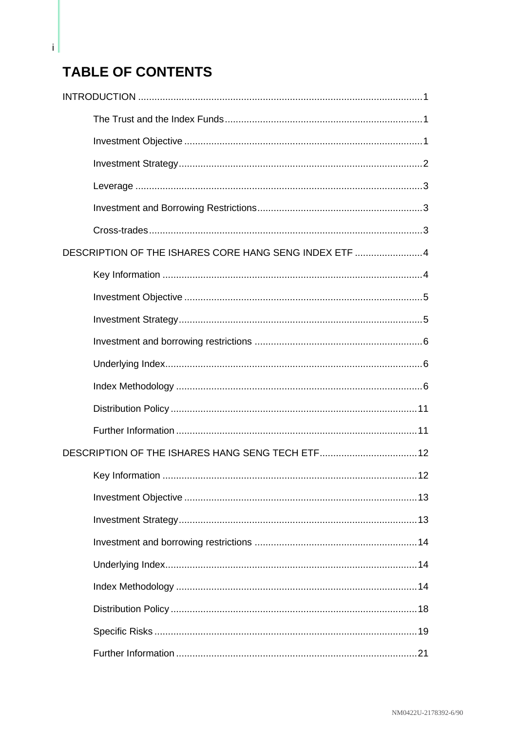# **TABLE OF CONTENTS**

 $\mathbf{i}$ 

| DESCRIPTION OF THE ISHARES CORE HANG SENG INDEX ETF 4 |  |
|-------------------------------------------------------|--|
|                                                       |  |
|                                                       |  |
|                                                       |  |
|                                                       |  |
|                                                       |  |
|                                                       |  |
|                                                       |  |
|                                                       |  |
|                                                       |  |
|                                                       |  |
|                                                       |  |
|                                                       |  |
|                                                       |  |
|                                                       |  |
|                                                       |  |
|                                                       |  |
|                                                       |  |
|                                                       |  |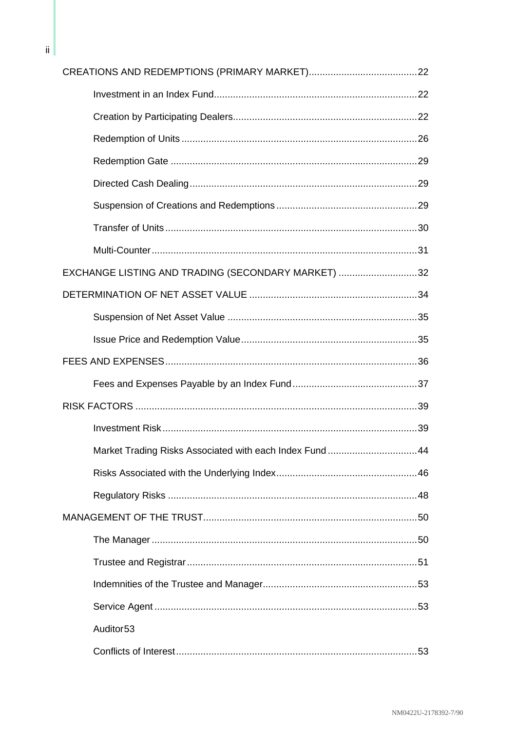| EXCHANGE LISTING AND TRADING (SECONDARY MARKET) 32     |  |
|--------------------------------------------------------|--|
|                                                        |  |
|                                                        |  |
|                                                        |  |
|                                                        |  |
|                                                        |  |
|                                                        |  |
|                                                        |  |
| Market Trading Risks Associated with each Index Fund44 |  |
|                                                        |  |
|                                                        |  |
|                                                        |  |
|                                                        |  |
|                                                        |  |
|                                                        |  |
|                                                        |  |
| Auditor <sub>53</sub>                                  |  |
|                                                        |  |

 $\mathsf{ii}$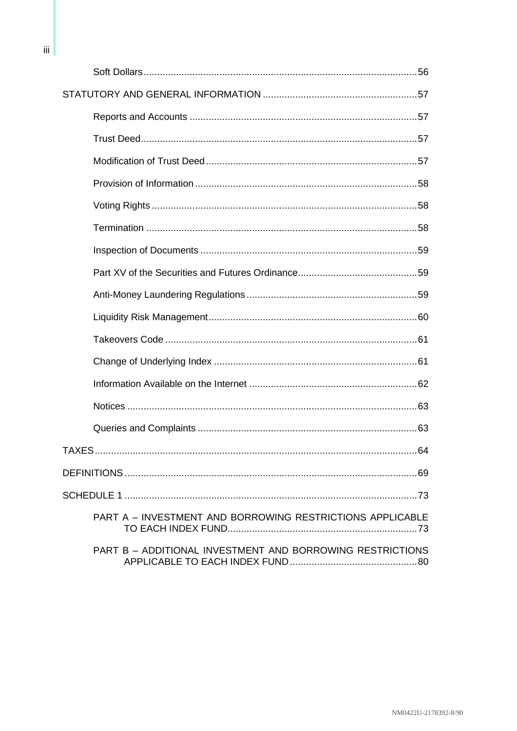| TAXES.<br>64                                                     |
|------------------------------------------------------------------|
|                                                                  |
|                                                                  |
| <b>PART A - INVESTMENT AND BORROWING RESTRICTIONS APPLICABLE</b> |
| PART B - ADDITIONAL INVESTMENT AND BORROWING RESTRICTIONS        |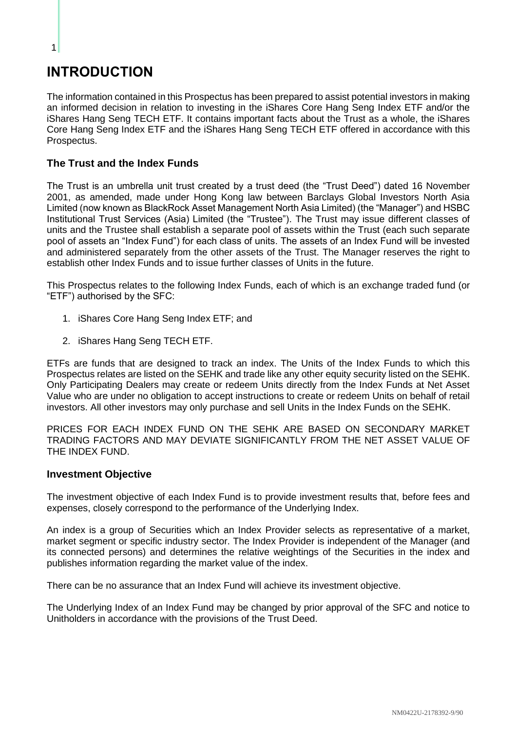# <span id="page-8-0"></span>**INTRODUCTION**

1

The information contained in this Prospectus has been prepared to assist potential investors in making an informed decision in relation to investing in the iShares Core Hang Seng Index ETF and/or the iShares Hang Seng TECH ETF. It contains important facts about the Trust as a whole, the iShares Core Hang Seng Index ETF and the iShares Hang Seng TECH ETF offered in accordance with this Prospectus.

# <span id="page-8-1"></span>**The Trust and the Index Funds**

The Trust is an umbrella unit trust created by a trust deed (the "Trust Deed") dated 16 November 2001, as amended, made under Hong Kong law between Barclays Global Investors North Asia Limited (now known as BlackRock Asset Management North Asia Limited) (the "Manager") and HSBC Institutional Trust Services (Asia) Limited (the "Trustee"). The Trust may issue different classes of units and the Trustee shall establish a separate pool of assets within the Trust (each such separate pool of assets an "Index Fund") for each class of units. The assets of an Index Fund will be invested and administered separately from the other assets of the Trust. The Manager reserves the right to establish other Index Funds and to issue further classes of Units in the future.

This Prospectus relates to the following Index Funds, each of which is an exchange traded fund (or "ETF") authorised by the SFC:

- 1. iShares Core Hang Seng Index ETF; and
- 2. iShares Hang Seng TECH ETF.

ETFs are funds that are designed to track an index. The Units of the Index Funds to which this Prospectus relates are listed on the SEHK and trade like any other equity security listed on the SEHK. Only Participating Dealers may create or redeem Units directly from the Index Funds at Net Asset Value who are under no obligation to accept instructions to create or redeem Units on behalf of retail investors. All other investors may only purchase and sell Units in the Index Funds on the SEHK.

PRICES FOR EACH INDEX FUND ON THE SEHK ARE BASED ON SECONDARY MARKET TRADING FACTORS AND MAY DEVIATE SIGNIFICANTLY FROM THE NET ASSET VALUE OF THE INDEX FUND.

## <span id="page-8-2"></span>**Investment Objective**

The investment objective of each Index Fund is to provide investment results that, before fees and expenses, closely correspond to the performance of the Underlying Index.

An index is a group of Securities which an Index Provider selects as representative of a market, market segment or specific industry sector. The Index Provider is independent of the Manager (and its connected persons) and determines the relative weightings of the Securities in the index and publishes information regarding the market value of the index.

There can be no assurance that an Index Fund will achieve its investment objective.

The Underlying Index of an Index Fund may be changed by prior approval of the SFC and notice to Unitholders in accordance with the provisions of the Trust Deed.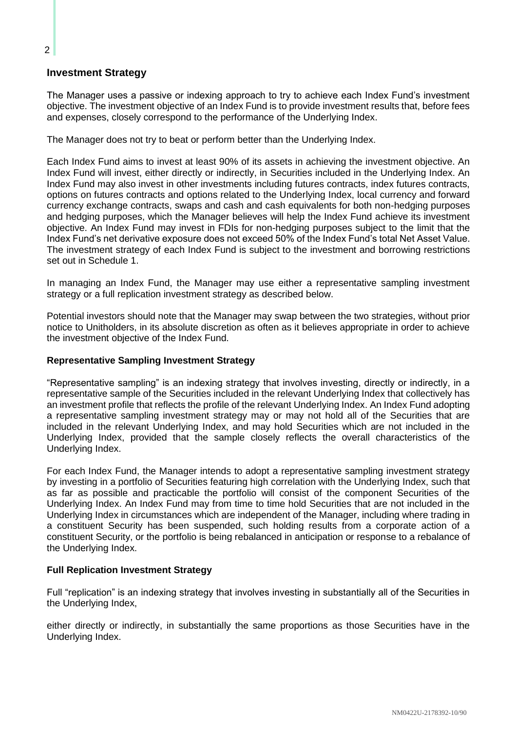# <span id="page-9-0"></span>**Investment Strategy**

The Manager uses a passive or indexing approach to try to achieve each Index Fund's investment objective. The investment objective of an Index Fund is to provide investment results that, before fees and expenses, closely correspond to the performance of the Underlying Index.

The Manager does not try to beat or perform better than the Underlying Index.

Each Index Fund aims to invest at least 90% of its assets in achieving the investment objective. An Index Fund will invest, either directly or indirectly, in Securities included in the Underlying Index. An Index Fund may also invest in other investments including futures contracts, index futures contracts, options on futures contracts and options related to the Underlying Index, local currency and forward currency exchange contracts, swaps and cash and cash equivalents for both non-hedging purposes and hedging purposes, which the Manager believes will help the Index Fund achieve its investment objective. An Index Fund may invest in FDIs for non-hedging purposes subject to the limit that the Index Fund's net derivative exposure does not exceed 50% of the Index Fund's total Net Asset Value. The investment strategy of each Index Fund is subject to the investment and borrowing restrictions set out in Schedule 1.

In managing an Index Fund, the Manager may use either a representative sampling investment strategy or a full replication investment strategy as described below.

Potential investors should note that the Manager may swap between the two strategies, without prior notice to Unitholders, in its absolute discretion as often as it believes appropriate in order to achieve the investment objective of the Index Fund.

#### **Representative Sampling Investment Strategy**

"Representative sampling" is an indexing strategy that involves investing, directly or indirectly, in a representative sample of the Securities included in the relevant Underlying Index that collectively has an investment profile that reflects the profile of the relevant Underlying Index. An Index Fund adopting a representative sampling investment strategy may or may not hold all of the Securities that are included in the relevant Underlying Index, and may hold Securities which are not included in the Underlying Index, provided that the sample closely reflects the overall characteristics of the Underlying Index.

For each Index Fund, the Manager intends to adopt a representative sampling investment strategy by investing in a portfolio of Securities featuring high correlation with the Underlying Index, such that as far as possible and practicable the portfolio will consist of the component Securities of the Underlying Index. An Index Fund may from time to time hold Securities that are not included in the Underlying Index in circumstances which are independent of the Manager, including where trading in a constituent Security has been suspended, such holding results from a corporate action of a constituent Security, or the portfolio is being rebalanced in anticipation or response to a rebalance of the Underlying Index.

#### **Full Replication Investment Strategy**

Full "replication" is an indexing strategy that involves investing in substantially all of the Securities in the Underlying Index,

either directly or indirectly, in substantially the same proportions as those Securities have in the Underlying Index.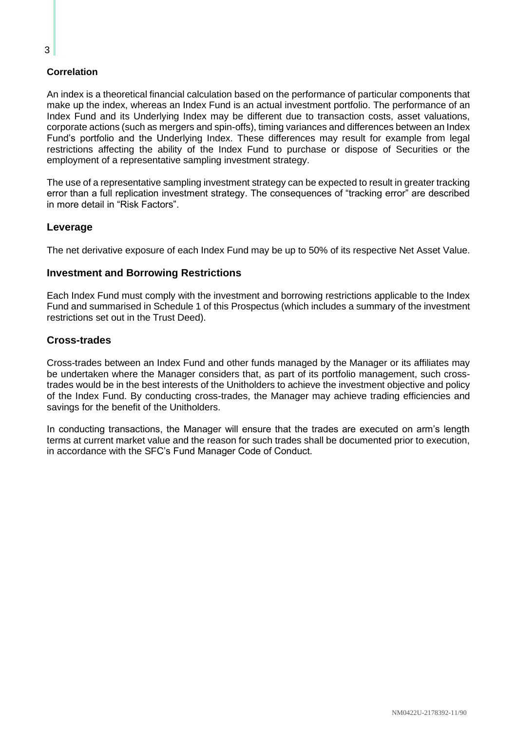## **Correlation**

An index is a theoretical financial calculation based on the performance of particular components that make up the index, whereas an Index Fund is an actual investment portfolio. The performance of an Index Fund and its Underlying Index may be different due to transaction costs, asset valuations, corporate actions (such as mergers and spin-offs), timing variances and differences between an Index Fund's portfolio and the Underlying Index. These differences may result for example from legal restrictions affecting the ability of the Index Fund to purchase or dispose of Securities or the employment of a representative sampling investment strategy.

The use of a representative sampling investment strategy can be expected to result in greater tracking error than a full replication investment strategy. The consequences of "tracking error" are described in more detail in "Risk Factors".

# <span id="page-10-0"></span>**Leverage**

The net derivative exposure of each Index Fund may be up to 50% of its respective Net Asset Value.

## <span id="page-10-1"></span>**Investment and Borrowing Restrictions**

Each Index Fund must comply with the investment and borrowing restrictions applicable to the Index Fund and summarised in Schedule 1 of this Prospectus (which includes a summary of the investment restrictions set out in the Trust Deed).

## <span id="page-10-2"></span>**Cross-trades**

Cross-trades between an Index Fund and other funds managed by the Manager or its affiliates may be undertaken where the Manager considers that, as part of its portfolio management, such crosstrades would be in the best interests of the Unitholders to achieve the investment objective and policy of the Index Fund. By conducting cross-trades, the Manager may achieve trading efficiencies and savings for the benefit of the Unitholders.

In conducting transactions, the Manager will ensure that the trades are executed on arm's length terms at current market value and the reason for such trades shall be documented prior to execution, in accordance with the SFC's Fund Manager Code of Conduct.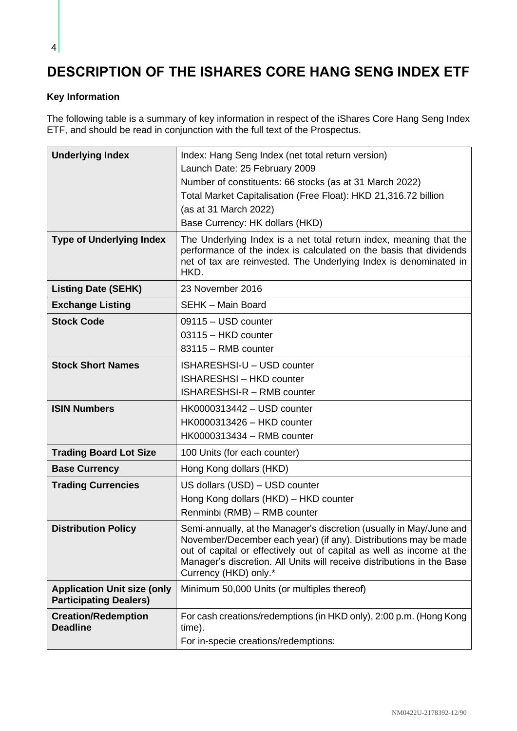# <span id="page-11-0"></span>**DESCRIPTION OF THE ISHARES CORE HANG SENG INDEX ETF**

# <span id="page-11-1"></span>**Key Information**

The following table is a summary of key information in respect of the iShares Core Hang Seng Index ETF, and should be read in conjunction with the full text of the Prospectus.

| <b>Underlying Index</b>                                             | Index: Hang Seng Index (net total return version)<br>Launch Date: 25 February 2009<br>Number of constituents: 66 stocks (as at 31 March 2022)<br>Total Market Capitalisation (Free Float): HKD 21,316.72 billion<br>(as at 31 March 2022)<br>Base Currency: HK dollars (HKD)                                        |
|---------------------------------------------------------------------|---------------------------------------------------------------------------------------------------------------------------------------------------------------------------------------------------------------------------------------------------------------------------------------------------------------------|
| <b>Type of Underlying Index</b>                                     | The Underlying Index is a net total return index, meaning that the<br>performance of the index is calculated on the basis that dividends<br>net of tax are reinvested. The Underlying Index is denominated in<br>HKD.                                                                                               |
| <b>Listing Date (SEHK)</b>                                          | 23 November 2016                                                                                                                                                                                                                                                                                                    |
| <b>Exchange Listing</b>                                             | <b>SEHK - Main Board</b>                                                                                                                                                                                                                                                                                            |
| <b>Stock Code</b>                                                   | 09115 - USD counter<br>03115 - HKD counter<br>83115 - RMB counter                                                                                                                                                                                                                                                   |
| <b>Stock Short Names</b>                                            | ISHARESHSI-U - USD counter<br><b>ISHARESHSI-HKD counter</b><br><b>ISHARESHSI-R - RMB counter</b>                                                                                                                                                                                                                    |
| <b>ISIN Numbers</b>                                                 | HK0000313442 - USD counter<br>HK0000313426 - HKD counter<br>HK0000313434 - RMB counter                                                                                                                                                                                                                              |
| <b>Trading Board Lot Size</b>                                       | 100 Units (for each counter)                                                                                                                                                                                                                                                                                        |
| <b>Base Currency</b>                                                | Hong Kong dollars (HKD)                                                                                                                                                                                                                                                                                             |
| <b>Trading Currencies</b>                                           | US dollars (USD) - USD counter<br>Hong Kong dollars (HKD) - HKD counter<br>Renminbi (RMB) - RMB counter                                                                                                                                                                                                             |
| <b>Distribution Policy</b>                                          | Semi-annually, at the Manager's discretion (usually in May/June and<br>November/December each year) (if any). Distributions may be made<br>out of capital or effectively out of capital as well as income at the<br>Manager's discretion. All Units will receive distributions in the Base<br>Currency (HKD) only.* |
| <b>Application Unit size (only</b><br><b>Participating Dealers)</b> | Minimum 50,000 Units (or multiples thereof)                                                                                                                                                                                                                                                                         |
| <b>Creation/Redemption</b><br><b>Deadline</b>                       | For cash creations/redemptions (in HKD only), 2:00 p.m. (Hong Kong<br>time).<br>For in-specie creations/redemptions:                                                                                                                                                                                                |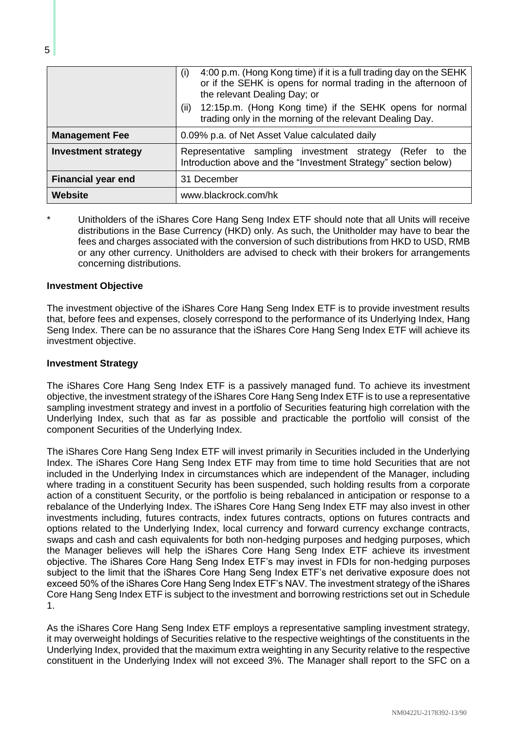|                            | 4:00 p.m. (Hong Kong time) if it is a full trading day on the SEHK<br>(i)<br>or if the SEHK is opens for normal trading in the afternoon of<br>the relevant Dealing Day; or<br>12:15p.m. (Hong Kong time) if the SEHK opens for normal<br>(ii)<br>trading only in the morning of the relevant Dealing Day. |
|----------------------------|------------------------------------------------------------------------------------------------------------------------------------------------------------------------------------------------------------------------------------------------------------------------------------------------------------|
|                            |                                                                                                                                                                                                                                                                                                            |
| <b>Management Fee</b>      | 0.09% p.a. of Net Asset Value calculated daily                                                                                                                                                                                                                                                             |
| <b>Investment strategy</b> | Representative sampling investment strategy (Refer to the<br>Introduction above and the "Investment Strategy" section below)                                                                                                                                                                               |
| <b>Financial year end</b>  | 31 December                                                                                                                                                                                                                                                                                                |
| <b>Website</b>             | www.blackrock.com/hk                                                                                                                                                                                                                                                                                       |

Unitholders of the iShares Core Hang Seng Index ETF should note that all Units will receive distributions in the Base Currency (HKD) only. As such, the Unitholder may have to bear the fees and charges associated with the conversion of such distributions from HKD to USD, RMB or any other currency. Unitholders are advised to check with their brokers for arrangements concerning distributions.

#### <span id="page-12-0"></span>**Investment Objective**

The investment objective of the iShares Core Hang Seng Index ETF is to provide investment results that, before fees and expenses, closely correspond to the performance of its Underlying Index, Hang Seng Index. There can be no assurance that the iShares Core Hang Seng Index ETF will achieve its investment objective.

#### <span id="page-12-1"></span>**Investment Strategy**

The iShares Core Hang Seng Index ETF is a passively managed fund. To achieve its investment objective, the investment strategy of the iShares Core Hang Seng Index ETF is to use a representative sampling investment strategy and invest in a portfolio of Securities featuring high correlation with the Underlying Index, such that as far as possible and practicable the portfolio will consist of the component Securities of the Underlying Index.

The iShares Core Hang Seng Index ETF will invest primarily in Securities included in the Underlying Index. The iShares Core Hang Seng Index ETF may from time to time hold Securities that are not included in the Underlying Index in circumstances which are independent of the Manager, including where trading in a constituent Security has been suspended, such holding results from a corporate action of a constituent Security, or the portfolio is being rebalanced in anticipation or response to a rebalance of the Underlying Index. The iShares Core Hang Seng Index ETF may also invest in other investments including, futures contracts, index futures contracts, options on futures contracts and options related to the Underlying Index, local currency and forward currency exchange contracts, swaps and cash and cash equivalents for both non-hedging purposes and hedging purposes, which the Manager believes will help the iShares Core Hang Seng Index ETF achieve its investment objective. The iShares Core Hang Seng Index ETF's may invest in FDIs for non-hedging purposes subject to the limit that the iShares Core Hang Seng Index ETF's net derivative exposure does not exceed 50% of the iShares Core Hang Seng Index ETF's NAV. The investment strategy of the iShares Core Hang Seng Index ETF is subject to the investment and borrowing restrictions set out in Schedule 1.

As the iShares Core Hang Seng Index ETF employs a representative sampling investment strategy, it may overweight holdings of Securities relative to the respective weightings of the constituents in the Underlying Index, provided that the maximum extra weighting in any Security relative to the respective constituent in the Underlying Index will not exceed 3%. The Manager shall report to the SFC on a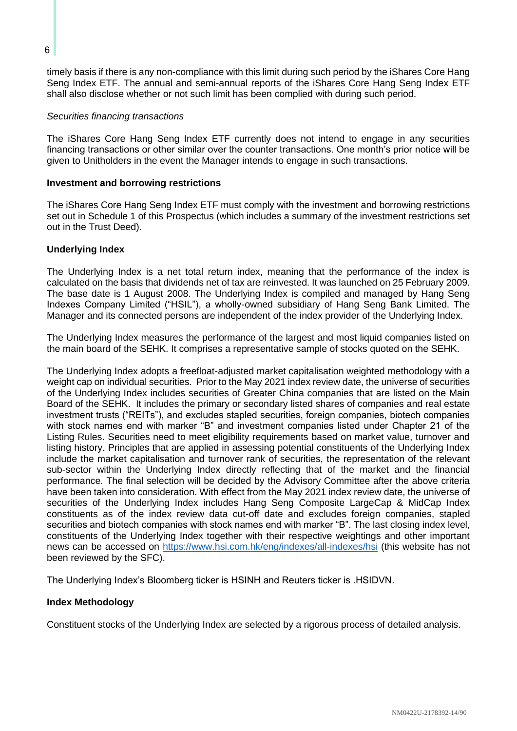timely basis if there is any non-compliance with this limit during such period by the iShares Core Hang Seng Index ETF. The annual and semi-annual reports of the iShares Core Hang Seng Index ETF shall also disclose whether or not such limit has been complied with during such period.

#### *Securities financing transactions*

The iShares Core Hang Seng Index ETF currently does not intend to engage in any securities financing transactions or other similar over the counter transactions. One month's prior notice will be given to Unitholders in the event the Manager intends to engage in such transactions.

### <span id="page-13-0"></span>**Investment and borrowing restrictions**

The iShares Core Hang Seng Index ETF must comply with the investment and borrowing restrictions set out in Schedule 1 of this Prospectus (which includes a summary of the investment restrictions set out in the Trust Deed).

## <span id="page-13-1"></span>**Underlying Index**

The Underlying Index is a net total return index, meaning that the performance of the index is calculated on the basis that dividends net of tax are reinvested. It was launched on 25 February 2009. The base date is 1 August 2008. The Underlying Index is compiled and managed by Hang Seng Indexes Company Limited ("HSIL"), a wholly-owned subsidiary of Hang Seng Bank Limited. The Manager and its connected persons are independent of the index provider of the Underlying Index.

The Underlying Index measures the performance of the largest and most liquid companies listed on the main board of the SEHK. It comprises a representative sample of stocks quoted on the SEHK.

The Underlying Index adopts a freefloat-adjusted market capitalisation weighted methodology with a weight cap on individual securities. Prior to the May 2021 index review date, the universe of securities of the Underlying Index includes securities of Greater China companies that are listed on the Main Board of the SEHK. It includes the primary or secondary listed shares of companies and real estate investment trusts ("REITs"), and excludes stapled securities, foreign companies, biotech companies with stock names end with marker "B" and investment companies listed under Chapter 21 of the Listing Rules. Securities need to meet eligibility requirements based on market value, turnover and listing history. Principles that are applied in assessing potential constituents of the Underlying Index include the market capitalisation and turnover rank of securities, the representation of the relevant sub-sector within the Underlying Index directly reflecting that of the market and the financial performance. The final selection will be decided by the Advisory Committee after the above criteria have been taken into consideration. With effect from the May 2021 index review date, the universe of securities of the Underlying Index includes Hang Seng Composite LargeCap & MidCap Index constituents as of the index review data cut-off date and excludes foreign companies, stapled securities and biotech companies with stock names end with marker "B". The last closing index level, constituents of the Underlying Index together with their respective weightings and other important news can be accessed on<https://www.hsi.com.hk/eng/indexes/all-indexes/hsi> (this website has not been reviewed by the SFC).

The Underlying Index's Bloomberg ticker is HSINH and Reuters ticker is .HSIDVN.

## <span id="page-13-2"></span>**Index Methodology**

Constituent stocks of the Underlying Index are selected by a rigorous process of detailed analysis.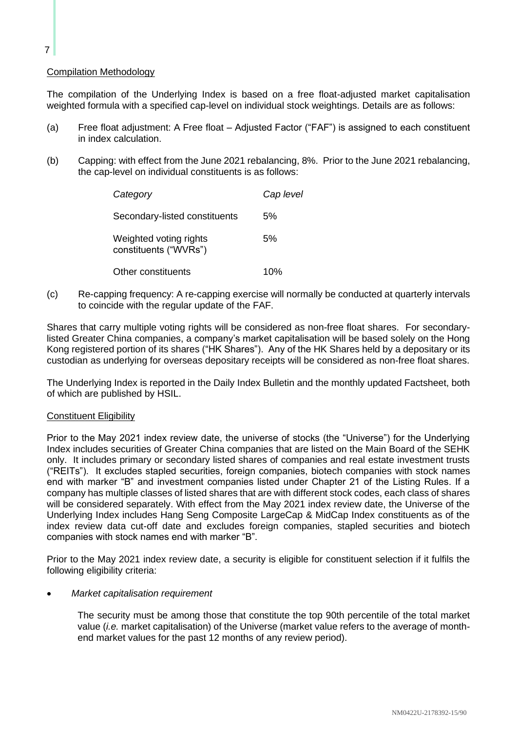## Compilation Methodology

The compilation of the Underlying Index is based on a free float-adjusted market capitalisation weighted formula with a specified cap-level on individual stock weightings. Details are as follows:

- (a) Free float adjustment: A Free float Adjusted Factor ("FAF") is assigned to each constituent in index calculation.
- (b) Capping: with effect from the June 2021 rebalancing, 8%. Prior to the June 2021 rebalancing, the cap-level on individual constituents is as follows:

| Category                                        | Cap level |
|-------------------------------------------------|-----------|
| Secondary-listed constituents                   | .5%       |
| Weighted voting rights<br>constituents ("WVRs") | 5%        |
| Other constituents                              | 10%       |

(c) Re-capping frequency: A re-capping exercise will normally be conducted at quarterly intervals to coincide with the regular update of the FAF.

Shares that carry multiple voting rights will be considered as non-free float shares. For secondarylisted Greater China companies, a company's market capitalisation will be based solely on the Hong Kong registered portion of its shares ("HK Shares"). Any of the HK Shares held by a depositary or its custodian as underlying for overseas depositary receipts will be considered as non-free float shares.

The Underlying Index is reported in the Daily Index Bulletin and the monthly updated Factsheet, both of which are published by HSIL.

#### Constituent Eligibility

Prior to the May 2021 index review date, the universe of stocks (the "Universe") for the Underlying Index includes securities of Greater China companies that are listed on the Main Board of the SEHK only. It includes primary or secondary listed shares of companies and real estate investment trusts ("REITs"). It excludes stapled securities, foreign companies, biotech companies with stock names end with marker "B" and investment companies listed under Chapter 21 of the Listing Rules. If a company has multiple classes of listed shares that are with different stock codes, each class of shares will be considered separately. With effect from the May 2021 index review date, the Universe of the Underlying Index includes Hang Seng Composite LargeCap & MidCap Index constituents as of the index review data cut-off date and excludes foreign companies, stapled securities and biotech companies with stock names end with marker "B".

Prior to the May 2021 index review date, a security is eligible for constituent selection if it fulfils the following eligibility criteria:

#### • *Market capitalisation requirement*

The security must be among those that constitute the top 90th percentile of the total market value (*i.e.* market capitalisation) of the Universe (market value refers to the average of monthend market values for the past 12 months of any review period).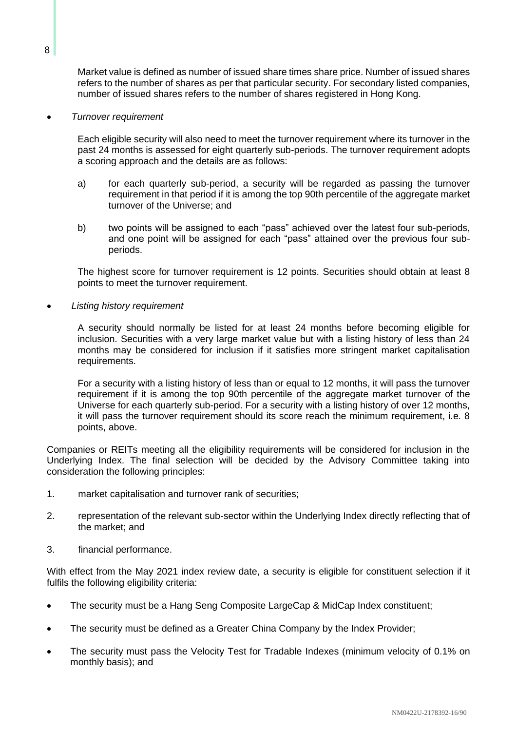Market value is defined as number of issued share times share price. Number of issued shares refers to the number of shares as per that particular security. For secondary listed companies, number of issued shares refers to the number of shares registered in Hong Kong.

• *Turnover requirement*

Each eligible security will also need to meet the turnover requirement where its turnover in the past 24 months is assessed for eight quarterly sub-periods. The turnover requirement adopts a scoring approach and the details are as follows:

- a) for each quarterly sub-period, a security will be regarded as passing the turnover requirement in that period if it is among the top 90th percentile of the aggregate market turnover of the Universe; and
- b) two points will be assigned to each "pass" achieved over the latest four sub-periods, and one point will be assigned for each "pass" attained over the previous four subperiods.

The highest score for turnover requirement is 12 points. Securities should obtain at least 8 points to meet the turnover requirement.

• *Listing history requirement*

A security should normally be listed for at least 24 months before becoming eligible for inclusion. Securities with a very large market value but with a listing history of less than 24 months may be considered for inclusion if it satisfies more stringent market capitalisation requirements.

For a security with a listing history of less than or equal to 12 months, it will pass the turnover requirement if it is among the top 90th percentile of the aggregate market turnover of the Universe for each quarterly sub-period. For a security with a listing history of over 12 months, it will pass the turnover requirement should its score reach the minimum requirement, i.e. 8 points, above.

Companies or REITs meeting all the eligibility requirements will be considered for inclusion in the Underlying Index. The final selection will be decided by the Advisory Committee taking into consideration the following principles:

- 1. market capitalisation and turnover rank of securities;
- 2. representation of the relevant sub-sector within the Underlying Index directly reflecting that of the market; and
- 3. financial performance.

With effect from the May 2021 index review date, a security is eligible for constituent selection if it fulfils the following eligibility criteria:

- The security must be a Hang Seng Composite LargeCap & MidCap Index constituent:
- The security must be defined as a Greater China Company by the Index Provider;
- The security must pass the Velocity Test for Tradable Indexes (minimum velocity of 0.1% on monthly basis); and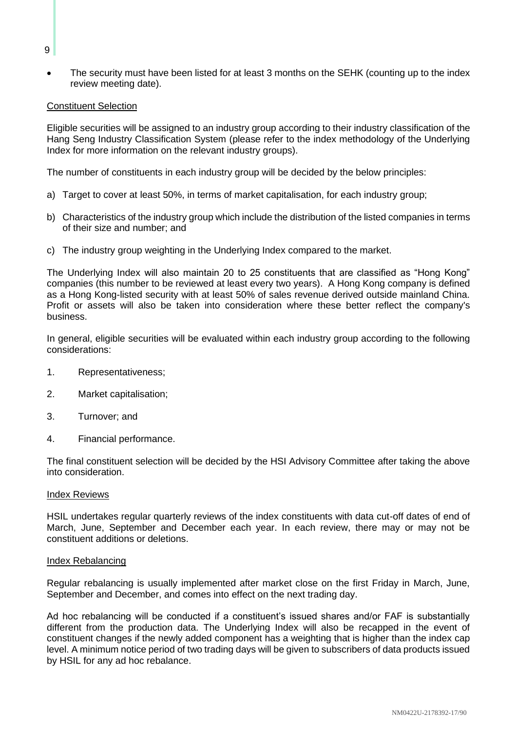The security must have been listed for at least 3 months on the SEHK (counting up to the index review meeting date).

### Constituent Selection

Eligible securities will be assigned to an industry group according to their industry classification of the Hang Seng Industry Classification System (please refer to the index methodology of the Underlying Index for more information on the relevant industry groups).

The number of constituents in each industry group will be decided by the below principles:

- a) Target to cover at least 50%, in terms of market capitalisation, for each industry group;
- b) Characteristics of the industry group which include the distribution of the listed companies in terms of their size and number; and
- c) The industry group weighting in the Underlying Index compared to the market.

The Underlying Index will also maintain 20 to 25 constituents that are classified as "Hong Kong" companies (this number to be reviewed at least every two years). A Hong Kong company is defined as a Hong Kong-listed security with at least 50% of sales revenue derived outside mainland China. Profit or assets will also be taken into consideration where these better reflect the company's business.

In general, eligible securities will be evaluated within each industry group according to the following considerations:

- 1. Representativeness;
- 2. Market capitalisation;
- 3. Turnover; and
- 4. Financial performance.

The final constituent selection will be decided by the HSI Advisory Committee after taking the above into consideration.

#### Index Reviews

HSIL undertakes regular quarterly reviews of the index constituents with data cut-off dates of end of March, June, September and December each year. In each review, there may or may not be constituent additions or deletions.

#### Index Rebalancing

Regular rebalancing is usually implemented after market close on the first Friday in March, June, September and December, and comes into effect on the next trading day.

Ad hoc rebalancing will be conducted if a constituent's issued shares and/or FAF is substantially different from the production data. The Underlying Index will also be recapped in the event of constituent changes if the newly added component has a weighting that is higher than the index cap level. A minimum notice period of two trading days will be given to subscribers of data products issued by HSIL for any ad hoc rebalance.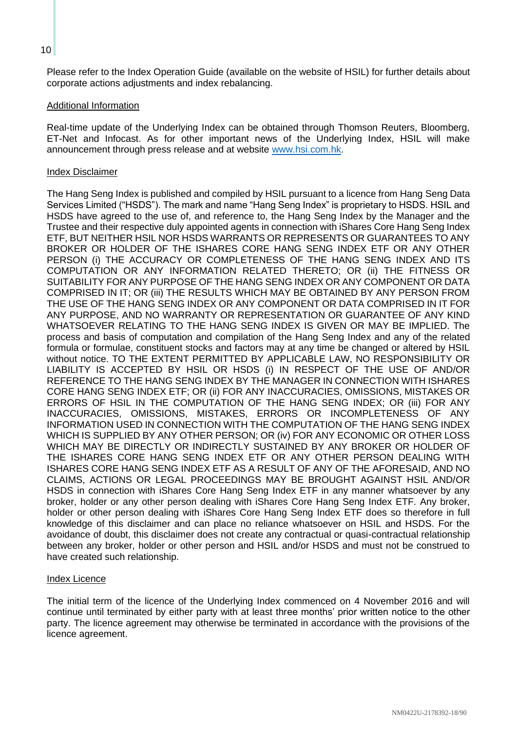Please refer to the Index Operation Guide (available on the website of HSIL) for further details about corporate actions adjustments and index rebalancing.

#### Additional Information

Real-time update of the Underlying Index can be obtained through Thomson Reuters, Bloomberg, ET-Net and Infocast. As for other important news of the Underlying Index, HSIL will make announcement through press release and at website [www.hsi.com.hk.](http://www.hsi.com.hk/)

### Index Disclaimer

The Hang Seng Index is published and compiled by HSIL pursuant to a licence from Hang Seng Data Services Limited ("HSDS"). The mark and name "Hang Seng Index" is proprietary to HSDS. HSIL and HSDS have agreed to the use of, and reference to, the Hang Seng Index by the Manager and the Trustee and their respective duly appointed agents in connection with iShares Core Hang Seng Index ETF, BUT NEITHER HSIL NOR HSDS WARRANTS OR REPRESENTS OR GUARANTEES TO ANY BROKER OR HOLDER OF THE ISHARES CORE HANG SENG INDEX ETF OR ANY OTHER PERSON (i) THE ACCURACY OR COMPLETENESS OF THE HANG SENG INDEX AND ITS COMPUTATION OR ANY INFORMATION RELATED THERETO; OR (ii) THE FITNESS OR SUITABILITY FOR ANY PURPOSE OF THE HANG SENG INDEX OR ANY COMPONENT OR DATA COMPRISED IN IT; OR (iii) THE RESULTS WHICH MAY BE OBTAINED BY ANY PERSON FROM THE USE OF THE HANG SENG INDEX OR ANY COMPONENT OR DATA COMPRISED IN IT FOR ANY PURPOSE, AND NO WARRANTY OR REPRESENTATION OR GUARANTEE OF ANY KIND WHATSOEVER RELATING TO THE HANG SENG INDEX IS GIVEN OR MAY BE IMPLIED. The process and basis of computation and compilation of the Hang Seng Index and any of the related formula or formulae, constituent stocks and factors may at any time be changed or altered by HSIL without notice. TO THE EXTENT PERMITTED BY APPLICABLE LAW, NO RESPONSIBILITY OR LIABILITY IS ACCEPTED BY HSIL OR HSDS (i) IN RESPECT OF THE USE OF AND/OR REFERENCE TO THE HANG SENG INDEX BY THE MANAGER IN CONNECTION WITH ISHARES CORE HANG SENG INDEX ETF; OR (ii) FOR ANY INACCURACIES, OMISSIONS, MISTAKES OR ERRORS OF HSIL IN THE COMPUTATION OF THE HANG SENG INDEX; OR (iii) FOR ANY INACCURACIES, OMISSIONS, MISTAKES, ERRORS OR INCOMPLETENESS OF ANY INFORMATION USED IN CONNECTION WITH THE COMPUTATION OF THE HANG SENG INDEX WHICH IS SUPPLIED BY ANY OTHER PERSON; OR (iv) FOR ANY ECONOMIC OR OTHER LOSS WHICH MAY BE DIRECTLY OR INDIRECTLY SUSTAINED BY ANY BROKER OR HOLDER OF THE ISHARES CORE HANG SENG INDEX ETF OR ANY OTHER PERSON DEALING WITH ISHARES CORE HANG SENG INDEX ETF AS A RESULT OF ANY OF THE AFORESAID, AND NO CLAIMS, ACTIONS OR LEGAL PROCEEDINGS MAY BE BROUGHT AGAINST HSIL AND/OR HSDS in connection with iShares Core Hang Seng Index ETF in any manner whatsoever by any broker, holder or any other person dealing with iShares Core Hang Seng Index ETF. Any broker, holder or other person dealing with iShares Core Hang Seng Index ETF does so therefore in full knowledge of this disclaimer and can place no reliance whatsoever on HSIL and HSDS. For the avoidance of doubt, this disclaimer does not create any contractual or quasi-contractual relationship between any broker, holder or other person and HSIL and/or HSDS and must not be construed to have created such relationship.

#### Index Licence

The initial term of the licence of the Underlying Index commenced on 4 November 2016 and will continue until terminated by either party with at least three months' prior written notice to the other party. The licence agreement may otherwise be terminated in accordance with the provisions of the licence agreement.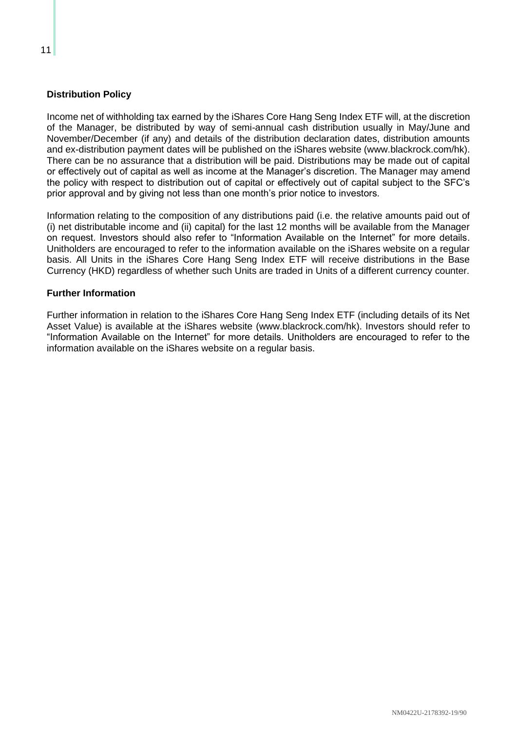# <span id="page-18-0"></span>**Distribution Policy**

Income net of withholding tax earned by the iShares Core Hang Seng Index ETF will, at the discretion of the Manager, be distributed by way of semi-annual cash distribution usually in May/June and November/December (if any) and details of the distribution declaration dates, distribution amounts and ex-distribution payment dates will be published on the iShares website (www.blackrock.com/hk). There can be no assurance that a distribution will be paid. Distributions may be made out of capital or effectively out of capital as well as income at the Manager's discretion. The Manager may amend the policy with respect to distribution out of capital or effectively out of capital subject to the SFC's prior approval and by giving not less than one month's prior notice to investors.

Information relating to the composition of any distributions paid (i.e. the relative amounts paid out of (i) net distributable income and (ii) capital) for the last 12 months will be available from the Manager on request. Investors should also refer to "Information Available on the Internet" for more details. Unitholders are encouraged to refer to the information available on the iShares website on a regular basis. All Units in the iShares Core Hang Seng Index ETF will receive distributions in the Base Currency (HKD) regardless of whether such Units are traded in Units of a different currency counter.

### <span id="page-18-1"></span>**Further Information**

Further information in relation to the iShares Core Hang Seng Index ETF (including details of its Net Asset Value) is available at the iShares website (www.blackrock.com/hk). Investors should refer to "Information Available on the Internet" for more details. Unitholders are encouraged to refer to the information available on the iShares website on a regular basis.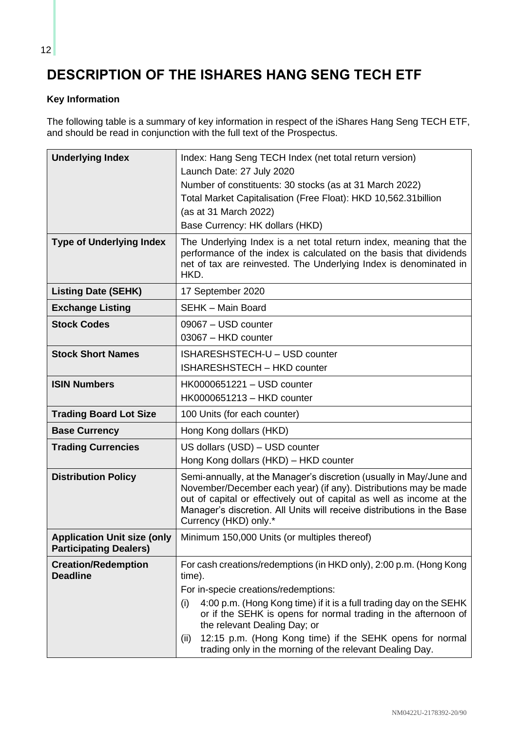# <span id="page-19-0"></span>**DESCRIPTION OF THE ISHARES HANG SENG TECH ETF**

# <span id="page-19-1"></span>**Key Information**

The following table is a summary of key information in respect of the iShares Hang Seng TECH ETF, and should be read in conjunction with the full text of the Prospectus.

| <b>Underlying Index</b>                                             | Index: Hang Seng TECH Index (net total return version)<br>Launch Date: 27 July 2020<br>Number of constituents: 30 stocks (as at 31 March 2022)<br>Total Market Capitalisation (Free Float): HKD 10,562.31 billion<br>(as at 31 March 2022)<br>Base Currency: HK dollars (HKD)                                       |
|---------------------------------------------------------------------|---------------------------------------------------------------------------------------------------------------------------------------------------------------------------------------------------------------------------------------------------------------------------------------------------------------------|
| <b>Type of Underlying Index</b>                                     | The Underlying Index is a net total return index, meaning that the<br>performance of the index is calculated on the basis that dividends<br>net of tax are reinvested. The Underlying Index is denominated in<br>HKD.                                                                                               |
| <b>Listing Date (SEHK)</b>                                          | 17 September 2020                                                                                                                                                                                                                                                                                                   |
| <b>Exchange Listing</b>                                             | <b>SEHK - Main Board</b>                                                                                                                                                                                                                                                                                            |
| <b>Stock Codes</b>                                                  | 09067 - USD counter<br>03067 - HKD counter                                                                                                                                                                                                                                                                          |
| <b>Stock Short Names</b>                                            | ISHARESHSTECH-U - USD counter<br><b>ISHARESHSTECH - HKD counter</b>                                                                                                                                                                                                                                                 |
| <b>ISIN Numbers</b>                                                 | HK0000651221 - USD counter<br>HK0000651213 - HKD counter                                                                                                                                                                                                                                                            |
| <b>Trading Board Lot Size</b>                                       | 100 Units (for each counter)                                                                                                                                                                                                                                                                                        |
| <b>Base Currency</b>                                                | Hong Kong dollars (HKD)                                                                                                                                                                                                                                                                                             |
| <b>Trading Currencies</b>                                           | US dollars (USD) - USD counter<br>Hong Kong dollars (HKD) - HKD counter                                                                                                                                                                                                                                             |
| <b>Distribution Policy</b>                                          | Semi-annually, at the Manager's discretion (usually in May/June and<br>November/December each year) (if any). Distributions may be made<br>out of capital or effectively out of capital as well as income at the<br>Manager's discretion. All Units will receive distributions in the Base<br>Currency (HKD) only.* |
| <b>Application Unit size (only</b><br><b>Participating Dealers)</b> | Minimum 150,000 Units (or multiples thereof)                                                                                                                                                                                                                                                                        |
| <b>Creation/Redemption</b><br><b>Deadline</b>                       | For cash creations/redemptions (in HKD only), 2:00 p.m. (Hong Kong<br>time).                                                                                                                                                                                                                                        |
|                                                                     | For in-specie creations/redemptions:                                                                                                                                                                                                                                                                                |
|                                                                     | 4:00 p.m. (Hong Kong time) if it is a full trading day on the SEHK<br>(i)<br>or if the SEHK is opens for normal trading in the afternoon of<br>the relevant Dealing Day; or                                                                                                                                         |
|                                                                     | 12:15 p.m. (Hong Kong time) if the SEHK opens for normal<br>(ii)<br>trading only in the morning of the relevant Dealing Day.                                                                                                                                                                                        |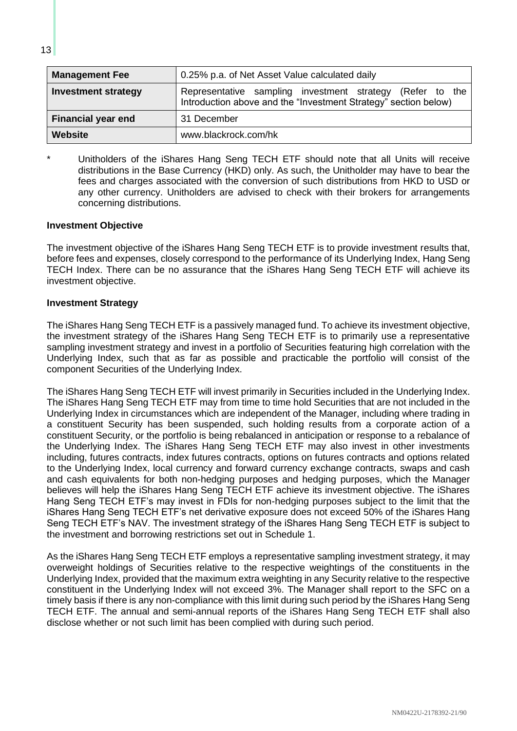| <b>Management Fee</b>      | 0.25% p.a. of Net Asset Value calculated daily                                                                                  |
|----------------------------|---------------------------------------------------------------------------------------------------------------------------------|
| <b>Investment strategy</b> | Representative sampling investment strategy<br>(Refer to the<br>Introduction above and the "Investment Strategy" section below) |
| <b>Financial year end</b>  | 31 December                                                                                                                     |
| <b>Website</b>             | www.blackrock.com/hk                                                                                                            |

Unitholders of the iShares Hang Seng TECH ETF should note that all Units will receive distributions in the Base Currency (HKD) only. As such, the Unitholder may have to bear the fees and charges associated with the conversion of such distributions from HKD to USD or any other currency. Unitholders are advised to check with their brokers for arrangements concerning distributions.

### <span id="page-20-0"></span>**Investment Objective**

The investment objective of the iShares Hang Seng TECH ETF is to provide investment results that, before fees and expenses, closely correspond to the performance of its Underlying Index, Hang Seng TECH Index. There can be no assurance that the iShares Hang Seng TECH ETF will achieve its investment objective.

#### <span id="page-20-1"></span>**Investment Strategy**

The iShares Hang Seng TECH ETF is a passively managed fund. To achieve its investment objective, the investment strategy of the iShares Hang Seng TECH ETF is to primarily use a representative sampling investment strategy and invest in a portfolio of Securities featuring high correlation with the Underlying Index, such that as far as possible and practicable the portfolio will consist of the component Securities of the Underlying Index.

The iShares Hang Seng TECH ETF will invest primarily in Securities included in the Underlying Index. The iShares Hang Seng TECH ETF may from time to time hold Securities that are not included in the Underlying Index in circumstances which are independent of the Manager, including where trading in a constituent Security has been suspended, such holding results from a corporate action of a constituent Security, or the portfolio is being rebalanced in anticipation or response to a rebalance of the Underlying Index. The iShares Hang Seng TECH ETF may also invest in other investments including, futures contracts, index futures contracts, options on futures contracts and options related to the Underlying Index, local currency and forward currency exchange contracts, swaps and cash and cash equivalents for both non-hedging purposes and hedging purposes, which the Manager believes will help the iShares Hang Seng TECH ETF achieve its investment objective. The iShares Hang Seng TECH ETF's may invest in FDIs for non-hedging purposes subject to the limit that the iShares Hang Seng TECH ETF's net derivative exposure does not exceed 50% of the iShares Hang Seng TECH ETF's NAV. The investment strategy of the iShares Hang Seng TECH ETF is subject to the investment and borrowing restrictions set out in Schedule 1.

As the iShares Hang Seng TECH ETF employs a representative sampling investment strategy, it may overweight holdings of Securities relative to the respective weightings of the constituents in the Underlying Index, provided that the maximum extra weighting in any Security relative to the respective constituent in the Underlying Index will not exceed 3%. The Manager shall report to the SFC on a timely basis if there is any non-compliance with this limit during such period by the iShares Hang Seng TECH ETF. The annual and semi-annual reports of the iShares Hang Seng TECH ETF shall also disclose whether or not such limit has been complied with during such period.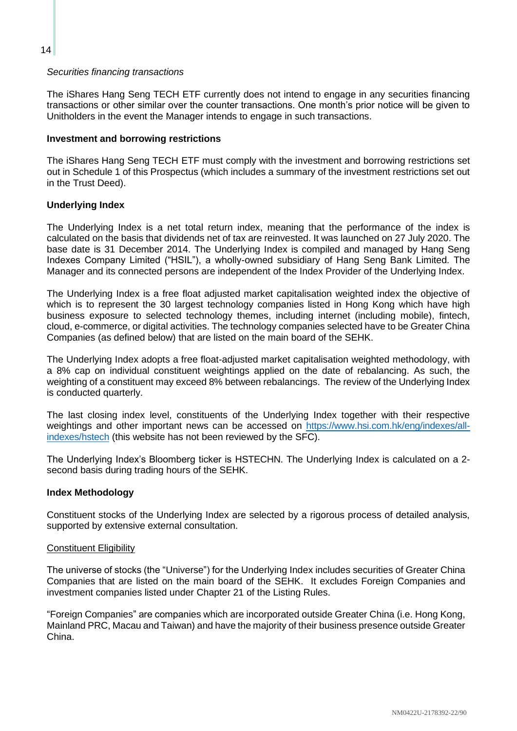#### *Securities financing transactions*

The iShares Hang Seng TECH ETF currently does not intend to engage in any securities financing transactions or other similar over the counter transactions. One month's prior notice will be given to Unitholders in the event the Manager intends to engage in such transactions.

#### <span id="page-21-0"></span>**Investment and borrowing restrictions**

The iShares Hang Seng TECH ETF must comply with the investment and borrowing restrictions set out in Schedule 1 of this Prospectus (which includes a summary of the investment restrictions set out in the Trust Deed).

### <span id="page-21-1"></span>**Underlying Index**

The Underlying Index is a net total return index, meaning that the performance of the index is calculated on the basis that dividends net of tax are reinvested. It was launched on 27 July 2020. The base date is 31 December 2014. The Underlying Index is compiled and managed by Hang Seng Indexes Company Limited ("HSIL"), a wholly-owned subsidiary of Hang Seng Bank Limited. The Manager and its connected persons are independent of the Index Provider of the Underlying Index.

The Underlying Index is a free float adjusted market capitalisation weighted index the objective of which is to represent the 30 largest technology companies listed in Hong Kong which have high business exposure to selected technology themes, including internet (including mobile), fintech, cloud, e-commerce, or digital activities. The technology companies selected have to be Greater China Companies (as defined below) that are listed on the main board of the SEHK.

The Underlying Index adopts a free float-adjusted market capitalisation weighted methodology, with a 8% cap on individual constituent weightings applied on the date of rebalancing. As such, the weighting of a constituent may exceed 8% between rebalancings. The review of the Underlying Index is conducted quarterly.

The last closing index level, constituents of the Underlying Index together with their respective weightings and other important news can be accessed on [https://www.hsi.com.hk/eng/indexes/all](https://www.hsi.com.hk/eng/indexes/all-indexes/hstech)[indexes/hstech](https://www.hsi.com.hk/eng/indexes/all-indexes/hstech) (this website has not been reviewed by the SFC).

The Underlying Index's Bloomberg ticker is HSTECHN. The Underlying Index is calculated on a 2 second basis during trading hours of the SEHK.

#### <span id="page-21-2"></span>**Index Methodology**

Constituent stocks of the Underlying Index are selected by a rigorous process of detailed analysis, supported by extensive external consultation.

#### Constituent Eligibility

The universe of stocks (the "Universe") for the Underlying Index includes securities of Greater China Companies that are listed on the main board of the SEHK. It excludes Foreign Companies and investment companies listed under Chapter 21 of the Listing Rules.

"Foreign Companies" are companies which are incorporated outside Greater China (i.e. Hong Kong, Mainland PRC, Macau and Taiwan) and have the majority of their business presence outside Greater China.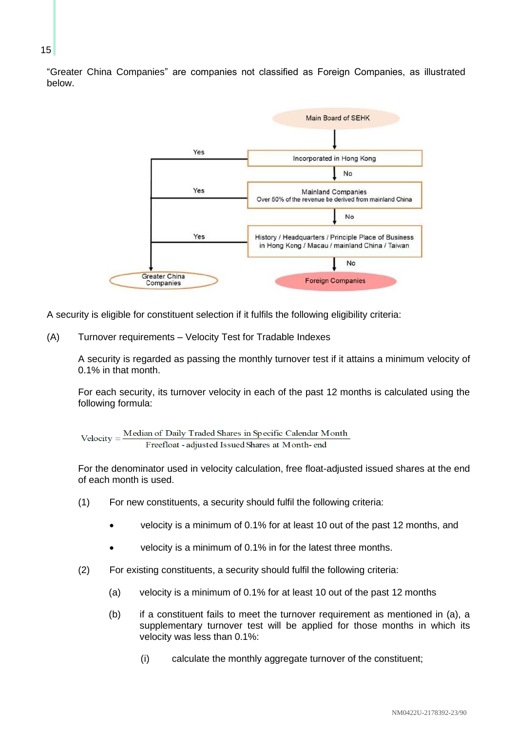"Greater China Companies" are companies not classified as Foreign Companies, as illustrated below.



A security is eligible for constituent selection if it fulfils the following eligibility criteria:

(A) Turnover requirements – Velocity Test for Tradable Indexes

A security is regarded as passing the monthly turnover test if it attains a minimum velocity of 0.1% in that month.

For each security, its turnover velocity in each of the past 12 months is calculated using the following formula:

$$
Velocity = \frac{Median\ of\ Daily\ Trade\ Shares\ in\ Specific\ Calendar\ Month\ -\ Freefloat - adjusted\ Issued\ Shares\ at\ Month-end}
$$

For the denominator used in velocity calculation, free float-adjusted issued shares at the end of each month is used.

- (1) For new constituents, a security should fulfil the following criteria:
	- velocity is a minimum of 0.1% for at least 10 out of the past 12 months, and
	- velocity is a minimum of 0.1% in for the latest three months.
- (2) For existing constituents, a security should fulfil the following criteria:
	- (a) velocity is a minimum of 0.1% for at least 10 out of the past 12 months
	- (b) if a constituent fails to meet the turnover requirement as mentioned in (a), a supplementary turnover test will be applied for those months in which its velocity was less than 0.1%:
		- (i) calculate the monthly aggregate turnover of the constituent;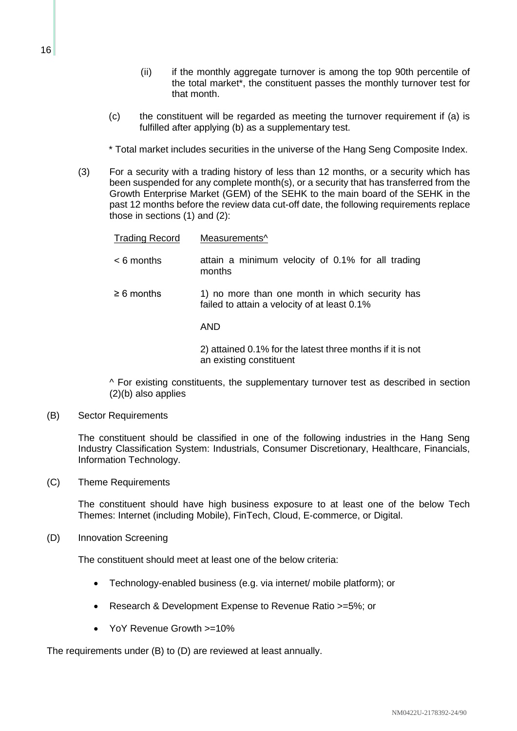(ii) if the monthly aggregate turnover is among the top 90th percentile of the total market\*, the constituent passes the monthly turnover test for

that month.

- (c) the constituent will be regarded as meeting the turnover requirement if (a) is fulfilled after applying (b) as a supplementary test.
- \* Total market includes securities in the universe of the Hang Seng Composite Index.
- (3) For a security with a trading history of less than 12 months, or a security which has been suspended for any complete month(s), or a security that has transferred from the Growth Enterprise Market (GEM) of the SEHK to the main board of the SEHK in the past 12 months before the review data cut-off date, the following requirements replace those in sections (1) and (2):

| <b>Trading Record</b> | Measurements <sup>^</sup>                                                                       |
|-----------------------|-------------------------------------------------------------------------------------------------|
| $< 6$ months          | attain a minimum velocity of 0.1% for all trading<br>months                                     |
| $\geq 6$ months       | 1) no more than one month in which security has<br>failed to attain a velocity of at least 0.1% |
|                       | AND                                                                                             |
|                       | 2) attained 0.1% for the latest three months if it is not                                       |

an existing constituent

^ For existing constituents, the supplementary turnover test as described in section (2)(b) also applies

(B) Sector Requirements

The constituent should be classified in one of the following industries in the Hang Seng Industry Classification System: Industrials, Consumer Discretionary, Healthcare, Financials, Information Technology.

(C) Theme Requirements

The constituent should have high business exposure to at least one of the below Tech Themes: Internet (including Mobile), FinTech, Cloud, E-commerce, or Digital.

(D) Innovation Screening

The constituent should meet at least one of the below criteria:

- Technology-enabled business (e.g. via internet/ mobile platform); or
- Research & Development Expense to Revenue Ratio >=5%; or
- YoY Revenue Growth >=10%

The requirements under (B) to (D) are reviewed at least annually.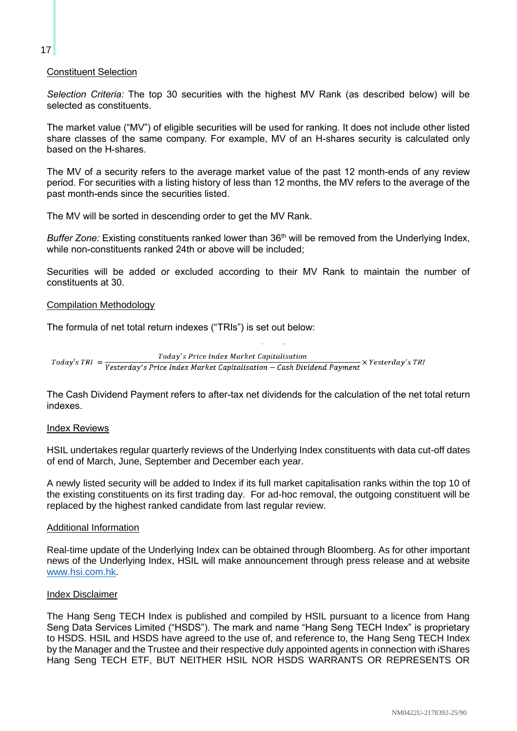### Constituent Selection

*Selection Criteria:* The top 30 securities with the highest MV Rank (as described below) will be selected as constituents.

The market value ("MV") of eligible securities will be used for ranking. It does not include other listed share classes of the same company. For example, MV of an H-shares security is calculated only based on the H-shares.

The MV of a security refers to the average market value of the past 12 month-ends of any review period. For securities with a listing history of less than 12 months, the MV refers to the average of the past month-ends since the securities listed.

The MV will be sorted in descending order to get the MV Rank.

*Buffer Zone:* Existing constituents ranked lower than 36<sup>th</sup> will be removed from the Underlying Index, while non-constituents ranked 24th or above will be included;

Securities will be added or excluded according to their MV Rank to maintain the number of constituents at 30.

#### Compilation Methodology

The formula of net total return indexes ("TRIs") is set out below:

Today's Price Index Market Capitalisation  $Today's TRI = \frac{Totaly's Price Index Market Capitalisation - Cash Dividend Payment} {Testerday's Price Index Market Capitalisation - Cash Dividend Payment} \times Yesterday's TRI$ 

The Cash Dividend Payment refers to after-tax net dividends for the calculation of the net total return indexes.

#### Index Reviews

HSIL undertakes regular quarterly reviews of the Underlying Index constituents with data cut-off dates of end of March, June, September and December each year.

A newly listed security will be added to Index if its full market capitalisation ranks within the top 10 of the existing constituents on its first trading day. For ad-hoc removal, the outgoing constituent will be replaced by the highest ranked candidate from last regular review.

#### Additional Information

Real-time update of the Underlying Index can be obtained through Bloomberg. As for other important news of the Underlying Index, HSIL will make announcement through press release and at website [www.hsi.com.hk.](http://www.hsi.com.hk/)

#### Index Disclaimer

The Hang Seng TECH Index is published and compiled by HSIL pursuant to a licence from Hang Seng Data Services Limited ("HSDS"). The mark and name "Hang Seng TECH Index" is proprietary to HSDS. HSIL and HSDS have agreed to the use of, and reference to, the Hang Seng TECH Index by the Manager and the Trustee and their respective duly appointed agents in connection with iShares Hang Seng TECH ETF, BUT NEITHER HSIL NOR HSDS WARRANTS OR REPRESENTS OR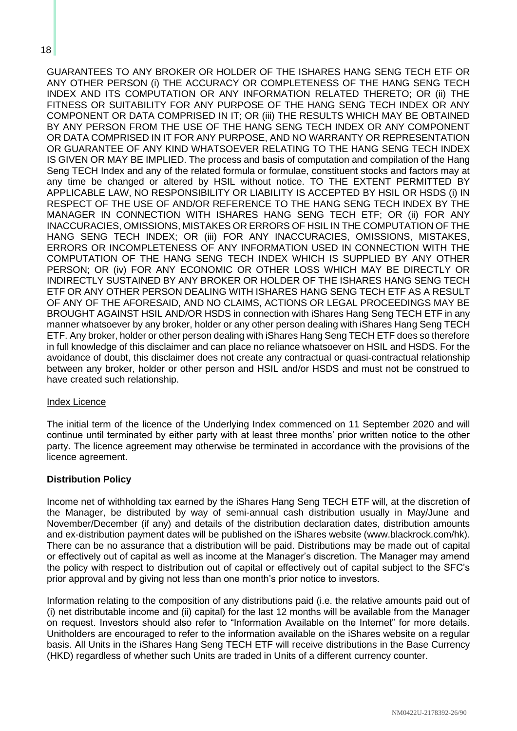GUARANTEES TO ANY BROKER OR HOLDER OF THE ISHARES HANG SENG TECH ETF OR ANY OTHER PERSON (i) THE ACCURACY OR COMPLETENESS OF THE HANG SENG TECH INDEX AND ITS COMPUTATION OR ANY INFORMATION RELATED THERETO; OR (ii) THE FITNESS OR SUITABILITY FOR ANY PURPOSE OF THE HANG SENG TECH INDEX OR ANY COMPONENT OR DATA COMPRISED IN IT; OR (iii) THE RESULTS WHICH MAY BE OBTAINED BY ANY PERSON FROM THE USE OF THE HANG SENG TECH INDEX OR ANY COMPONENT OR DATA COMPRISED IN IT FOR ANY PURPOSE, AND NO WARRANTY OR REPRESENTATION OR GUARANTEE OF ANY KIND WHATSOEVER RELATING TO THE HANG SENG TECH INDEX IS GIVEN OR MAY BE IMPLIED. The process and basis of computation and compilation of the Hang Seng TECH Index and any of the related formula or formulae, constituent stocks and factors may at any time be changed or altered by HSIL without notice. TO THE EXTENT PERMITTED BY APPLICABLE LAW, NO RESPONSIBILITY OR LIABILITY IS ACCEPTED BY HSIL OR HSDS (i) IN RESPECT OF THE USE OF AND/OR REFERENCE TO THE HANG SENG TECH INDEX BY THE MANAGER IN CONNECTION WITH ISHARES HANG SENG TECH ETF; OR (ii) FOR ANY INACCURACIES, OMISSIONS, MISTAKES OR ERRORS OF HSIL IN THE COMPUTATION OF THE HANG SENG TECH INDEX; OR (iii) FOR ANY INACCURACIES, OMISSIONS, MISTAKES, ERRORS OR INCOMPLETENESS OF ANY INFORMATION USED IN CONNECTION WITH THE COMPUTATION OF THE HANG SENG TECH INDEX WHICH IS SUPPLIED BY ANY OTHER PERSON; OR (iv) FOR ANY ECONOMIC OR OTHER LOSS WHICH MAY BE DIRECTLY OR INDIRECTLY SUSTAINED BY ANY BROKER OR HOLDER OF THE ISHARES HANG SENG TECH ETF OR ANY OTHER PERSON DEALING WITH ISHARES HANG SENG TECH ETF AS A RESULT OF ANY OF THE AFORESAID, AND NO CLAIMS, ACTIONS OR LEGAL PROCEEDINGS MAY BE BROUGHT AGAINST HSIL AND/OR HSDS in connection with iShares Hang Seng TECH ETF in any manner whatsoever by any broker, holder or any other person dealing with iShares Hang Seng TECH ETF. Any broker, holder or other person dealing with iShares Hang Seng TECH ETF does so therefore in full knowledge of this disclaimer and can place no reliance whatsoever on HSIL and HSDS. For the avoidance of doubt, this disclaimer does not create any contractual or quasi-contractual relationship between any broker, holder or other person and HSIL and/or HSDS and must not be construed to have created such relationship.

#### Index Licence

The initial term of the licence of the Underlying Index commenced on 11 September 2020 and will continue until terminated by either party with at least three months' prior written notice to the other party. The licence agreement may otherwise be terminated in accordance with the provisions of the licence agreement.

#### <span id="page-25-0"></span>**Distribution Policy**

Income net of withholding tax earned by the iShares Hang Seng TECH ETF will, at the discretion of the Manager, be distributed by way of semi-annual cash distribution usually in May/June and November/December (if any) and details of the distribution declaration dates, distribution amounts and ex-distribution payment dates will be published on the iShares website (www.blackrock.com/hk). There can be no assurance that a distribution will be paid. Distributions may be made out of capital or effectively out of capital as well as income at the Manager's discretion. The Manager may amend the policy with respect to distribution out of capital or effectively out of capital subject to the SFC's prior approval and by giving not less than one month's prior notice to investors.

Information relating to the composition of any distributions paid (i.e. the relative amounts paid out of (i) net distributable income and (ii) capital) for the last 12 months will be available from the Manager on request. Investors should also refer to "Information Available on the Internet" for more details. Unitholders are encouraged to refer to the information available on the iShares website on a regular basis. All Units in the iShares Hang Seng TECH ETF will receive distributions in the Base Currency (HKD) regardless of whether such Units are traded in Units of a different currency counter.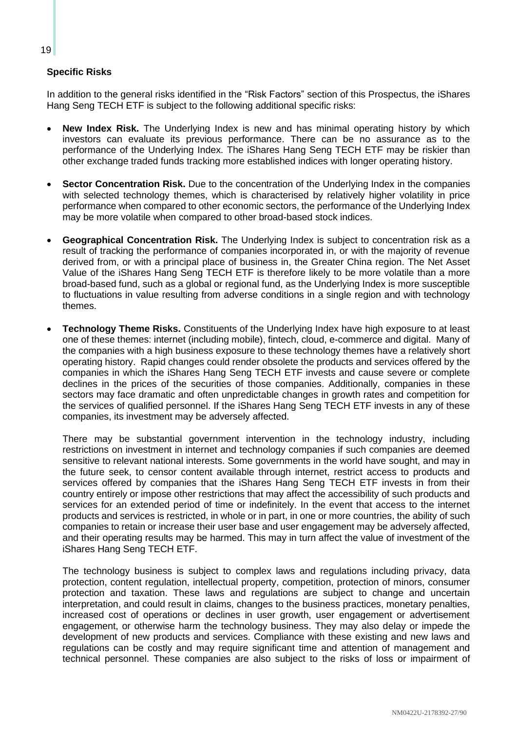## <span id="page-26-0"></span>**Specific Risks**

In addition to the general risks identified in the "Risk Factors" section of this Prospectus, the iShares Hang Seng TECH ETF is subject to the following additional specific risks:

- **New Index Risk.** The Underlying Index is new and has minimal operating history by which investors can evaluate its previous performance. There can be no assurance as to the performance of the Underlying Index. The iShares Hang Seng TECH ETF may be riskier than other exchange traded funds tracking more established indices with longer operating history.
- **Sector Concentration Risk.** Due to the concentration of the Underlying Index in the companies with selected technology themes, which is characterised by relatively higher volatility in price performance when compared to other economic sectors, the performance of the Underlying Index may be more volatile when compared to other broad-based stock indices.
- **Geographical Concentration Risk.** The Underlying Index is subject to concentration risk as a result of tracking the performance of companies incorporated in, or with the majority of revenue derived from, or with a principal place of business in, the Greater China region. The Net Asset Value of the iShares Hang Seng TECH ETF is therefore likely to be more volatile than a more broad-based fund, such as a global or regional fund, as the Underlying Index is more susceptible to fluctuations in value resulting from adverse conditions in a single region and with technology themes.
- **Technology Theme Risks.** Constituents of the Underlying Index have high exposure to at least one of these themes: internet (including mobile), fintech, cloud, e-commerce and digital. Many of the companies with a high business exposure to these technology themes have a relatively short operating history. Rapid changes could render obsolete the products and services offered by the companies in which the iShares Hang Seng TECH ETF invests and cause severe or complete declines in the prices of the securities of those companies. Additionally, companies in these sectors may face dramatic and often unpredictable changes in growth rates and competition for the services of qualified personnel. If the iShares Hang Seng TECH ETF invests in any of these companies, its investment may be adversely affected.

There may be substantial government intervention in the technology industry, including restrictions on investment in internet and technology companies if such companies are deemed sensitive to relevant national interests. Some governments in the world have sought, and may in the future seek, to censor content available through internet, restrict access to products and services offered by companies that the iShares Hang Seng TECH ETF invests in from their country entirely or impose other restrictions that may affect the accessibility of such products and services for an extended period of time or indefinitely. In the event that access to the internet products and services is restricted, in whole or in part, in one or more countries, the ability of such companies to retain or increase their user base and user engagement may be adversely affected, and their operating results may be harmed. This may in turn affect the value of investment of the iShares Hang Seng TECH ETF.

The technology business is subject to complex laws and regulations including privacy, data protection, content regulation, intellectual property, competition, protection of minors, consumer protection and taxation. These laws and regulations are subject to change and uncertain interpretation, and could result in claims, changes to the business practices, monetary penalties, increased cost of operations or declines in user growth, user engagement or advertisement engagement, or otherwise harm the technology business. They may also delay or impede the development of new products and services. Compliance with these existing and new laws and regulations can be costly and may require significant time and attention of management and technical personnel. These companies are also subject to the risks of loss or impairment of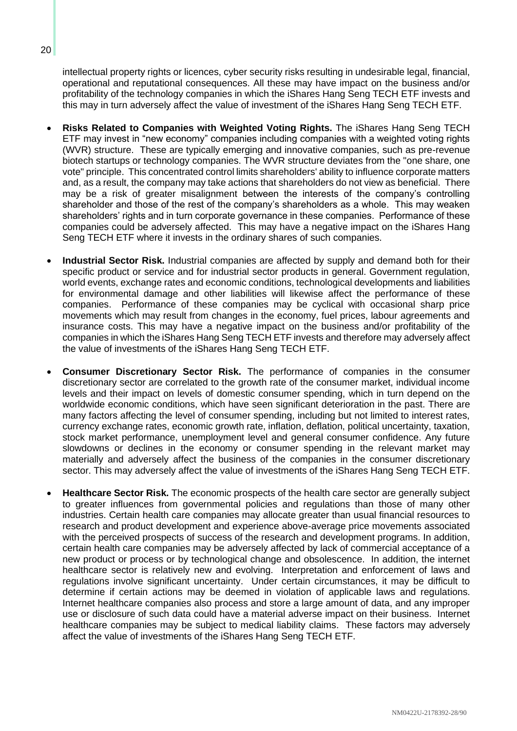intellectual property rights or licences, cyber security risks resulting in undesirable legal, financial, operational and reputational consequences. All these may have impact on the business and/or profitability of the technology companies in which the iShares Hang Seng TECH ETF invests and this may in turn adversely affect the value of investment of the iShares Hang Seng TECH ETF.

- **Risks Related to Companies with Weighted Voting Rights.** The iShares Hang Seng TECH ETF may invest in "new economy" companies including companies with a weighted voting rights (WVR) structure. These are typically emerging and innovative companies, such as pre-revenue biotech startups or technology companies. The WVR structure deviates from the "one share, one vote" principle. This concentrated control limits shareholders' ability to influence corporate matters and, as a result, the company may take actions that shareholders do not view as beneficial. There may be a risk of greater misalignment between the interests of the company's controlling shareholder and those of the rest of the company's shareholders as a whole. This may weaken shareholders' rights and in turn corporate governance in these companies. Performance of these companies could be adversely affected. This may have a negative impact on the iShares Hang Seng TECH ETF where it invests in the ordinary shares of such companies.
- **Industrial Sector Risk.** Industrial companies are affected by supply and demand both for their specific product or service and for industrial sector products in general. Government regulation, world events, exchange rates and economic conditions, technological developments and liabilities for environmental damage and other liabilities will likewise affect the performance of these companies. Performance of these companies may be cyclical with occasional sharp price movements which may result from changes in the economy, fuel prices, labour agreements and insurance costs. This may have a negative impact on the business and/or profitability of the companies in which the iShares Hang Seng TECH ETF invests and therefore may adversely affect the value of investments of the iShares Hang Seng TECH ETF.
- **Consumer Discretionary Sector Risk.** The performance of companies in the consumer discretionary sector are correlated to the growth rate of the consumer market, individual income levels and their impact on levels of domestic consumer spending, which in turn depend on the worldwide economic conditions, which have seen significant deterioration in the past. There are many factors affecting the level of consumer spending, including but not limited to interest rates, currency exchange rates, economic growth rate, inflation, deflation, political uncertainty, taxation, stock market performance, unemployment level and general consumer confidence. Any future slowdowns or declines in the economy or consumer spending in the relevant market may materially and adversely affect the business of the companies in the consumer discretionary sector. This may adversely affect the value of investments of the iShares Hang Seng TECH ETF.
- **Healthcare Sector Risk.** The economic prospects of the health care sector are generally subject to greater influences from governmental policies and regulations than those of many other industries. Certain health care companies may allocate greater than usual financial resources to research and product development and experience above-average price movements associated with the perceived prospects of success of the research and development programs. In addition, certain health care companies may be adversely affected by lack of commercial acceptance of a new product or process or by technological change and obsolescence. In addition, the internet healthcare sector is relatively new and evolving. Interpretation and enforcement of laws and regulations involve significant uncertainty. Under certain circumstances, it may be difficult to determine if certain actions may be deemed in violation of applicable laws and regulations. Internet healthcare companies also process and store a large amount of data, and any improper use or disclosure of such data could have a material adverse impact on their business. Internet healthcare companies may be subject to medical liability claims. These factors may adversely affect the value of investments of the iShares Hang Seng TECH ETF.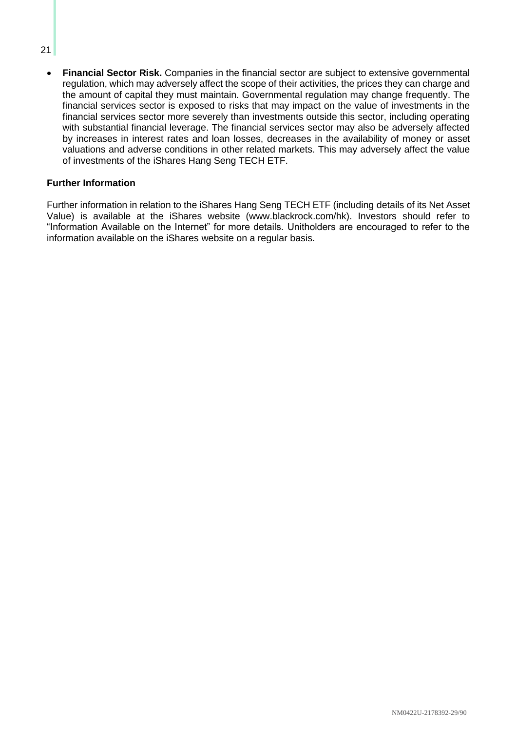#### 21

• **Financial Sector Risk.** Companies in the financial sector are subject to extensive governmental regulation, which may adversely affect the scope of their activities, the prices they can charge and the amount of capital they must maintain. Governmental regulation may change frequently. The financial services sector is exposed to risks that may impact on the value of investments in the financial services sector more severely than investments outside this sector, including operating with substantial financial leverage. The financial services sector may also be adversely affected by increases in interest rates and loan losses, decreases in the availability of money or asset valuations and adverse conditions in other related markets. This may adversely affect the value of investments of the iShares Hang Seng TECH ETF.

#### <span id="page-28-0"></span>**Further Information**

Further information in relation to the iShares Hang Seng TECH ETF (including details of its Net Asset Value) is available at the iShares website (www.blackrock.com/hk). Investors should refer to "Information Available on the Internet" for more details. Unitholders are encouraged to refer to the information available on the iShares website on a regular basis.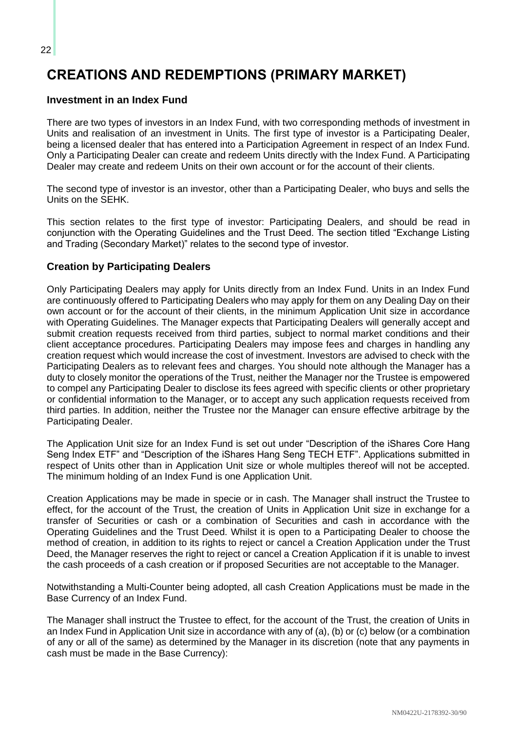# <span id="page-29-0"></span>**CREATIONS AND REDEMPTIONS (PRIMARY MARKET)**

# <span id="page-29-1"></span>**Investment in an Index Fund**

There are two types of investors in an Index Fund, with two corresponding methods of investment in Units and realisation of an investment in Units. The first type of investor is a Participating Dealer, being a licensed dealer that has entered into a Participation Agreement in respect of an Index Fund. Only a Participating Dealer can create and redeem Units directly with the Index Fund. A Participating Dealer may create and redeem Units on their own account or for the account of their clients.

The second type of investor is an investor, other than a Participating Dealer, who buys and sells the Units on the SEHK.

This section relates to the first type of investor: Participating Dealers, and should be read in conjunction with the Operating Guidelines and the Trust Deed. The section titled "Exchange Listing and Trading (Secondary Market)" relates to the second type of investor.

# <span id="page-29-2"></span>**Creation by Participating Dealers**

Only Participating Dealers may apply for Units directly from an Index Fund. Units in an Index Fund are continuously offered to Participating Dealers who may apply for them on any Dealing Day on their own account or for the account of their clients, in the minimum Application Unit size in accordance with Operating Guidelines. The Manager expects that Participating Dealers will generally accept and submit creation requests received from third parties, subject to normal market conditions and their client acceptance procedures. Participating Dealers may impose fees and charges in handling any creation request which would increase the cost of investment. Investors are advised to check with the Participating Dealers as to relevant fees and charges. You should note although the Manager has a duty to closely monitor the operations of the Trust, neither the Manager nor the Trustee is empowered to compel any Participating Dealer to disclose its fees agreed with specific clients or other proprietary or confidential information to the Manager, or to accept any such application requests received from third parties. In addition, neither the Trustee nor the Manager can ensure effective arbitrage by the Participating Dealer.

The Application Unit size for an Index Fund is set out under "Description of the iShares Core Hang Seng Index ETF" and "Description of the iShares Hang Seng TECH ETF". Applications submitted in respect of Units other than in Application Unit size or whole multiples thereof will not be accepted. The minimum holding of an Index Fund is one Application Unit.

Creation Applications may be made in specie or in cash. The Manager shall instruct the Trustee to effect, for the account of the Trust, the creation of Units in Application Unit size in exchange for a transfer of Securities or cash or a combination of Securities and cash in accordance with the Operating Guidelines and the Trust Deed. Whilst it is open to a Participating Dealer to choose the method of creation, in addition to its rights to reject or cancel a Creation Application under the Trust Deed, the Manager reserves the right to reject or cancel a Creation Application if it is unable to invest the cash proceeds of a cash creation or if proposed Securities are not acceptable to the Manager.

Notwithstanding a Multi-Counter being adopted, all cash Creation Applications must be made in the Base Currency of an Index Fund.

The Manager shall instruct the Trustee to effect, for the account of the Trust, the creation of Units in an Index Fund in Application Unit size in accordance with any of (a), (b) or (c) below (or a combination of any or all of the same) as determined by the Manager in its discretion (note that any payments in cash must be made in the Base Currency):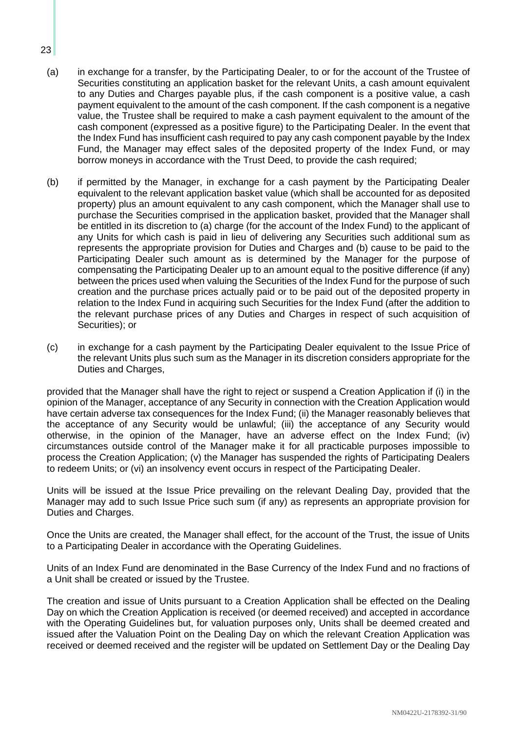- (a) in exchange for a transfer, by the Participating Dealer, to or for the account of the Trustee of Securities constituting an application basket for the relevant Units, a cash amount equivalent to any Duties and Charges payable plus, if the cash component is a positive value, a cash payment equivalent to the amount of the cash component. If the cash component is a negative value, the Trustee shall be required to make a cash payment equivalent to the amount of the cash component (expressed as a positive figure) to the Participating Dealer. In the event that the Index Fund has insufficient cash required to pay any cash component payable by the Index Fund, the Manager may effect sales of the deposited property of the Index Fund, or may borrow moneys in accordance with the Trust Deed, to provide the cash required;
- (b) if permitted by the Manager, in exchange for a cash payment by the Participating Dealer equivalent to the relevant application basket value (which shall be accounted for as deposited property) plus an amount equivalent to any cash component, which the Manager shall use to purchase the Securities comprised in the application basket, provided that the Manager shall be entitled in its discretion to (a) charge (for the account of the Index Fund) to the applicant of any Units for which cash is paid in lieu of delivering any Securities such additional sum as represents the appropriate provision for Duties and Charges and (b) cause to be paid to the Participating Dealer such amount as is determined by the Manager for the purpose of compensating the Participating Dealer up to an amount equal to the positive difference (if any) between the prices used when valuing the Securities of the Index Fund for the purpose of such creation and the purchase prices actually paid or to be paid out of the deposited property in relation to the Index Fund in acquiring such Securities for the Index Fund (after the addition to the relevant purchase prices of any Duties and Charges in respect of such acquisition of Securities); or
- (c) in exchange for a cash payment by the Participating Dealer equivalent to the Issue Price of the relevant Units plus such sum as the Manager in its discretion considers appropriate for the Duties and Charges.

provided that the Manager shall have the right to reject or suspend a Creation Application if (i) in the opinion of the Manager, acceptance of any Security in connection with the Creation Application would have certain adverse tax consequences for the Index Fund; (ii) the Manager reasonably believes that the acceptance of any Security would be unlawful; (iii) the acceptance of any Security would otherwise, in the opinion of the Manager, have an adverse effect on the Index Fund; (iv) circumstances outside control of the Manager make it for all practicable purposes impossible to process the Creation Application; (v) the Manager has suspended the rights of Participating Dealers to redeem Units; or (vi) an insolvency event occurs in respect of the Participating Dealer.

Units will be issued at the Issue Price prevailing on the relevant Dealing Day, provided that the Manager may add to such Issue Price such sum (if any) as represents an appropriate provision for Duties and Charges.

Once the Units are created, the Manager shall effect, for the account of the Trust, the issue of Units to a Participating Dealer in accordance with the Operating Guidelines.

Units of an Index Fund are denominated in the Base Currency of the Index Fund and no fractions of a Unit shall be created or issued by the Trustee.

The creation and issue of Units pursuant to a Creation Application shall be effected on the Dealing Day on which the Creation Application is received (or deemed received) and accepted in accordance with the Operating Guidelines but, for valuation purposes only, Units shall be deemed created and issued after the Valuation Point on the Dealing Day on which the relevant Creation Application was received or deemed received and the register will be updated on Settlement Day or the Dealing Day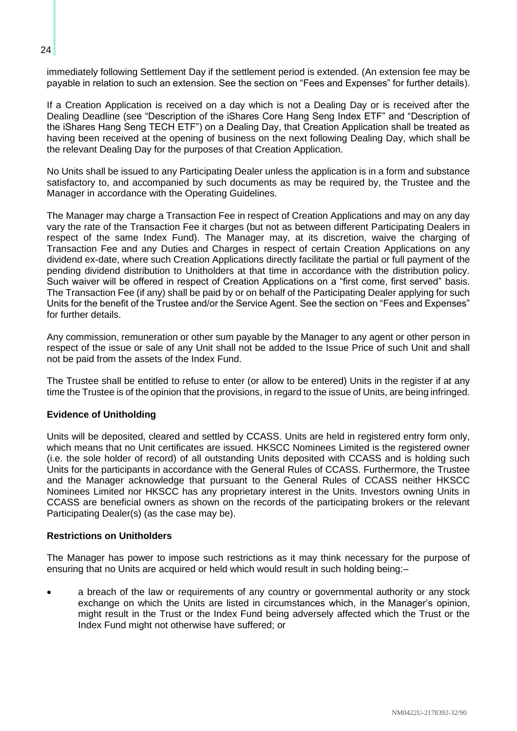immediately following Settlement Day if the settlement period is extended. (An extension fee may be payable in relation to such an extension. See the section on "Fees and Expenses" for further details).

If a Creation Application is received on a day which is not a Dealing Day or is received after the Dealing Deadline (see "Description of the iShares Core Hang Seng Index ETF" and "Description of the iShares Hang Seng TECH ETF") on a Dealing Day, that Creation Application shall be treated as having been received at the opening of business on the next following Dealing Day, which shall be the relevant Dealing Day for the purposes of that Creation Application.

No Units shall be issued to any Participating Dealer unless the application is in a form and substance satisfactory to, and accompanied by such documents as may be required by, the Trustee and the Manager in accordance with the Operating Guidelines.

The Manager may charge a Transaction Fee in respect of Creation Applications and may on any day vary the rate of the Transaction Fee it charges (but not as between different Participating Dealers in respect of the same Index Fund). The Manager may, at its discretion, waive the charging of Transaction Fee and any Duties and Charges in respect of certain Creation Applications on any dividend ex-date, where such Creation Applications directly facilitate the partial or full payment of the pending dividend distribution to Unitholders at that time in accordance with the distribution policy. Such waiver will be offered in respect of Creation Applications on a "first come, first served" basis. The Transaction Fee (if any) shall be paid by or on behalf of the Participating Dealer applying for such Units for the benefit of the Trustee and/or the Service Agent. See the section on "Fees and Expenses" for further details.

Any commission, remuneration or other sum payable by the Manager to any agent or other person in respect of the issue or sale of any Unit shall not be added to the Issue Price of such Unit and shall not be paid from the assets of the Index Fund.

The Trustee shall be entitled to refuse to enter (or allow to be entered) Units in the register if at any time the Trustee is of the opinion that the provisions, in regard to the issue of Units, are being infringed.

## **Evidence of Unitholding**

Units will be deposited, cleared and settled by CCASS. Units are held in registered entry form only, which means that no Unit certificates are issued. HKSCC Nominees Limited is the registered owner (i.e. the sole holder of record) of all outstanding Units deposited with CCASS and is holding such Units for the participants in accordance with the General Rules of CCASS. Furthermore, the Trustee and the Manager acknowledge that pursuant to the General Rules of CCASS neither HKSCC Nominees Limited nor HKSCC has any proprietary interest in the Units. Investors owning Units in CCASS are beneficial owners as shown on the records of the participating brokers or the relevant Participating Dealer(s) (as the case may be).

## **Restrictions on Unitholders**

The Manager has power to impose such restrictions as it may think necessary for the purpose of ensuring that no Units are acquired or held which would result in such holding being:–

• a breach of the law or requirements of any country or governmental authority or any stock exchange on which the Units are listed in circumstances which, in the Manager's opinion, might result in the Trust or the Index Fund being adversely affected which the Trust or the Index Fund might not otherwise have suffered; or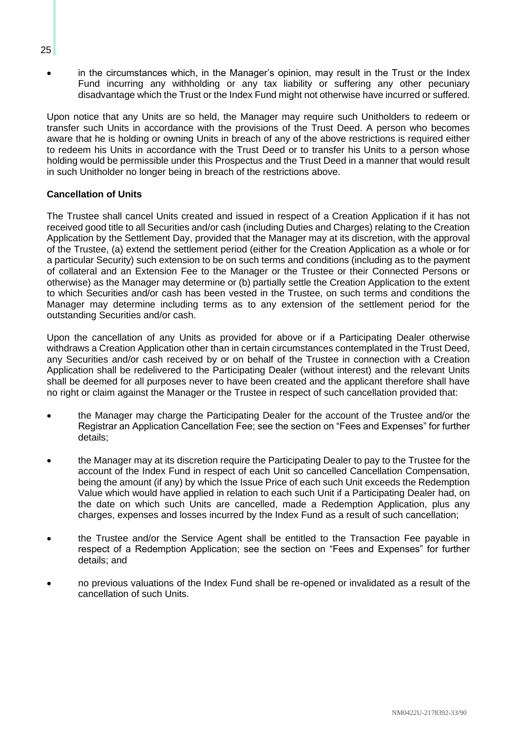• in the circumstances which, in the Manager's opinion, may result in the Trust or the Index Fund incurring any withholding or any tax liability or suffering any other pecuniary disadvantage which the Trust or the Index Fund might not otherwise have incurred or suffered.

Upon notice that any Units are so held, the Manager may require such Unitholders to redeem or transfer such Units in accordance with the provisions of the Trust Deed. A person who becomes aware that he is holding or owning Units in breach of any of the above restrictions is required either to redeem his Units in accordance with the Trust Deed or to transfer his Units to a person whose holding would be permissible under this Prospectus and the Trust Deed in a manner that would result in such Unitholder no longer being in breach of the restrictions above.

## **Cancellation of Units**

The Trustee shall cancel Units created and issued in respect of a Creation Application if it has not received good title to all Securities and/or cash (including Duties and Charges) relating to the Creation Application by the Settlement Day, provided that the Manager may at its discretion, with the approval of the Trustee, (a) extend the settlement period (either for the Creation Application as a whole or for a particular Security) such extension to be on such terms and conditions (including as to the payment of collateral and an Extension Fee to the Manager or the Trustee or their Connected Persons or otherwise) as the Manager may determine or (b) partially settle the Creation Application to the extent to which Securities and/or cash has been vested in the Trustee, on such terms and conditions the Manager may determine including terms as to any extension of the settlement period for the outstanding Securities and/or cash.

Upon the cancellation of any Units as provided for above or if a Participating Dealer otherwise withdraws a Creation Application other than in certain circumstances contemplated in the Trust Deed, any Securities and/or cash received by or on behalf of the Trustee in connection with a Creation Application shall be redelivered to the Participating Dealer (without interest) and the relevant Units shall be deemed for all purposes never to have been created and the applicant therefore shall have no right or claim against the Manager or the Trustee in respect of such cancellation provided that:

- the Manager may charge the Participating Dealer for the account of the Trustee and/or the Registrar an Application Cancellation Fee; see the section on "Fees and Expenses" for further details;
- the Manager may at its discretion require the Participating Dealer to pay to the Trustee for the account of the Index Fund in respect of each Unit so cancelled Cancellation Compensation, being the amount (if any) by which the Issue Price of each such Unit exceeds the Redemption Value which would have applied in relation to each such Unit if a Participating Dealer had, on the date on which such Units are cancelled, made a Redemption Application, plus any charges, expenses and losses incurred by the Index Fund as a result of such cancellation;
- the Trustee and/or the Service Agent shall be entitled to the Transaction Fee payable in respect of a Redemption Application; see the section on "Fees and Expenses" for further details; and
- no previous valuations of the Index Fund shall be re-opened or invalidated as a result of the cancellation of such Units.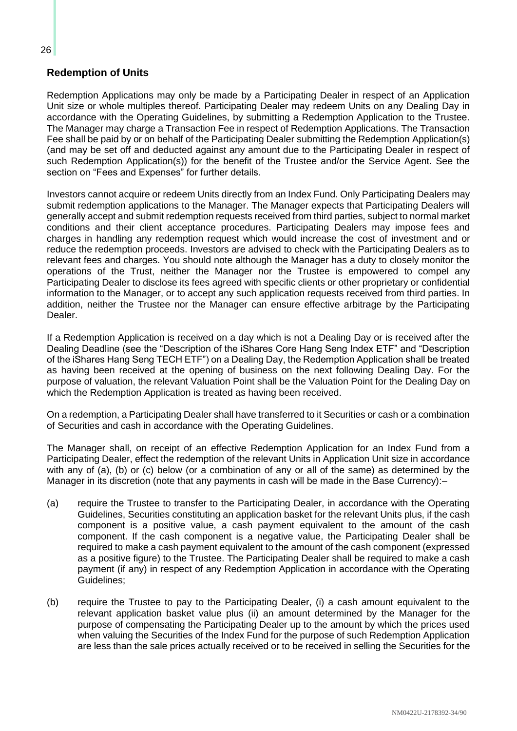# <span id="page-33-0"></span>**Redemption of Units**

Redemption Applications may only be made by a Participating Dealer in respect of an Application Unit size or whole multiples thereof. Participating Dealer may redeem Units on any Dealing Day in accordance with the Operating Guidelines, by submitting a Redemption Application to the Trustee. The Manager may charge a Transaction Fee in respect of Redemption Applications. The Transaction Fee shall be paid by or on behalf of the Participating Dealer submitting the Redemption Application(s) (and may be set off and deducted against any amount due to the Participating Dealer in respect of such Redemption Application(s)) for the benefit of the Trustee and/or the Service Agent. See the section on "Fees and Expenses" for further details.

Investors cannot acquire or redeem Units directly from an Index Fund. Only Participating Dealers may submit redemption applications to the Manager. The Manager expects that Participating Dealers will generally accept and submit redemption requests received from third parties, subject to normal market conditions and their client acceptance procedures. Participating Dealers may impose fees and charges in handling any redemption request which would increase the cost of investment and or reduce the redemption proceeds. Investors are advised to check with the Participating Dealers as to relevant fees and charges. You should note although the Manager has a duty to closely monitor the operations of the Trust, neither the Manager nor the Trustee is empowered to compel any Participating Dealer to disclose its fees agreed with specific clients or other proprietary or confidential information to the Manager, or to accept any such application requests received from third parties. In addition, neither the Trustee nor the Manager can ensure effective arbitrage by the Participating Dealer.

If a Redemption Application is received on a day which is not a Dealing Day or is received after the Dealing Deadline (see the "Description of the iShares Core Hang Seng Index ETF" and "Description of the iShares Hang Seng TECH ETF") on a Dealing Day, the Redemption Application shall be treated as having been received at the opening of business on the next following Dealing Day. For the purpose of valuation, the relevant Valuation Point shall be the Valuation Point for the Dealing Day on which the Redemption Application is treated as having been received.

On a redemption, a Participating Dealer shall have transferred to it Securities or cash or a combination of Securities and cash in accordance with the Operating Guidelines.

The Manager shall, on receipt of an effective Redemption Application for an Index Fund from a Participating Dealer, effect the redemption of the relevant Units in Application Unit size in accordance with any of (a), (b) or (c) below (or a combination of any or all of the same) as determined by the Manager in its discretion (note that any payments in cash will be made in the Base Currency):-

- (a) require the Trustee to transfer to the Participating Dealer, in accordance with the Operating Guidelines, Securities constituting an application basket for the relevant Units plus, if the cash component is a positive value, a cash payment equivalent to the amount of the cash component. If the cash component is a negative value, the Participating Dealer shall be required to make a cash payment equivalent to the amount of the cash component (expressed as a positive figure) to the Trustee. The Participating Dealer shall be required to make a cash payment (if any) in respect of any Redemption Application in accordance with the Operating Guidelines;
- (b) require the Trustee to pay to the Participating Dealer, (i) a cash amount equivalent to the relevant application basket value plus (ii) an amount determined by the Manager for the purpose of compensating the Participating Dealer up to the amount by which the prices used when valuing the Securities of the Index Fund for the purpose of such Redemption Application are less than the sale prices actually received or to be received in selling the Securities for the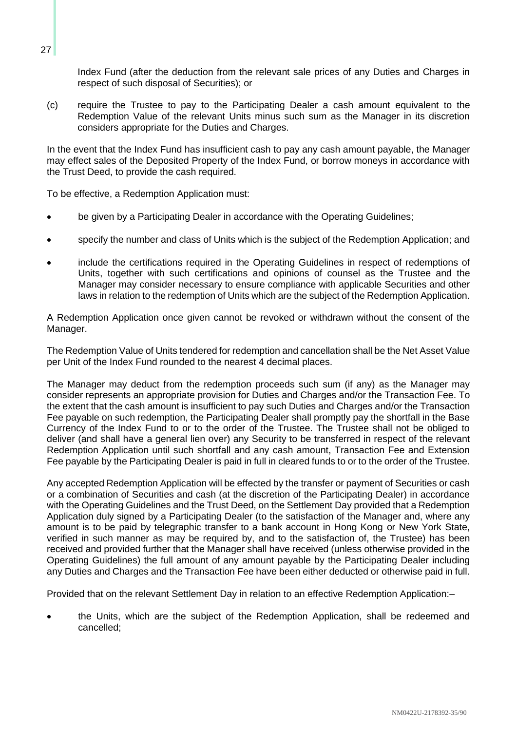Index Fund (after the deduction from the relevant sale prices of any Duties and Charges in respect of such disposal of Securities); or

(c) require the Trustee to pay to the Participating Dealer a cash amount equivalent to the Redemption Value of the relevant Units minus such sum as the Manager in its discretion considers appropriate for the Duties and Charges.

In the event that the Index Fund has insufficient cash to pay any cash amount payable, the Manager may effect sales of the Deposited Property of the Index Fund, or borrow moneys in accordance with the Trust Deed, to provide the cash required.

To be effective, a Redemption Application must:

- be given by a Participating Dealer in accordance with the Operating Guidelines;
- specify the number and class of Units which is the subject of the Redemption Application; and
- include the certifications required in the Operating Guidelines in respect of redemptions of Units, together with such certifications and opinions of counsel as the Trustee and the Manager may consider necessary to ensure compliance with applicable Securities and other laws in relation to the redemption of Units which are the subject of the Redemption Application.

A Redemption Application once given cannot be revoked or withdrawn without the consent of the Manager.

The Redemption Value of Units tendered for redemption and cancellation shall be the Net Asset Value per Unit of the Index Fund rounded to the nearest 4 decimal places.

The Manager may deduct from the redemption proceeds such sum (if any) as the Manager may consider represents an appropriate provision for Duties and Charges and/or the Transaction Fee. To the extent that the cash amount is insufficient to pay such Duties and Charges and/or the Transaction Fee payable on such redemption, the Participating Dealer shall promptly pay the shortfall in the Base Currency of the Index Fund to or to the order of the Trustee. The Trustee shall not be obliged to deliver (and shall have a general lien over) any Security to be transferred in respect of the relevant Redemption Application until such shortfall and any cash amount, Transaction Fee and Extension Fee payable by the Participating Dealer is paid in full in cleared funds to or to the order of the Trustee.

Any accepted Redemption Application will be effected by the transfer or payment of Securities or cash or a combination of Securities and cash (at the discretion of the Participating Dealer) in accordance with the Operating Guidelines and the Trust Deed, on the Settlement Day provided that a Redemption Application duly signed by a Participating Dealer (to the satisfaction of the Manager and, where any amount is to be paid by telegraphic transfer to a bank account in Hong Kong or New York State, verified in such manner as may be required by, and to the satisfaction of, the Trustee) has been received and provided further that the Manager shall have received (unless otherwise provided in the Operating Guidelines) the full amount of any amount payable by the Participating Dealer including any Duties and Charges and the Transaction Fee have been either deducted or otherwise paid in full.

Provided that on the relevant Settlement Day in relation to an effective Redemption Application:–

• the Units, which are the subject of the Redemption Application, shall be redeemed and cancelled;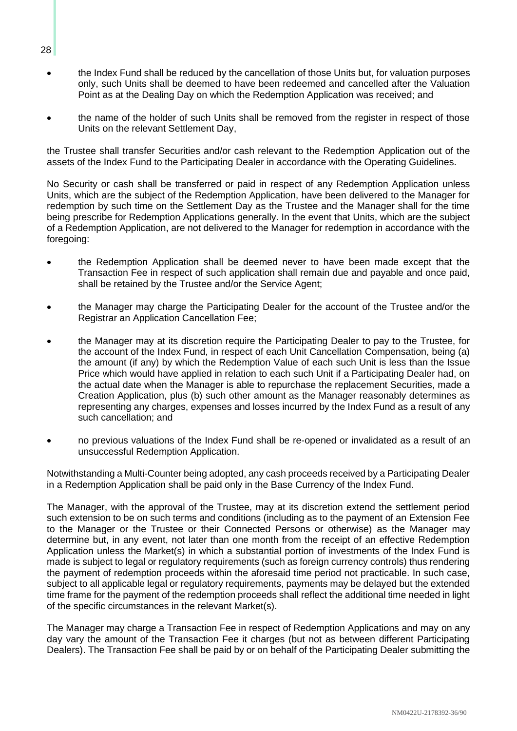- the Index Fund shall be reduced by the cancellation of those Units but, for valuation purposes only, such Units shall be deemed to have been redeemed and cancelled after the Valuation Point as at the Dealing Day on which the Redemption Application was received; and
- the name of the holder of such Units shall be removed from the register in respect of those Units on the relevant Settlement Day,

the Trustee shall transfer Securities and/or cash relevant to the Redemption Application out of the assets of the Index Fund to the Participating Dealer in accordance with the Operating Guidelines.

No Security or cash shall be transferred or paid in respect of any Redemption Application unless Units, which are the subject of the Redemption Application, have been delivered to the Manager for redemption by such time on the Settlement Day as the Trustee and the Manager shall for the time being prescribe for Redemption Applications generally. In the event that Units, which are the subject of a Redemption Application, are not delivered to the Manager for redemption in accordance with the foregoing:

- the Redemption Application shall be deemed never to have been made except that the Transaction Fee in respect of such application shall remain due and payable and once paid, shall be retained by the Trustee and/or the Service Agent;
- the Manager may charge the Participating Dealer for the account of the Trustee and/or the Registrar an Application Cancellation Fee;
- the Manager may at its discretion require the Participating Dealer to pay to the Trustee, for the account of the Index Fund, in respect of each Unit Cancellation Compensation, being (a) the amount (if any) by which the Redemption Value of each such Unit is less than the Issue Price which would have applied in relation to each such Unit if a Participating Dealer had, on the actual date when the Manager is able to repurchase the replacement Securities, made a Creation Application, plus (b) such other amount as the Manager reasonably determines as representing any charges, expenses and losses incurred by the Index Fund as a result of any such cancellation; and
- no previous valuations of the Index Fund shall be re-opened or invalidated as a result of an unsuccessful Redemption Application.

Notwithstanding a Multi-Counter being adopted, any cash proceeds received by a Participating Dealer in a Redemption Application shall be paid only in the Base Currency of the Index Fund.

The Manager, with the approval of the Trustee, may at its discretion extend the settlement period such extension to be on such terms and conditions (including as to the payment of an Extension Fee to the Manager or the Trustee or their Connected Persons or otherwise) as the Manager may determine but, in any event, not later than one month from the receipt of an effective Redemption Application unless the Market(s) in which a substantial portion of investments of the Index Fund is made is subject to legal or regulatory requirements (such as foreign currency controls) thus rendering the payment of redemption proceeds within the aforesaid time period not practicable. In such case, subject to all applicable legal or regulatory requirements, payments may be delayed but the extended time frame for the payment of the redemption proceeds shall reflect the additional time needed in light of the specific circumstances in the relevant Market(s).

The Manager may charge a Transaction Fee in respect of Redemption Applications and may on any day vary the amount of the Transaction Fee it charges (but not as between different Participating Dealers). The Transaction Fee shall be paid by or on behalf of the Participating Dealer submitting the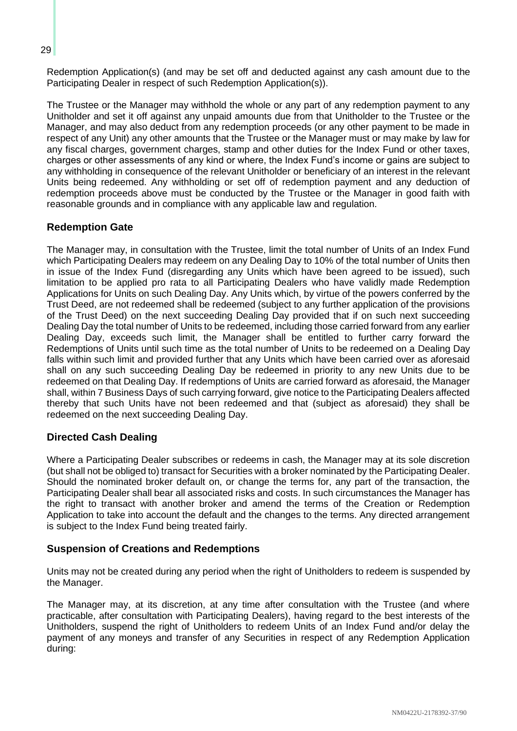Redemption Application(s) (and may be set off and deducted against any cash amount due to the Participating Dealer in respect of such Redemption Application(s)).

The Trustee or the Manager may withhold the whole or any part of any redemption payment to any Unitholder and set it off against any unpaid amounts due from that Unitholder to the Trustee or the Manager, and may also deduct from any redemption proceeds (or any other payment to be made in respect of any Unit) any other amounts that the Trustee or the Manager must or may make by law for any fiscal charges, government charges, stamp and other duties for the Index Fund or other taxes, charges or other assessments of any kind or where, the Index Fund's income or gains are subject to any withholding in consequence of the relevant Unitholder or beneficiary of an interest in the relevant Units being redeemed. Any withholding or set off of redemption payment and any deduction of redemption proceeds above must be conducted by the Trustee or the Manager in good faith with reasonable grounds and in compliance with any applicable law and regulation.

## **Redemption Gate**

The Manager may, in consultation with the Trustee, limit the total number of Units of an Index Fund which Participating Dealers may redeem on any Dealing Day to 10% of the total number of Units then in issue of the Index Fund (disregarding any Units which have been agreed to be issued), such limitation to be applied pro rata to all Participating Dealers who have validly made Redemption Applications for Units on such Dealing Day. Any Units which, by virtue of the powers conferred by the Trust Deed, are not redeemed shall be redeemed (subject to any further application of the provisions of the Trust Deed) on the next succeeding Dealing Day provided that if on such next succeeding Dealing Day the total number of Units to be redeemed, including those carried forward from any earlier Dealing Day, exceeds such limit, the Manager shall be entitled to further carry forward the Redemptions of Units until such time as the total number of Units to be redeemed on a Dealing Day falls within such limit and provided further that any Units which have been carried over as aforesaid shall on any such succeeding Dealing Day be redeemed in priority to any new Units due to be redeemed on that Dealing Day. If redemptions of Units are carried forward as aforesaid, the Manager shall, within 7 Business Days of such carrying forward, give notice to the Participating Dealers affected thereby that such Units have not been redeemed and that (subject as aforesaid) they shall be redeemed on the next succeeding Dealing Day.

#### **Directed Cash Dealing**

Where a Participating Dealer subscribes or redeems in cash, the Manager may at its sole discretion (but shall not be obliged to) transact for Securities with a broker nominated by the Participating Dealer. Should the nominated broker default on, or change the terms for, any part of the transaction, the Participating Dealer shall bear all associated risks and costs. In such circumstances the Manager has the right to transact with another broker and amend the terms of the Creation or Redemption Application to take into account the default and the changes to the terms. Any directed arrangement is subject to the Index Fund being treated fairly.

#### **Suspension of Creations and Redemptions**

Units may not be created during any period when the right of Unitholders to redeem is suspended by the Manager.

The Manager may, at its discretion, at any time after consultation with the Trustee (and where practicable, after consultation with Participating Dealers), having regard to the best interests of the Unitholders, suspend the right of Unitholders to redeem Units of an Index Fund and/or delay the payment of any moneys and transfer of any Securities in respect of any Redemption Application during: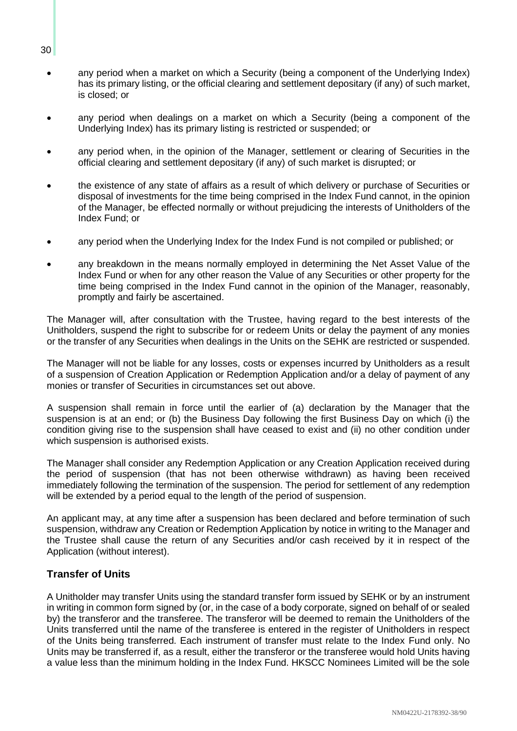- any period when a market on which a Security (being a component of the Underlying Index) has its primary listing, or the official clearing and settlement depositary (if any) of such market, is closed; or
- any period when dealings on a market on which a Security (being a component of the Underlying Index) has its primary listing is restricted or suspended; or
- any period when, in the opinion of the Manager, settlement or clearing of Securities in the official clearing and settlement depositary (if any) of such market is disrupted; or
- the existence of any state of affairs as a result of which delivery or purchase of Securities or disposal of investments for the time being comprised in the Index Fund cannot, in the opinion of the Manager, be effected normally or without prejudicing the interests of Unitholders of the Index Fund; or
- any period when the Underlying Index for the Index Fund is not compiled or published; or
- any breakdown in the means normally employed in determining the Net Asset Value of the Index Fund or when for any other reason the Value of any Securities or other property for the time being comprised in the Index Fund cannot in the opinion of the Manager, reasonably, promptly and fairly be ascertained.

The Manager will, after consultation with the Trustee, having regard to the best interests of the Unitholders, suspend the right to subscribe for or redeem Units or delay the payment of any monies or the transfer of any Securities when dealings in the Units on the SEHK are restricted or suspended.

The Manager will not be liable for any losses, costs or expenses incurred by Unitholders as a result of a suspension of Creation Application or Redemption Application and/or a delay of payment of any monies or transfer of Securities in circumstances set out above.

A suspension shall remain in force until the earlier of (a) declaration by the Manager that the suspension is at an end; or (b) the Business Day following the first Business Day on which (i) the condition giving rise to the suspension shall have ceased to exist and (ii) no other condition under which suspension is authorised exists.

The Manager shall consider any Redemption Application or any Creation Application received during the period of suspension (that has not been otherwise withdrawn) as having been received immediately following the termination of the suspension. The period for settlement of any redemption will be extended by a period equal to the length of the period of suspension.

An applicant may, at any time after a suspension has been declared and before termination of such suspension, withdraw any Creation or Redemption Application by notice in writing to the Manager and the Trustee shall cause the return of any Securities and/or cash received by it in respect of the Application (without interest).

## **Transfer of Units**

A Unitholder may transfer Units using the standard transfer form issued by SEHK or by an instrument in writing in common form signed by (or, in the case of a body corporate, signed on behalf of or sealed by) the transferor and the transferee. The transferor will be deemed to remain the Unitholders of the Units transferred until the name of the transferee is entered in the register of Unitholders in respect of the Units being transferred. Each instrument of transfer must relate to the Index Fund only. No Units may be transferred if, as a result, either the transferor or the transferee would hold Units having a value less than the minimum holding in the Index Fund. HKSCC Nominees Limited will be the sole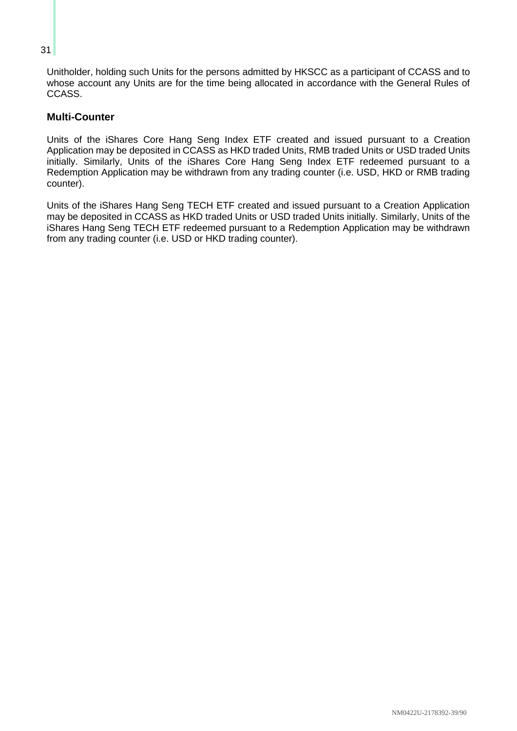Unitholder, holding such Units for the persons admitted by HKSCC as a participant of CCASS and to whose account any Units are for the time being allocated in accordance with the General Rules of CCASS.

## **Multi-Counter**

Units of the iShares Core Hang Seng Index ETF created and issued pursuant to a Creation Application may be deposited in CCASS as HKD traded Units, RMB traded Units or USD traded Units initially. Similarly, Units of the iShares Core Hang Seng Index ETF redeemed pursuant to a Redemption Application may be withdrawn from any trading counter (i.e. USD, HKD or RMB trading counter).

Units of the iShares Hang Seng TECH ETF created and issued pursuant to a Creation Application may be deposited in CCASS as HKD traded Units or USD traded Units initially. Similarly, Units of the iShares Hang Seng TECH ETF redeemed pursuant to a Redemption Application may be withdrawn from any trading counter (i.e. USD or HKD trading counter).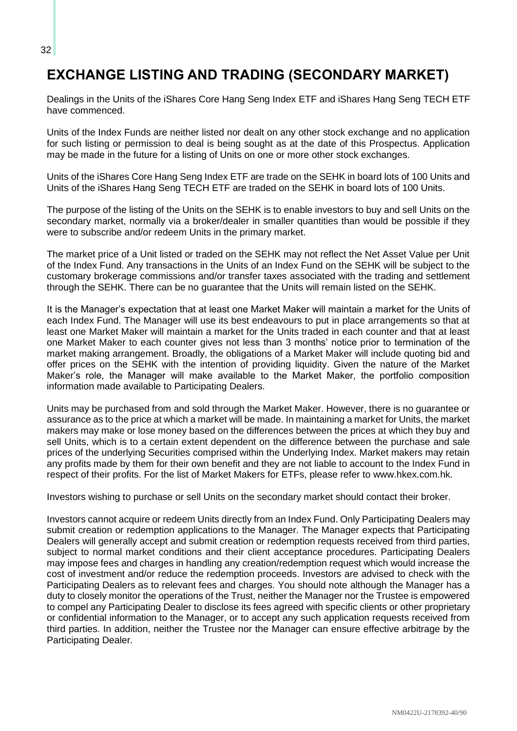## **EXCHANGE LISTING AND TRADING (SECONDARY MARKET)**

Dealings in the Units of the iShares Core Hang Seng Index ETF and iShares Hang Seng TECH ETF have commenced.

Units of the Index Funds are neither listed nor dealt on any other stock exchange and no application for such listing or permission to deal is being sought as at the date of this Prospectus. Application may be made in the future for a listing of Units on one or more other stock exchanges.

Units of the iShares Core Hang Seng Index ETF are trade on the SEHK in board lots of 100 Units and Units of the iShares Hang Seng TECH ETF are traded on the SEHK in board lots of 100 Units.

The purpose of the listing of the Units on the SEHK is to enable investors to buy and sell Units on the secondary market, normally via a broker/dealer in smaller quantities than would be possible if they were to subscribe and/or redeem Units in the primary market.

The market price of a Unit listed or traded on the SEHK may not reflect the Net Asset Value per Unit of the Index Fund. Any transactions in the Units of an Index Fund on the SEHK will be subject to the customary brokerage commissions and/or transfer taxes associated with the trading and settlement through the SEHK. There can be no guarantee that the Units will remain listed on the SEHK.

It is the Manager's expectation that at least one Market Maker will maintain a market for the Units of each Index Fund. The Manager will use its best endeavours to put in place arrangements so that at least one Market Maker will maintain a market for the Units traded in each counter and that at least one Market Maker to each counter gives not less than 3 months' notice prior to termination of the market making arrangement. Broadly, the obligations of a Market Maker will include quoting bid and offer prices on the SEHK with the intention of providing liquidity. Given the nature of the Market Maker's role, the Manager will make available to the Market Maker, the portfolio composition information made available to Participating Dealers.

Units may be purchased from and sold through the Market Maker. However, there is no guarantee or assurance as to the price at which a market will be made. In maintaining a market for Units, the market makers may make or lose money based on the differences between the prices at which they buy and sell Units, which is to a certain extent dependent on the difference between the purchase and sale prices of the underlying Securities comprised within the Underlying Index. Market makers may retain any profits made by them for their own benefit and they are not liable to account to the Index Fund in respect of their profits. For the list of Market Makers for ETFs, please refer to www.hkex.com.hk.

Investors wishing to purchase or sell Units on the secondary market should contact their broker.

Investors cannot acquire or redeem Units directly from an Index Fund. Only Participating Dealers may submit creation or redemption applications to the Manager. The Manager expects that Participating Dealers will generally accept and submit creation or redemption requests received from third parties, subject to normal market conditions and their client acceptance procedures. Participating Dealers may impose fees and charges in handling any creation/redemption request which would increase the cost of investment and/or reduce the redemption proceeds. Investors are advised to check with the Participating Dealers as to relevant fees and charges. You should note although the Manager has a duty to closely monitor the operations of the Trust, neither the Manager nor the Trustee is empowered to compel any Participating Dealer to disclose its fees agreed with specific clients or other proprietary or confidential information to the Manager, or to accept any such application requests received from third parties. In addition, neither the Trustee nor the Manager can ensure effective arbitrage by the Participating Dealer.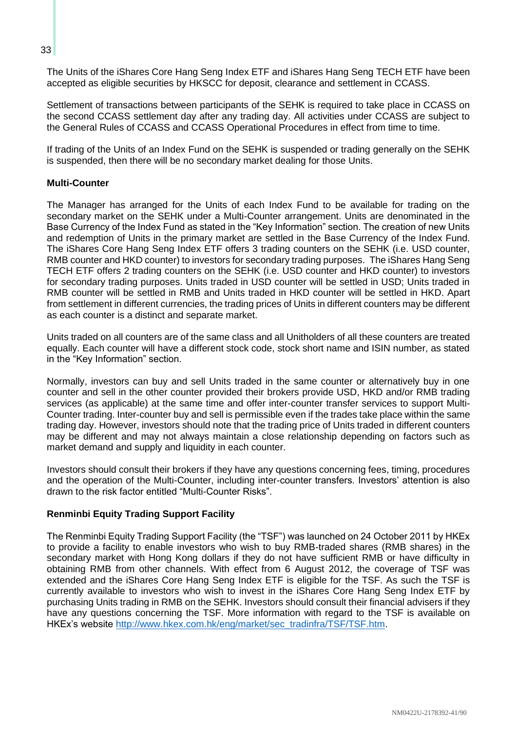The Units of the iShares Core Hang Seng Index ETF and iShares Hang Seng TECH ETF have been accepted as eligible securities by HKSCC for deposit, clearance and settlement in CCASS.

Settlement of transactions between participants of the SEHK is required to take place in CCASS on the second CCASS settlement day after any trading day. All activities under CCASS are subject to the General Rules of CCASS and CCASS Operational Procedures in effect from time to time.

If trading of the Units of an Index Fund on the SEHK is suspended or trading generally on the SEHK is suspended, then there will be no secondary market dealing for those Units.

#### **Multi-Counter**

The Manager has arranged for the Units of each Index Fund to be available for trading on the secondary market on the SEHK under a Multi-Counter arrangement. Units are denominated in the Base Currency of the Index Fund as stated in the "Key Information" section. The creation of new Units and redemption of Units in the primary market are settled in the Base Currency of the Index Fund. The iShares Core Hang Seng Index ETF offers 3 trading counters on the SEHK (i.e. USD counter, RMB counter and HKD counter) to investors for secondary trading purposes. The iShares Hang Seng TECH ETF offers 2 trading counters on the SEHK (i.e. USD counter and HKD counter) to investors for secondary trading purposes. Units traded in USD counter will be settled in USD; Units traded in RMB counter will be settled in RMB and Units traded in HKD counter will be settled in HKD. Apart from settlement in different currencies, the trading prices of Units in different counters may be different as each counter is a distinct and separate market.

Units traded on all counters are of the same class and all Unitholders of all these counters are treated equally. Each counter will have a different stock code, stock short name and ISIN number, as stated in the "Key Information" section.

Normally, investors can buy and sell Units traded in the same counter or alternatively buy in one counter and sell in the other counter provided their brokers provide USD, HKD and/or RMB trading services (as applicable) at the same time and offer inter-counter transfer services to support Multi-Counter trading. Inter-counter buy and sell is permissible even if the trades take place within the same trading day. However, investors should note that the trading price of Units traded in different counters may be different and may not always maintain a close relationship depending on factors such as market demand and supply and liquidity in each counter.

Investors should consult their brokers if they have any questions concerning fees, timing, procedures and the operation of the Multi-Counter, including inter-counter transfers. Investors' attention is also drawn to the risk factor entitled "Multi-Counter Risks".

#### **Renminbi Equity Trading Support Facility**

The Renminbi Equity Trading Support Facility (the "TSF") was launched on 24 October 2011 by HKEx to provide a facility to enable investors who wish to buy RMB-traded shares (RMB shares) in the secondary market with Hong Kong dollars if they do not have sufficient RMB or have difficulty in obtaining RMB from other channels. With effect from 6 August 2012, the coverage of TSF was extended and the iShares Core Hang Seng Index ETF is eligible for the TSF. As such the TSF is currently available to investors who wish to invest in the iShares Core Hang Seng Index ETF by purchasing Units trading in RMB on the SEHK. Investors should consult their financial advisers if they have any questions concerning the TSF. More information with regard to the TSF is available on HKEx's website [http://www.hkex.com.hk/eng/market/sec\\_tradinfra/TSF/TSF.htm.](http://www.hkex.com.hk/eng/market/sec_tradinfra/TSF/TSF.htm)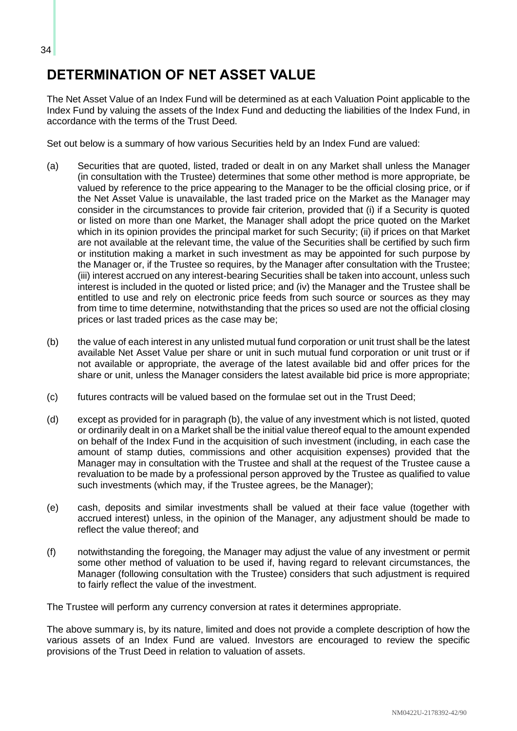## **DETERMINATION OF NET ASSET VALUE**

The Net Asset Value of an Index Fund will be determined as at each Valuation Point applicable to the Index Fund by valuing the assets of the Index Fund and deducting the liabilities of the Index Fund, in accordance with the terms of the Trust Deed.

Set out below is a summary of how various Securities held by an Index Fund are valued:

- (a) Securities that are quoted, listed, traded or dealt in on any Market shall unless the Manager (in consultation with the Trustee) determines that some other method is more appropriate, be valued by reference to the price appearing to the Manager to be the official closing price, or if the Net Asset Value is unavailable, the last traded price on the Market as the Manager may consider in the circumstances to provide fair criterion, provided that (i) if a Security is quoted or listed on more than one Market, the Manager shall adopt the price quoted on the Market which in its opinion provides the principal market for such Security; (ii) if prices on that Market are not available at the relevant time, the value of the Securities shall be certified by such firm or institution making a market in such investment as may be appointed for such purpose by the Manager or, if the Trustee so requires, by the Manager after consultation with the Trustee; (iii) interest accrued on any interest-bearing Securities shall be taken into account, unless such interest is included in the quoted or listed price; and (iv) the Manager and the Trustee shall be entitled to use and rely on electronic price feeds from such source or sources as they may from time to time determine, notwithstanding that the prices so used are not the official closing prices or last traded prices as the case may be;
- (b) the value of each interest in any unlisted mutual fund corporation or unit trust shall be the latest available Net Asset Value per share or unit in such mutual fund corporation or unit trust or if not available or appropriate, the average of the latest available bid and offer prices for the share or unit, unless the Manager considers the latest available bid price is more appropriate;
- (c) futures contracts will be valued based on the formulae set out in the Trust Deed;
- (d) except as provided for in paragraph (b), the value of any investment which is not listed, quoted or ordinarily dealt in on a Market shall be the initial value thereof equal to the amount expended on behalf of the Index Fund in the acquisition of such investment (including, in each case the amount of stamp duties, commissions and other acquisition expenses) provided that the Manager may in consultation with the Trustee and shall at the request of the Trustee cause a revaluation to be made by a professional person approved by the Trustee as qualified to value such investments (which may, if the Trustee agrees, be the Manager);
- (e) cash, deposits and similar investments shall be valued at their face value (together with accrued interest) unless, in the opinion of the Manager, any adjustment should be made to reflect the value thereof; and
- (f) notwithstanding the foregoing, the Manager may adjust the value of any investment or permit some other method of valuation to be used if, having regard to relevant circumstances, the Manager (following consultation with the Trustee) considers that such adjustment is required to fairly reflect the value of the investment.

The Trustee will perform any currency conversion at rates it determines appropriate.

The above summary is, by its nature, limited and does not provide a complete description of how the various assets of an Index Fund are valued. Investors are encouraged to review the specific provisions of the Trust Deed in relation to valuation of assets.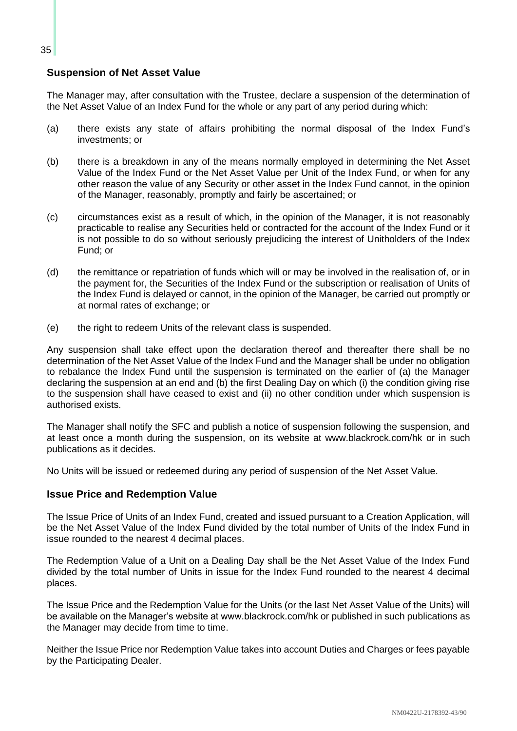## **Suspension of Net Asset Value**

The Manager may, after consultation with the Trustee, declare a suspension of the determination of the Net Asset Value of an Index Fund for the whole or any part of any period during which:

- (a) there exists any state of affairs prohibiting the normal disposal of the Index Fund's investments; or
- (b) there is a breakdown in any of the means normally employed in determining the Net Asset Value of the Index Fund or the Net Asset Value per Unit of the Index Fund, or when for any other reason the value of any Security or other asset in the Index Fund cannot, in the opinion of the Manager, reasonably, promptly and fairly be ascertained; or
- (c) circumstances exist as a result of which, in the opinion of the Manager, it is not reasonably practicable to realise any Securities held or contracted for the account of the Index Fund or it is not possible to do so without seriously prejudicing the interest of Unitholders of the Index Fund; or
- (d) the remittance or repatriation of funds which will or may be involved in the realisation of, or in the payment for, the Securities of the Index Fund or the subscription or realisation of Units of the Index Fund is delayed or cannot, in the opinion of the Manager, be carried out promptly or at normal rates of exchange; or
- (e) the right to redeem Units of the relevant class is suspended.

Any suspension shall take effect upon the declaration thereof and thereafter there shall be no determination of the Net Asset Value of the Index Fund and the Manager shall be under no obligation to rebalance the Index Fund until the suspension is terminated on the earlier of (a) the Manager declaring the suspension at an end and (b) the first Dealing Day on which (i) the condition giving rise to the suspension shall have ceased to exist and (ii) no other condition under which suspension is authorised exists.

The Manager shall notify the SFC and publish a notice of suspension following the suspension, and at least once a month during the suspension, on its website at www.blackrock.com/hk or in such publications as it decides.

No Units will be issued or redeemed during any period of suspension of the Net Asset Value.

#### **Issue Price and Redemption Value**

The Issue Price of Units of an Index Fund, created and issued pursuant to a Creation Application, will be the Net Asset Value of the Index Fund divided by the total number of Units of the Index Fund in issue rounded to the nearest 4 decimal places.

The Redemption Value of a Unit on a Dealing Day shall be the Net Asset Value of the Index Fund divided by the total number of Units in issue for the Index Fund rounded to the nearest 4 decimal places.

The Issue Price and the Redemption Value for the Units (or the last Net Asset Value of the Units) will be available on the Manager's website at www.blackrock.com/hk or published in such publications as the Manager may decide from time to time.

Neither the Issue Price nor Redemption Value takes into account Duties and Charges or fees payable by the Participating Dealer.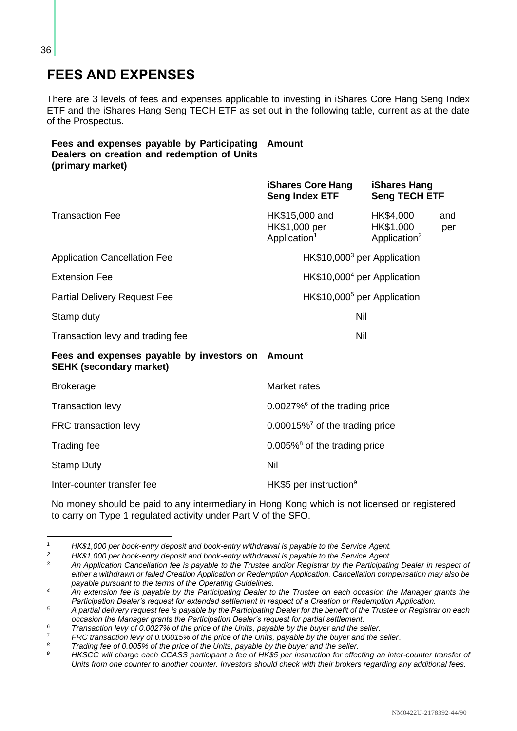## **FEES AND EXPENSES**

There are 3 levels of fees and expenses applicable to investing in iShares Core Hang Seng Index ETF and the iShares Hang Seng TECH ETF as set out in the following table, current as at the date of the Prospectus.

## **Fees and expenses payable by Participating Amount Dealers on creation and redemption of Units (primary market)**

|                                                                                    | <b>iShares Core Hang</b><br><b>Seng Index ETF</b>           | <b>iShares Hang</b><br><b>Seng TECH ETF</b>        |            |
|------------------------------------------------------------------------------------|-------------------------------------------------------------|----------------------------------------------------|------------|
| <b>Transaction Fee</b>                                                             | HK\$15,000 and<br>HK\$1,000 per<br>Application <sup>1</sup> | HK\$4,000<br>HK\$1,000<br>Application <sup>2</sup> | and<br>per |
| <b>Application Cancellation Fee</b>                                                | $HK$10,000^3$ per Application                               |                                                    |            |
| <b>Extension Fee</b>                                                               | $HK$10,0004$ per Application                                |                                                    |            |
| <b>Partial Delivery Request Fee</b>                                                | HK\$10,000 <sup>5</sup> per Application                     |                                                    |            |
| Stamp duty                                                                         | Nil                                                         |                                                    |            |
| Transaction levy and trading fee                                                   | <b>Nil</b>                                                  |                                                    |            |
| Fees and expenses payable by investors on Amount<br><b>SEHK (secondary market)</b> |                                                             |                                                    |            |
| <b>Brokerage</b>                                                                   | Market rates                                                |                                                    |            |
| <b>Transaction levy</b>                                                            | $0.0027\%$ <sup>6</sup> of the trading price                |                                                    |            |
| FRC transaction levy                                                               | $0.00015\%$ of the trading price                            |                                                    |            |
| Trading fee                                                                        | $0.005\%$ <sup>8</sup> of the trading price                 |                                                    |            |
| <b>Stamp Duty</b>                                                                  | Nil                                                         |                                                    |            |
| Inter-counter transfer fee                                                         | HK\$5 per instruction <sup>9</sup>                          |                                                    |            |

No money should be paid to any intermediary in Hong Kong which is not licensed or registered to carry on Type 1 regulated activity under Part V of the SFO.

*<sup>1</sup> HK\$1,000 per book-entry deposit and book-entry withdrawal is payable to the Service Agent.*

*<sup>2</sup> HK\$1,000 per book-entry deposit and book-entry withdrawal is payable to the Service Agent.*

*<sup>3</sup> An Application Cancellation fee is payable to the Trustee and/or Registrar by the Participating Dealer in respect of either a withdrawn or failed Creation Application or Redemption Application. Cancellation compensation may also be payable pursuant to the terms of the Operating Guidelines.*

*<sup>4</sup> An extension fee is payable by the Participating Dealer to the Trustee on each occasion the Manager grants the Participation Dealer's request for extended settlement in respect of a Creation or Redemption Application.*

<sup>&</sup>lt;sup>5</sup> *A partial delivery request fee is payable by the Participating Dealer for the benefit of the Trustee or Registrar on each occasion the Manager grants the Participation Dealer's request for partial settlement.*

*<sup>6</sup> Transaction levy of 0.0027% of the price of the Units, payable by the buyer and the seller.* 7

*FRC transaction levy of 0.00015% of the price of the Units, payable by the buyer and the seller.*<br>Figures for a 2005% of the price of the Unite payable by the buyer and the celler

*<sup>8</sup> Trading fee of 0.005% of the price of the Units, payable by the buyer and the seller.*

*<sup>9</sup> HKSCC will charge each CCASS participant a fee of HK\$5 per instruction for effecting an inter-counter transfer of Units from one counter to another counter. Investors should check with their brokers regarding any additional fees.*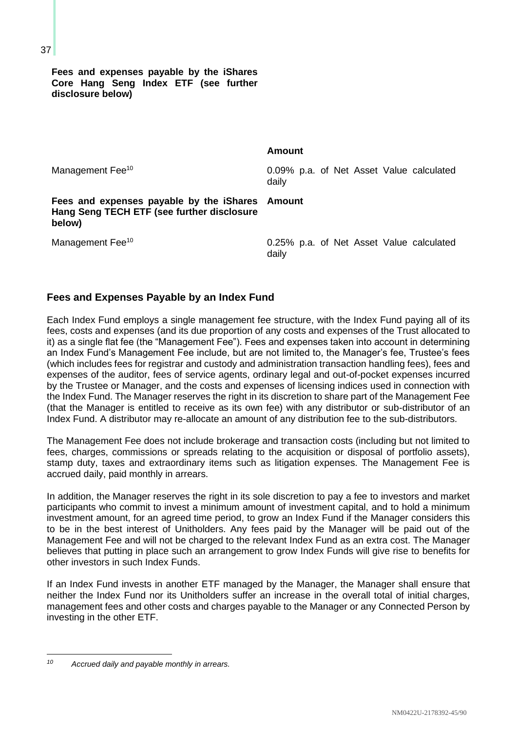**Fees and expenses payable by the iShares Core Hang Seng Index ETF (see further disclosure below)**

Management Fee<sup>10</sup> **D.09% p.a. of Net Asset Value calculated** daily

### **Fees and expenses payable by the iShares Amount Hang Seng TECH ETF (see further disclosure below)**

Management Fee<sup>10</sup> 100 metabolism of the U.25% p.a. of Net Asset Value calculated daily

## **Fees and Expenses Payable by an Index Fund**

Each Index Fund employs a single management fee structure, with the Index Fund paying all of its fees, costs and expenses (and its due proportion of any costs and expenses of the Trust allocated to it) as a single flat fee (the "Management Fee"). Fees and expenses taken into account in determining an Index Fund's Management Fee include, but are not limited to, the Manager's fee, Trustee's fees (which includes fees for registrar and custody and administration transaction handling fees), fees and expenses of the auditor, fees of service agents, ordinary legal and out-of-pocket expenses incurred by the Trustee or Manager, and the costs and expenses of licensing indices used in connection with the Index Fund. The Manager reserves the right in its discretion to share part of the Management Fee (that the Manager is entitled to receive as its own fee) with any distributor or sub-distributor of an Index Fund. A distributor may re-allocate an amount of any distribution fee to the sub-distributors.

**Amount**

The Management Fee does not include brokerage and transaction costs (including but not limited to fees, charges, commissions or spreads relating to the acquisition or disposal of portfolio assets), stamp duty, taxes and extraordinary items such as litigation expenses. The Management Fee is accrued daily, paid monthly in arrears.

In addition, the Manager reserves the right in its sole discretion to pay a fee to investors and market participants who commit to invest a minimum amount of investment capital, and to hold a minimum investment amount, for an agreed time period, to grow an Index Fund if the Manager considers this to be in the best interest of Unitholders. Any fees paid by the Manager will be paid out of the Management Fee and will not be charged to the relevant Index Fund as an extra cost. The Manager believes that putting in place such an arrangement to grow Index Funds will give rise to benefits for other investors in such Index Funds.

If an Index Fund invests in another ETF managed by the Manager, the Manager shall ensure that neither the Index Fund nor its Unitholders suffer an increase in the overall total of initial charges, management fees and other costs and charges payable to the Manager or any Connected Person by investing in the other ETF.

*<sup>10</sup> Accrued daily and payable monthly in arrears.*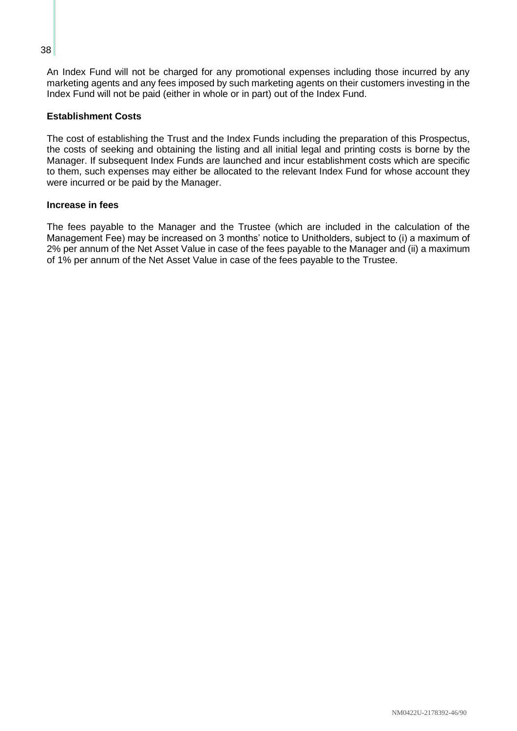An Index Fund will not be charged for any promotional expenses including those incurred by any marketing agents and any fees imposed by such marketing agents on their customers investing in the Index Fund will not be paid (either in whole or in part) out of the Index Fund.

#### **Establishment Costs**

The cost of establishing the Trust and the Index Funds including the preparation of this Prospectus, the costs of seeking and obtaining the listing and all initial legal and printing costs is borne by the Manager. If subsequent Index Funds are launched and incur establishment costs which are specific to them, such expenses may either be allocated to the relevant Index Fund for whose account they were incurred or be paid by the Manager.

#### **Increase in fees**

The fees payable to the Manager and the Trustee (which are included in the calculation of the Management Fee) may be increased on 3 months' notice to Unitholders, subject to (i) a maximum of 2% per annum of the Net Asset Value in case of the fees payable to the Manager and (ii) a maximum of 1% per annum of the Net Asset Value in case of the fees payable to the Trustee.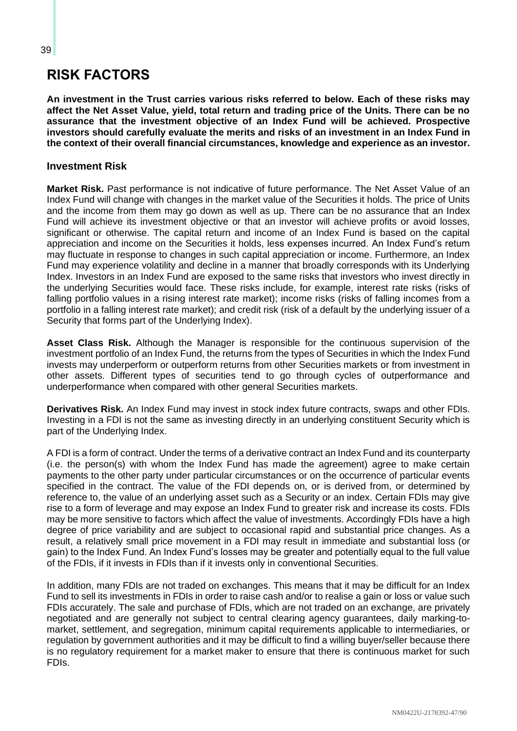## **RISK FACTORS**

**An investment in the Trust carries various risks referred to below. Each of these risks may affect the Net Asset Value, yield, total return and trading price of the Units. There can be no assurance that the investment objective of an Index Fund will be achieved. Prospective investors should carefully evaluate the merits and risks of an investment in an Index Fund in the context of their overall financial circumstances, knowledge and experience as an investor.**

## **Investment Risk**

**Market Risk.** Past performance is not indicative of future performance. The Net Asset Value of an Index Fund will change with changes in the market value of the Securities it holds. The price of Units and the income from them may go down as well as up. There can be no assurance that an Index Fund will achieve its investment objective or that an investor will achieve profits or avoid losses, significant or otherwise. The capital return and income of an Index Fund is based on the capital appreciation and income on the Securities it holds, less expenses incurred. An Index Fund's return may fluctuate in response to changes in such capital appreciation or income. Furthermore, an Index Fund may experience volatility and decline in a manner that broadly corresponds with its Underlying Index. Investors in an Index Fund are exposed to the same risks that investors who invest directly in the underlying Securities would face. These risks include, for example, interest rate risks (risks of falling portfolio values in a rising interest rate market); income risks (risks of falling incomes from a portfolio in a falling interest rate market); and credit risk (risk of a default by the underlying issuer of a Security that forms part of the Underlying Index).

**Asset Class Risk.** Although the Manager is responsible for the continuous supervision of the investment portfolio of an Index Fund, the returns from the types of Securities in which the Index Fund invests may underperform or outperform returns from other Securities markets or from investment in other assets. Different types of securities tend to go through cycles of outperformance and underperformance when compared with other general Securities markets.

**Derivatives Risk.** An Index Fund may invest in stock index future contracts, swaps and other FDIs. Investing in a FDI is not the same as investing directly in an underlying constituent Security which is part of the Underlying Index.

A FDI is a form of contract. Under the terms of a derivative contract an Index Fund and its counterparty (i.e. the person(s) with whom the Index Fund has made the agreement) agree to make certain payments to the other party under particular circumstances or on the occurrence of particular events specified in the contract. The value of the FDI depends on, or is derived from, or determined by reference to, the value of an underlying asset such as a Security or an index. Certain FDIs may give rise to a form of leverage and may expose an Index Fund to greater risk and increase its costs. FDIs may be more sensitive to factors which affect the value of investments. Accordingly FDIs have a high degree of price variability and are subject to occasional rapid and substantial price changes. As a result, a relatively small price movement in a FDI may result in immediate and substantial loss (or gain) to the Index Fund. An Index Fund's losses may be greater and potentially equal to the full value of the FDIs, if it invests in FDIs than if it invests only in conventional Securities.

In addition, many FDIs are not traded on exchanges. This means that it may be difficult for an Index Fund to sell its investments in FDIs in order to raise cash and/or to realise a gain or loss or value such FDIs accurately. The sale and purchase of FDIs, which are not traded on an exchange, are privately negotiated and are generally not subject to central clearing agency guarantees, daily marking-tomarket, settlement, and segregation, minimum capital requirements applicable to intermediaries, or regulation by government authorities and it may be difficult to find a willing buyer/seller because there is no regulatory requirement for a market maker to ensure that there is continuous market for such FDIs.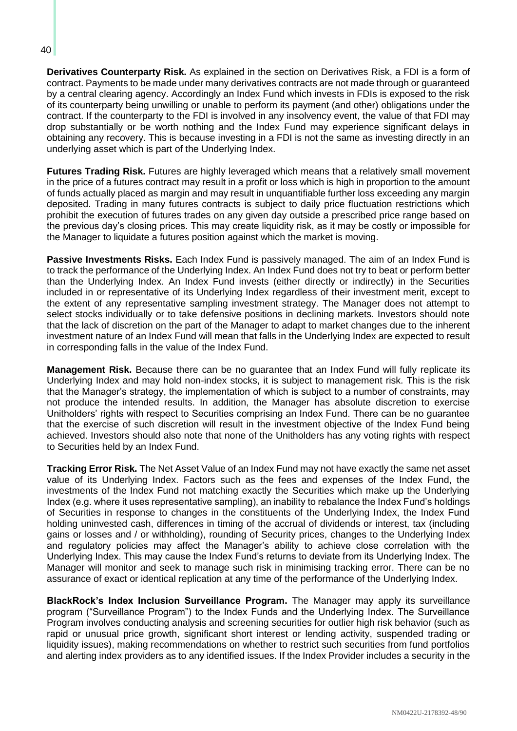**Derivatives Counterparty Risk.** As explained in the section on Derivatives Risk, a FDI is a form of contract. Payments to be made under many derivatives contracts are not made through or guaranteed by a central clearing agency. Accordingly an Index Fund which invests in FDIs is exposed to the risk of its counterparty being unwilling or unable to perform its payment (and other) obligations under the contract. If the counterparty to the FDI is involved in any insolvency event, the value of that FDI may drop substantially or be worth nothing and the Index Fund may experience significant delays in obtaining any recovery. This is because investing in a FDI is not the same as investing directly in an underlying asset which is part of the Underlying Index.

**Futures Trading Risk.** Futures are highly leveraged which means that a relatively small movement in the price of a futures contract may result in a profit or loss which is high in proportion to the amount of funds actually placed as margin and may result in unquantifiable further loss exceeding any margin deposited. Trading in many futures contracts is subject to daily price fluctuation restrictions which prohibit the execution of futures trades on any given day outside a prescribed price range based on the previous day's closing prices. This may create liquidity risk, as it may be costly or impossible for the Manager to liquidate a futures position against which the market is moving.

**Passive Investments Risks.** Each Index Fund is passively managed. The aim of an Index Fund is to track the performance of the Underlying Index. An Index Fund does not try to beat or perform better than the Underlying Index. An Index Fund invests (either directly or indirectly) in the Securities included in or representative of its Underlying Index regardless of their investment merit, except to the extent of any representative sampling investment strategy. The Manager does not attempt to select stocks individually or to take defensive positions in declining markets. Investors should note that the lack of discretion on the part of the Manager to adapt to market changes due to the inherent investment nature of an Index Fund will mean that falls in the Underlying Index are expected to result in corresponding falls in the value of the Index Fund.

**Management Risk.** Because there can be no guarantee that an Index Fund will fully replicate its Underlying Index and may hold non-index stocks, it is subject to management risk. This is the risk that the Manager's strategy, the implementation of which is subject to a number of constraints, may not produce the intended results. In addition, the Manager has absolute discretion to exercise Unitholders' rights with respect to Securities comprising an Index Fund. There can be no guarantee that the exercise of such discretion will result in the investment objective of the Index Fund being achieved. Investors should also note that none of the Unitholders has any voting rights with respect to Securities held by an Index Fund.

**Tracking Error Risk.** The Net Asset Value of an Index Fund may not have exactly the same net asset value of its Underlying Index. Factors such as the fees and expenses of the Index Fund, the investments of the Index Fund not matching exactly the Securities which make up the Underlying Index (e.g. where it uses representative sampling), an inability to rebalance the Index Fund's holdings of Securities in response to changes in the constituents of the Underlying Index, the Index Fund holding uninvested cash, differences in timing of the accrual of dividends or interest, tax (including gains or losses and / or withholding), rounding of Security prices, changes to the Underlying Index and regulatory policies may affect the Manager's ability to achieve close correlation with the Underlying Index. This may cause the Index Fund's returns to deviate from its Underlying Index. The Manager will monitor and seek to manage such risk in minimising tracking error. There can be no assurance of exact or identical replication at any time of the performance of the Underlying Index.

**BlackRock's Index Inclusion Surveillance Program.** The Manager may apply its surveillance program ("Surveillance Program") to the Index Funds and the Underlying Index. The Surveillance Program involves conducting analysis and screening securities for outlier high risk behavior (such as rapid or unusual price growth, significant short interest or lending activity, suspended trading or liquidity issues), making recommendations on whether to restrict such securities from fund portfolios and alerting index providers as to any identified issues. If the Index Provider includes a security in the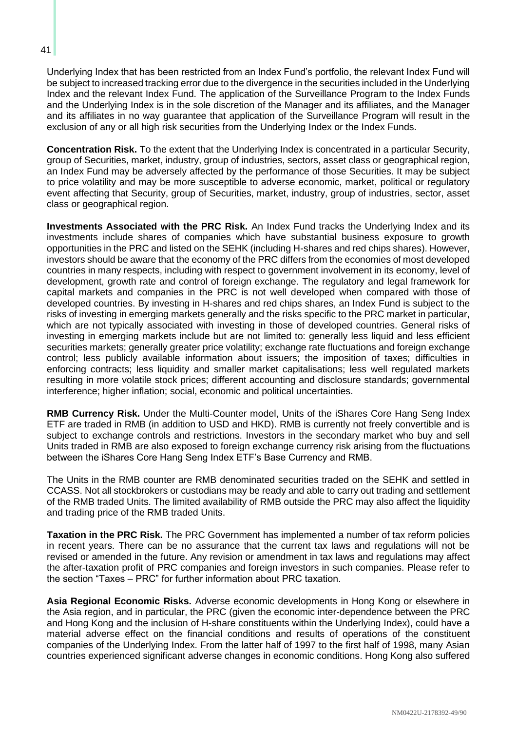Underlying Index that has been restricted from an Index Fund's portfolio, the relevant Index Fund will be subject to increased tracking error due to the divergence in the securities included in the Underlying Index and the relevant Index Fund. The application of the Surveillance Program to the Index Funds and the Underlying Index is in the sole discretion of the Manager and its affiliates, and the Manager and its affiliates in no way guarantee that application of the Surveillance Program will result in the exclusion of any or all high risk securities from the Underlying Index or the Index Funds.

**Concentration Risk.** To the extent that the Underlying Index is concentrated in a particular Security, group of Securities, market, industry, group of industries, sectors, asset class or geographical region, an Index Fund may be adversely affected by the performance of those Securities. It may be subject to price volatility and may be more susceptible to adverse economic, market, political or regulatory event affecting that Security, group of Securities, market, industry, group of industries, sector, asset class or geographical region.

**Investments Associated with the PRC Risk.** An Index Fund tracks the Underlying Index and its investments include shares of companies which have substantial business exposure to growth opportunities in the PRC and listed on the SEHK (including H-shares and red chips shares). However, investors should be aware that the economy of the PRC differs from the economies of most developed countries in many respects, including with respect to government involvement in its economy, level of development, growth rate and control of foreign exchange. The regulatory and legal framework for capital markets and companies in the PRC is not well developed when compared with those of developed countries. By investing in H-shares and red chips shares, an Index Fund is subject to the risks of investing in emerging markets generally and the risks specific to the PRC market in particular, which are not typically associated with investing in those of developed countries. General risks of investing in emerging markets include but are not limited to: generally less liquid and less efficient securities markets; generally greater price volatility; exchange rate fluctuations and foreign exchange control; less publicly available information about issuers; the imposition of taxes; difficulties in enforcing contracts; less liquidity and smaller market capitalisations; less well regulated markets resulting in more volatile stock prices; different accounting and disclosure standards; governmental interference; higher inflation; social, economic and political uncertainties.

**RMB Currency Risk.** Under the Multi-Counter model, Units of the iShares Core Hang Seng Index ETF are traded in RMB (in addition to USD and HKD). RMB is currently not freely convertible and is subject to exchange controls and restrictions. Investors in the secondary market who buy and sell Units traded in RMB are also exposed to foreign exchange currency risk arising from the fluctuations between the iShares Core Hang Seng Index ETF's Base Currency and RMB.

The Units in the RMB counter are RMB denominated securities traded on the SEHK and settled in CCASS. Not all stockbrokers or custodians may be ready and able to carry out trading and settlement of the RMB traded Units. The limited availability of RMB outside the PRC may also affect the liquidity and trading price of the RMB traded Units.

**Taxation in the PRC Risk.** The PRC Government has implemented a number of tax reform policies in recent years. There can be no assurance that the current tax laws and regulations will not be revised or amended in the future. Any revision or amendment in tax laws and regulations may affect the after-taxation profit of PRC companies and foreign investors in such companies. Please refer to the section "Taxes – PRC" for further information about PRC taxation.

**Asia Regional Economic Risks.** Adverse economic developments in Hong Kong or elsewhere in the Asia region, and in particular, the PRC (given the economic inter-dependence between the PRC and Hong Kong and the inclusion of H-share constituents within the Underlying Index), could have a material adverse effect on the financial conditions and results of operations of the constituent companies of the Underlying Index. From the latter half of 1997 to the first half of 1998, many Asian countries experienced significant adverse changes in economic conditions. Hong Kong also suffered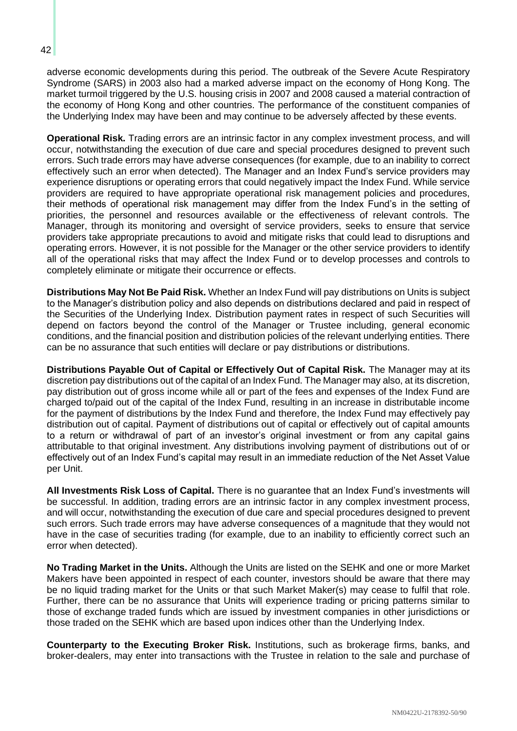adverse economic developments during this period. The outbreak of the Severe Acute Respiratory Syndrome (SARS) in 2003 also had a marked adverse impact on the economy of Hong Kong. The market turmoil triggered by the U.S. housing crisis in 2007 and 2008 caused a material contraction of the economy of Hong Kong and other countries. The performance of the constituent companies of the Underlying Index may have been and may continue to be adversely affected by these events.

**Operational Risk.** Trading errors are an intrinsic factor in any complex investment process, and will occur, notwithstanding the execution of due care and special procedures designed to prevent such errors. Such trade errors may have adverse consequences (for example, due to an inability to correct effectively such an error when detected). The Manager and an Index Fund's service providers may experience disruptions or operating errors that could negatively impact the Index Fund. While service providers are required to have appropriate operational risk management policies and procedures, their methods of operational risk management may differ from the Index Fund's in the setting of priorities, the personnel and resources available or the effectiveness of relevant controls. The Manager, through its monitoring and oversight of service providers, seeks to ensure that service providers take appropriate precautions to avoid and mitigate risks that could lead to disruptions and operating errors. However, it is not possible for the Manager or the other service providers to identify all of the operational risks that may affect the Index Fund or to develop processes and controls to completely eliminate or mitigate their occurrence or effects.

**Distributions May Not Be Paid Risk.** Whether an Index Fund will pay distributions on Units is subject to the Manager's distribution policy and also depends on distributions declared and paid in respect of the Securities of the Underlying Index. Distribution payment rates in respect of such Securities will depend on factors beyond the control of the Manager or Trustee including, general economic conditions, and the financial position and distribution policies of the relevant underlying entities. There can be no assurance that such entities will declare or pay distributions or distributions.

**Distributions Payable Out of Capital or Effectively Out of Capital Risk.** The Manager may at its discretion pay distributions out of the capital of an Index Fund. The Manager may also, at its discretion, pay distribution out of gross income while all or part of the fees and expenses of the Index Fund are charged to/paid out of the capital of the Index Fund, resulting in an increase in distributable income for the payment of distributions by the Index Fund and therefore, the Index Fund may effectively pay distribution out of capital. Payment of distributions out of capital or effectively out of capital amounts to a return or withdrawal of part of an investor's original investment or from any capital gains attributable to that original investment. Any distributions involving payment of distributions out of or effectively out of an Index Fund's capital may result in an immediate reduction of the Net Asset Value per Unit.

**All Investments Risk Loss of Capital.** There is no guarantee that an Index Fund's investments will be successful. In addition, trading errors are an intrinsic factor in any complex investment process, and will occur, notwithstanding the execution of due care and special procedures designed to prevent such errors. Such trade errors may have adverse consequences of a magnitude that they would not have in the case of securities trading (for example, due to an inability to efficiently correct such an error when detected).

**No Trading Market in the Units.** Although the Units are listed on the SEHK and one or more Market Makers have been appointed in respect of each counter, investors should be aware that there may be no liquid trading market for the Units or that such Market Maker(s) may cease to fulfil that role. Further, there can be no assurance that Units will experience trading or pricing patterns similar to those of exchange traded funds which are issued by investment companies in other jurisdictions or those traded on the SEHK which are based upon indices other than the Underlying Index.

**Counterparty to the Executing Broker Risk.** Institutions, such as brokerage firms, banks, and broker-dealers, may enter into transactions with the Trustee in relation to the sale and purchase of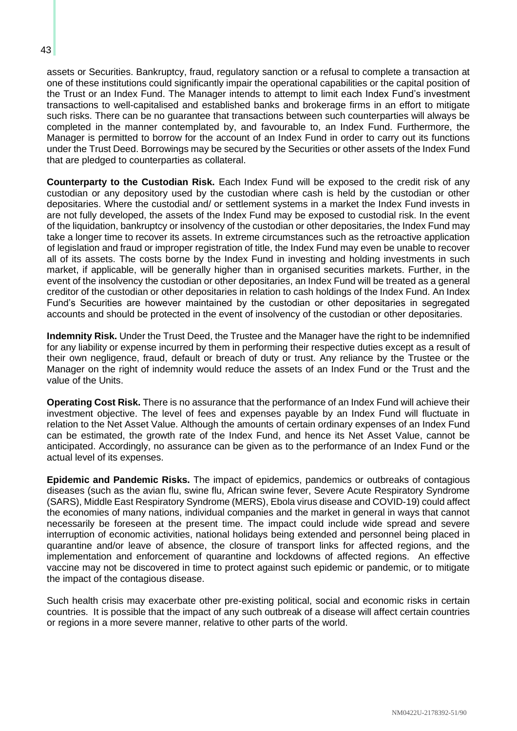assets or Securities. Bankruptcy, fraud, regulatory sanction or a refusal to complete a transaction at one of these institutions could significantly impair the operational capabilities or the capital position of the Trust or an Index Fund. The Manager intends to attempt to limit each Index Fund's investment transactions to well-capitalised and established banks and brokerage firms in an effort to mitigate such risks. There can be no guarantee that transactions between such counterparties will always be completed in the manner contemplated by, and favourable to, an Index Fund. Furthermore, the Manager is permitted to borrow for the account of an Index Fund in order to carry out its functions under the Trust Deed. Borrowings may be secured by the Securities or other assets of the Index Fund

that are pledged to counterparties as collateral.

**Counterparty to the Custodian Risk.** Each Index Fund will be exposed to the credit risk of any custodian or any depository used by the custodian where cash is held by the custodian or other depositaries. Where the custodial and/ or settlement systems in a market the Index Fund invests in are not fully developed, the assets of the Index Fund may be exposed to custodial risk. In the event of the liquidation, bankruptcy or insolvency of the custodian or other depositaries, the Index Fund may take a longer time to recover its assets. In extreme circumstances such as the retroactive application of legislation and fraud or improper registration of title, the Index Fund may even be unable to recover all of its assets. The costs borne by the Index Fund in investing and holding investments in such market, if applicable, will be generally higher than in organised securities markets. Further, in the event of the insolvency the custodian or other depositaries, an Index Fund will be treated as a general creditor of the custodian or other depositaries in relation to cash holdings of the Index Fund. An Index Fund's Securities are however maintained by the custodian or other depositaries in segregated accounts and should be protected in the event of insolvency of the custodian or other depositaries.

**Indemnity Risk.** Under the Trust Deed, the Trustee and the Manager have the right to be indemnified for any liability or expense incurred by them in performing their respective duties except as a result of their own negligence, fraud, default or breach of duty or trust. Any reliance by the Trustee or the Manager on the right of indemnity would reduce the assets of an Index Fund or the Trust and the value of the Units.

**Operating Cost Risk.** There is no assurance that the performance of an Index Fund will achieve their investment objective. The level of fees and expenses payable by an Index Fund will fluctuate in relation to the Net Asset Value. Although the amounts of certain ordinary expenses of an Index Fund can be estimated, the growth rate of the Index Fund, and hence its Net Asset Value, cannot be anticipated. Accordingly, no assurance can be given as to the performance of an Index Fund or the actual level of its expenses.

**Epidemic and Pandemic Risks.** The impact of epidemics, pandemics or outbreaks of contagious diseases (such as the avian flu, swine flu, African swine fever, Severe Acute Respiratory Syndrome (SARS), Middle East Respiratory Syndrome (MERS), Ebola virus disease and COVID-19) could affect the economies of many nations, individual companies and the market in general in ways that cannot necessarily be foreseen at the present time. The impact could include wide spread and severe interruption of economic activities, national holidays being extended and personnel being placed in quarantine and/or leave of absence, the closure of transport links for affected regions, and the implementation and enforcement of quarantine and lockdowns of affected regions. An effective vaccine may not be discovered in time to protect against such epidemic or pandemic, or to mitigate the impact of the contagious disease.

Such health crisis may exacerbate other pre-existing political, social and economic risks in certain countries. It is possible that the impact of any such outbreak of a disease will affect certain countries or regions in a more severe manner, relative to other parts of the world.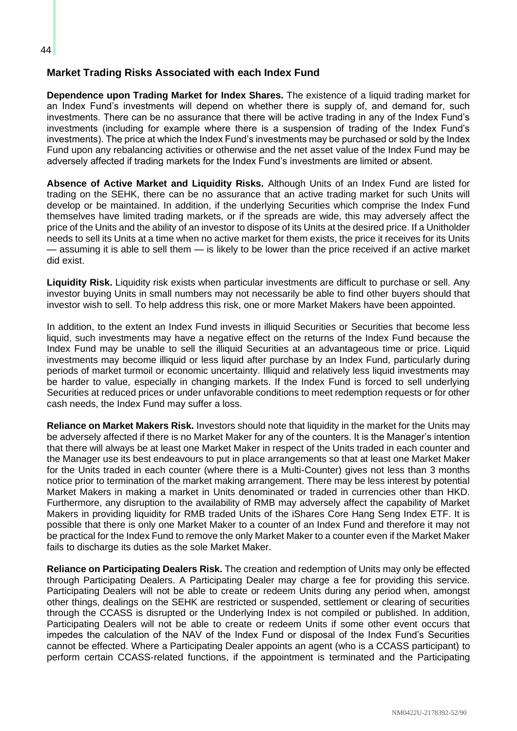## **Market Trading Risks Associated with each Index Fund**

**Dependence upon Trading Market for Index Shares.** The existence of a liquid trading market for an Index Fund's investments will depend on whether there is supply of, and demand for, such investments. There can be no assurance that there will be active trading in any of the Index Fund's investments (including for example where there is a suspension of trading of the Index Fund's investments). The price at which the Index Fund's investments may be purchased or sold by the Index Fund upon any rebalancing activities or otherwise and the net asset value of the Index Fund may be adversely affected if trading markets for the Index Fund's investments are limited or absent.

**Absence of Active Market and Liquidity Risks.** Although Units of an Index Fund are listed for trading on the SEHK, there can be no assurance that an active trading market for such Units will develop or be maintained. In addition, if the underlying Securities which comprise the Index Fund themselves have limited trading markets, or if the spreads are wide, this may adversely affect the price of the Units and the ability of an investor to dispose of its Units at the desired price. If a Unitholder needs to sell its Units at a time when no active market for them exists, the price it receives for its Units — assuming it is able to sell them — is likely to be lower than the price received if an active market did exist.

**Liquidity Risk.** Liquidity risk exists when particular investments are difficult to purchase or sell. Any investor buying Units in small numbers may not necessarily be able to find other buyers should that investor wish to sell. To help address this risk, one or more Market Makers have been appointed.

In addition, to the extent an Index Fund invests in illiquid Securities or Securities that become less liquid, such investments may have a negative effect on the returns of the Index Fund because the Index Fund may be unable to sell the illiquid Securities at an advantageous time or price. Liquid investments may become illiquid or less liquid after purchase by an Index Fund, particularly during periods of market turmoil or economic uncertainty. Illiquid and relatively less liquid investments may be harder to value, especially in changing markets. If the Index Fund is forced to sell underlying Securities at reduced prices or under unfavorable conditions to meet redemption requests or for other cash needs, the Index Fund may suffer a loss.

**Reliance on Market Makers Risk.** Investors should note that liquidity in the market for the Units may be adversely affected if there is no Market Maker for any of the counters. It is the Manager's intention that there will always be at least one Market Maker in respect of the Units traded in each counter and the Manager use its best endeavours to put in place arrangements so that at least one Market Maker for the Units traded in each counter (where there is a Multi-Counter) gives not less than 3 months notice prior to termination of the market making arrangement. There may be less interest by potential Market Makers in making a market in Units denominated or traded in currencies other than HKD. Furthermore, any disruption to the availability of RMB may adversely affect the capability of Market Makers in providing liquidity for RMB traded Units of the iShares Core Hang Seng Index ETF. It is possible that there is only one Market Maker to a counter of an Index Fund and therefore it may not be practical for the Index Fund to remove the only Market Maker to a counter even if the Market Maker fails to discharge its duties as the sole Market Maker.

**Reliance on Participating Dealers Risk.** The creation and redemption of Units may only be effected through Participating Dealers. A Participating Dealer may charge a fee for providing this service. Participating Dealers will not be able to create or redeem Units during any period when, amongst other things, dealings on the SEHK are restricted or suspended, settlement or clearing of securities through the CCASS is disrupted or the Underlying Index is not compiled or published. In addition, Participating Dealers will not be able to create or redeem Units if some other event occurs that impedes the calculation of the NAV of the Index Fund or disposal of the Index Fund's Securities cannot be effected. Where a Participating Dealer appoints an agent (who is a CCASS participant) to perform certain CCASS-related functions, if the appointment is terminated and the Participating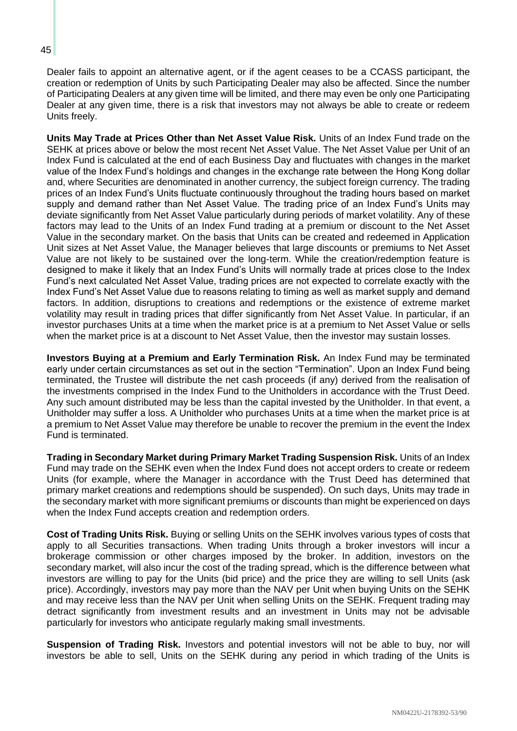Dealer fails to appoint an alternative agent, or if the agent ceases to be a CCASS participant, the creation or redemption of Units by such Participating Dealer may also be affected. Since the number of Participating Dealers at any given time will be limited, and there may even be only one Participating Dealer at any given time, there is a risk that investors may not always be able to create or redeem Units freely.

**Units May Trade at Prices Other than Net Asset Value Risk.** Units of an Index Fund trade on the SEHK at prices above or below the most recent Net Asset Value. The Net Asset Value per Unit of an Index Fund is calculated at the end of each Business Day and fluctuates with changes in the market value of the Index Fund's holdings and changes in the exchange rate between the Hong Kong dollar and, where Securities are denominated in another currency, the subject foreign currency. The trading prices of an Index Fund's Units fluctuate continuously throughout the trading hours based on market supply and demand rather than Net Asset Value. The trading price of an Index Fund's Units may deviate significantly from Net Asset Value particularly during periods of market volatility. Any of these factors may lead to the Units of an Index Fund trading at a premium or discount to the Net Asset Value in the secondary market. On the basis that Units can be created and redeemed in Application Unit sizes at Net Asset Value, the Manager believes that large discounts or premiums to Net Asset Value are not likely to be sustained over the long-term. While the creation/redemption feature is designed to make it likely that an Index Fund's Units will normally trade at prices close to the Index Fund's next calculated Net Asset Value, trading prices are not expected to correlate exactly with the Index Fund's Net Asset Value due to reasons relating to timing as well as market supply and demand factors. In addition, disruptions to creations and redemptions or the existence of extreme market volatility may result in trading prices that differ significantly from Net Asset Value. In particular, if an investor purchases Units at a time when the market price is at a premium to Net Asset Value or sells when the market price is at a discount to Net Asset Value, then the investor may sustain losses.

**Investors Buying at a Premium and Early Termination Risk.** An Index Fund may be terminated early under certain circumstances as set out in the section "Termination". Upon an Index Fund being terminated, the Trustee will distribute the net cash proceeds (if any) derived from the realisation of the investments comprised in the Index Fund to the Unitholders in accordance with the Trust Deed. Any such amount distributed may be less than the capital invested by the Unitholder. In that event, a Unitholder may suffer a loss. A Unitholder who purchases Units at a time when the market price is at a premium to Net Asset Value may therefore be unable to recover the premium in the event the Index Fund is terminated.

**Trading in Secondary Market during Primary Market Trading Suspension Risk.** Units of an Index Fund may trade on the SEHK even when the Index Fund does not accept orders to create or redeem Units (for example, where the Manager in accordance with the Trust Deed has determined that primary market creations and redemptions should be suspended). On such days, Units may trade in the secondary market with more significant premiums or discounts than might be experienced on days when the Index Fund accepts creation and redemption orders.

**Cost of Trading Units Risk.** Buying or selling Units on the SEHK involves various types of costs that apply to all Securities transactions. When trading Units through a broker investors will incur a brokerage commission or other charges imposed by the broker. In addition, investors on the secondary market, will also incur the cost of the trading spread, which is the difference between what investors are willing to pay for the Units (bid price) and the price they are willing to sell Units (ask price). Accordingly, investors may pay more than the NAV per Unit when buying Units on the SEHK and may receive less than the NAV per Unit when selling Units on the SEHK. Frequent trading may detract significantly from investment results and an investment in Units may not be advisable particularly for investors who anticipate regularly making small investments.

**Suspension of Trading Risk.** Investors and potential investors will not be able to buy, nor will investors be able to sell, Units on the SEHK during any period in which trading of the Units is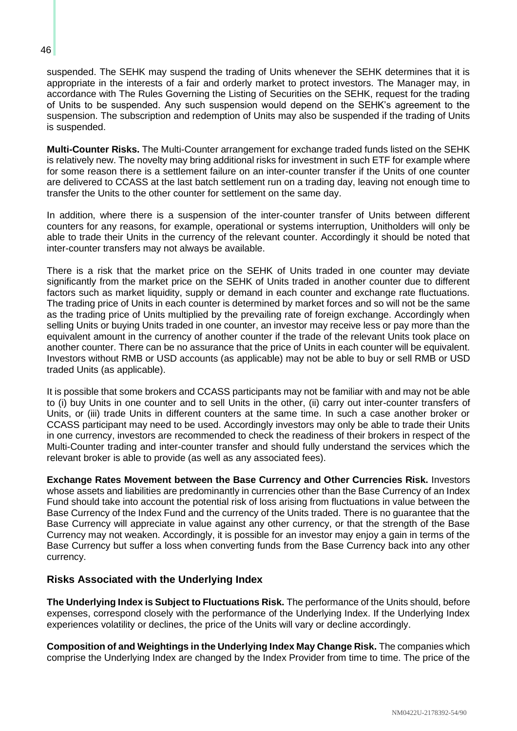suspended. The SEHK may suspend the trading of Units whenever the SEHK determines that it is appropriate in the interests of a fair and orderly market to protect investors. The Manager may, in accordance with The Rules Governing the Listing of Securities on the SEHK, request for the trading of Units to be suspended. Any such suspension would depend on the SEHK's agreement to the suspension. The subscription and redemption of Units may also be suspended if the trading of Units is suspended.

**Multi-Counter Risks.** The Multi-Counter arrangement for exchange traded funds listed on the SEHK is relatively new. The novelty may bring additional risks for investment in such ETF for example where for some reason there is a settlement failure on an inter-counter transfer if the Units of one counter are delivered to CCASS at the last batch settlement run on a trading day, leaving not enough time to transfer the Units to the other counter for settlement on the same day.

In addition, where there is a suspension of the inter-counter transfer of Units between different counters for any reasons, for example, operational or systems interruption, Unitholders will only be able to trade their Units in the currency of the relevant counter. Accordingly it should be noted that inter-counter transfers may not always be available.

There is a risk that the market price on the SEHK of Units traded in one counter may deviate significantly from the market price on the SEHK of Units traded in another counter due to different factors such as market liquidity, supply or demand in each counter and exchange rate fluctuations. The trading price of Units in each counter is determined by market forces and so will not be the same as the trading price of Units multiplied by the prevailing rate of foreign exchange. Accordingly when selling Units or buying Units traded in one counter, an investor may receive less or pay more than the equivalent amount in the currency of another counter if the trade of the relevant Units took place on another counter. There can be no assurance that the price of Units in each counter will be equivalent. Investors without RMB or USD accounts (as applicable) may not be able to buy or sell RMB or USD traded Units (as applicable).

It is possible that some brokers and CCASS participants may not be familiar with and may not be able to (i) buy Units in one counter and to sell Units in the other, (ii) carry out inter-counter transfers of Units, or (iii) trade Units in different counters at the same time. In such a case another broker or CCASS participant may need to be used. Accordingly investors may only be able to trade their Units in one currency, investors are recommended to check the readiness of their brokers in respect of the Multi-Counter trading and inter-counter transfer and should fully understand the services which the relevant broker is able to provide (as well as any associated fees).

**Exchange Rates Movement between the Base Currency and Other Currencies Risk.** Investors whose assets and liabilities are predominantly in currencies other than the Base Currency of an Index Fund should take into account the potential risk of loss arising from fluctuations in value between the Base Currency of the Index Fund and the currency of the Units traded. There is no guarantee that the Base Currency will appreciate in value against any other currency, or that the strength of the Base Currency may not weaken. Accordingly, it is possible for an investor may enjoy a gain in terms of the Base Currency but suffer a loss when converting funds from the Base Currency back into any other currency.

## **Risks Associated with the Underlying Index**

**The Underlying Index is Subject to Fluctuations Risk.** The performance of the Units should, before expenses, correspond closely with the performance of the Underlying Index. If the Underlying Index experiences volatility or declines, the price of the Units will vary or decline accordingly.

**Composition of and Weightings in the Underlying Index May Change Risk.** The companies which comprise the Underlying Index are changed by the Index Provider from time to time. The price of the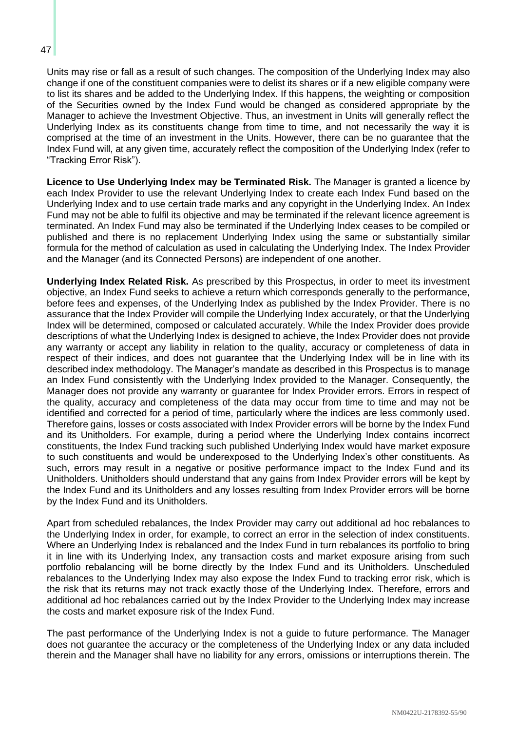Units may rise or fall as a result of such changes. The composition of the Underlying Index may also change if one of the constituent companies were to delist its shares or if a new eligible company were to list its shares and be added to the Underlying Index. If this happens, the weighting or composition of the Securities owned by the Index Fund would be changed as considered appropriate by the Manager to achieve the Investment Objective. Thus, an investment in Units will generally reflect the Underlying Index as its constituents change from time to time, and not necessarily the way it is comprised at the time of an investment in the Units. However, there can be no guarantee that the Index Fund will, at any given time, accurately reflect the composition of the Underlying Index (refer to "Tracking Error Risk").

**Licence to Use Underlying Index may be Terminated Risk.** The Manager is granted a licence by each Index Provider to use the relevant Underlying Index to create each Index Fund based on the Underlying Index and to use certain trade marks and any copyright in the Underlying Index. An Index Fund may not be able to fulfil its objective and may be terminated if the relevant licence agreement is terminated. An Index Fund may also be terminated if the Underlying Index ceases to be compiled or published and there is no replacement Underlying Index using the same or substantially similar formula for the method of calculation as used in calculating the Underlying Index. The Index Provider and the Manager (and its Connected Persons) are independent of one another.

**Underlying Index Related Risk.** As prescribed by this Prospectus, in order to meet its investment objective, an Index Fund seeks to achieve a return which corresponds generally to the performance, before fees and expenses, of the Underlying Index as published by the Index Provider. There is no assurance that the Index Provider will compile the Underlying Index accurately, or that the Underlying Index will be determined, composed or calculated accurately. While the Index Provider does provide descriptions of what the Underlying Index is designed to achieve, the Index Provider does not provide any warranty or accept any liability in relation to the quality, accuracy or completeness of data in respect of their indices, and does not guarantee that the Underlying Index will be in line with its described index methodology. The Manager's mandate as described in this Prospectus is to manage an Index Fund consistently with the Underlying Index provided to the Manager. Consequently, the Manager does not provide any warranty or guarantee for Index Provider errors. Errors in respect of the quality, accuracy and completeness of the data may occur from time to time and may not be identified and corrected for a period of time, particularly where the indices are less commonly used. Therefore gains, losses or costs associated with Index Provider errors will be borne by the Index Fund and its Unitholders. For example, during a period where the Underlying Index contains incorrect constituents, the Index Fund tracking such published Underlying Index would have market exposure to such constituents and would be underexposed to the Underlying Index's other constituents. As such, errors may result in a negative or positive performance impact to the Index Fund and its Unitholders. Unitholders should understand that any gains from Index Provider errors will be kept by the Index Fund and its Unitholders and any losses resulting from Index Provider errors will be borne by the Index Fund and its Unitholders.

Apart from scheduled rebalances, the Index Provider may carry out additional ad hoc rebalances to the Underlying Index in order, for example, to correct an error in the selection of index constituents. Where an Underlying Index is rebalanced and the Index Fund in turn rebalances its portfolio to bring it in line with its Underlying Index, any transaction costs and market exposure arising from such portfolio rebalancing will be borne directly by the Index Fund and its Unitholders. Unscheduled rebalances to the Underlying Index may also expose the Index Fund to tracking error risk, which is the risk that its returns may not track exactly those of the Underlying Index. Therefore, errors and additional ad hoc rebalances carried out by the Index Provider to the Underlying Index may increase the costs and market exposure risk of the Index Fund.

The past performance of the Underlying Index is not a guide to future performance. The Manager does not guarantee the accuracy or the completeness of the Underlying Index or any data included therein and the Manager shall have no liability for any errors, omissions or interruptions therein. The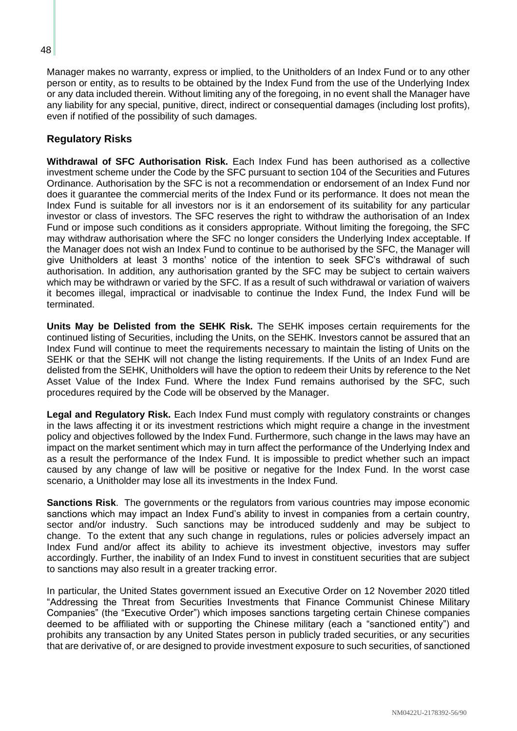Manager makes no warranty, express or implied, to the Unitholders of an Index Fund or to any other person or entity, as to results to be obtained by the Index Fund from the use of the Underlying Index or any data included therein. Without limiting any of the foregoing, in no event shall the Manager have any liability for any special, punitive, direct, indirect or consequential damages (including lost profits), even if notified of the possibility of such damages.

## **Regulatory Risks**

**Withdrawal of SFC Authorisation Risk.** Each Index Fund has been authorised as a collective investment scheme under the Code by the SFC pursuant to section 104 of the Securities and Futures Ordinance. Authorisation by the SFC is not a recommendation or endorsement of an Index Fund nor does it guarantee the commercial merits of the Index Fund or its performance. It does not mean the Index Fund is suitable for all investors nor is it an endorsement of its suitability for any particular investor or class of investors. The SFC reserves the right to withdraw the authorisation of an Index Fund or impose such conditions as it considers appropriate. Without limiting the foregoing, the SFC may withdraw authorisation where the SFC no longer considers the Underlying Index acceptable. If the Manager does not wish an Index Fund to continue to be authorised by the SFC, the Manager will give Unitholders at least 3 months' notice of the intention to seek SFC's withdrawal of such authorisation. In addition, any authorisation granted by the SFC may be subject to certain waivers which may be withdrawn or varied by the SFC. If as a result of such withdrawal or variation of waivers it becomes illegal, impractical or inadvisable to continue the Index Fund, the Index Fund will be terminated.

**Units May be Delisted from the SEHK Risk.** The SEHK imposes certain requirements for the continued listing of Securities, including the Units, on the SEHK. Investors cannot be assured that an Index Fund will continue to meet the requirements necessary to maintain the listing of Units on the SEHK or that the SEHK will not change the listing requirements. If the Units of an Index Fund are delisted from the SEHK, Unitholders will have the option to redeem their Units by reference to the Net Asset Value of the Index Fund. Where the Index Fund remains authorised by the SFC, such procedures required by the Code will be observed by the Manager.

**Legal and Regulatory Risk.** Each Index Fund must comply with regulatory constraints or changes in the laws affecting it or its investment restrictions which might require a change in the investment policy and objectives followed by the Index Fund. Furthermore, such change in the laws may have an impact on the market sentiment which may in turn affect the performance of the Underlying Index and as a result the performance of the Index Fund. It is impossible to predict whether such an impact caused by any change of law will be positive or negative for the Index Fund. In the worst case scenario, a Unitholder may lose all its investments in the Index Fund.

**Sanctions Risk**. The governments or the regulators from various countries may impose economic sanctions which may impact an Index Fund's ability to invest in companies from a certain country, sector and/or industry. Such sanctions may be introduced suddenly and may be subject to change. To the extent that any such change in regulations, rules or policies adversely impact an Index Fund and/or affect its ability to achieve its investment objective, investors may suffer accordingly. Further, the inability of an Index Fund to invest in constituent securities that are subject to sanctions may also result in a greater tracking error.

In particular, the United States government issued an Executive Order on 12 November 2020 titled "Addressing the Threat from Securities Investments that Finance Communist Chinese Military Companies" (the "Executive Order") which imposes sanctions targeting certain Chinese companies deemed to be affiliated with or supporting the Chinese military (each a "sanctioned entity") and prohibits any transaction by any United States person in publicly traded securities, or any securities that are derivative of, or are designed to provide investment exposure to such securities, of sanctioned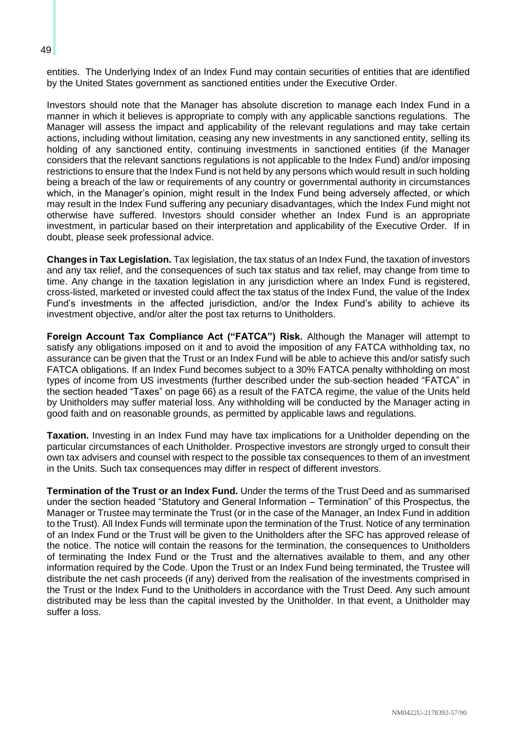entities. The Underlying Index of an Index Fund may contain securities of entities that are identified by the United States government as sanctioned entities under the Executive Order.

Investors should note that the Manager has absolute discretion to manage each Index Fund in a manner in which it believes is appropriate to comply with any applicable sanctions regulations. The Manager will assess the impact and applicability of the relevant regulations and may take certain actions, including without limitation, ceasing any new investments in any sanctioned entity, selling its holding of any sanctioned entity, continuing investments in sanctioned entities (if the Manager considers that the relevant sanctions regulations is not applicable to the Index Fund) and/or imposing restrictions to ensure that the Index Fund is not held by any persons which would result in such holding being a breach of the law or requirements of any country or governmental authority in circumstances which, in the Manager's opinion, might result in the Index Fund being adversely affected, or which may result in the Index Fund suffering any pecuniary disadvantages, which the Index Fund might not otherwise have suffered. Investors should consider whether an Index Fund is an appropriate investment, in particular based on their interpretation and applicability of the Executive Order. If in doubt, please seek professional advice.

**Changes in Tax Legislation.** Tax legislation, the tax status of an Index Fund, the taxation of investors and any tax relief, and the consequences of such tax status and tax relief, may change from time to time. Any change in the taxation legislation in any jurisdiction where an Index Fund is registered, cross-listed, marketed or invested could affect the tax status of the Index Fund, the value of the Index Fund's investments in the affected jurisdiction, and/or the Index Fund's ability to achieve its investment objective, and/or alter the post tax returns to Unitholders.

**Foreign Account Tax Compliance Act ("FATCA") Risk.** Although the Manager will attempt to satisfy any obligations imposed on it and to avoid the imposition of any FATCA withholding tax, no assurance can be given that the Trust or an Index Fund will be able to achieve this and/or satisfy such FATCA obligations. If an Index Fund becomes subject to a 30% FATCA penalty withholding on most types of income from US investments (further described under the sub-section headed "FATCA" in the section headed "Taxes" on page [66\)](#page-73-0) as a result of the FATCA regime, the value of the Units held by Unitholders may suffer material loss. Any withholding will be conducted by the Manager acting in good faith and on reasonable grounds, as permitted by applicable laws and regulations.

**Taxation.** Investing in an Index Fund may have tax implications for a Unitholder depending on the particular circumstances of each Unitholder. Prospective investors are strongly urged to consult their own tax advisers and counsel with respect to the possible tax consequences to them of an investment in the Units. Such tax consequences may differ in respect of different investors.

**Termination of the Trust or an Index Fund.** Under the terms of the Trust Deed and as summarised under the section headed "Statutory and General Information – Termination" of this Prospectus, the Manager or Trustee may terminate the Trust (or in the case of the Manager, an Index Fund in addition to the Trust). All Index Funds will terminate upon the termination of the Trust. Notice of any termination of an Index Fund or the Trust will be given to the Unitholders after the SFC has approved release of the notice. The notice will contain the reasons for the termination, the consequences to Unitholders of terminating the Index Fund or the Trust and the alternatives available to them, and any other information required by the Code. Upon the Trust or an Index Fund being terminated, the Trustee will distribute the net cash proceeds (if any) derived from the realisation of the investments comprised in the Trust or the Index Fund to the Unitholders in accordance with the Trust Deed. Any such amount distributed may be less than the capital invested by the Unitholder. In that event, a Unitholder may suffer a loss.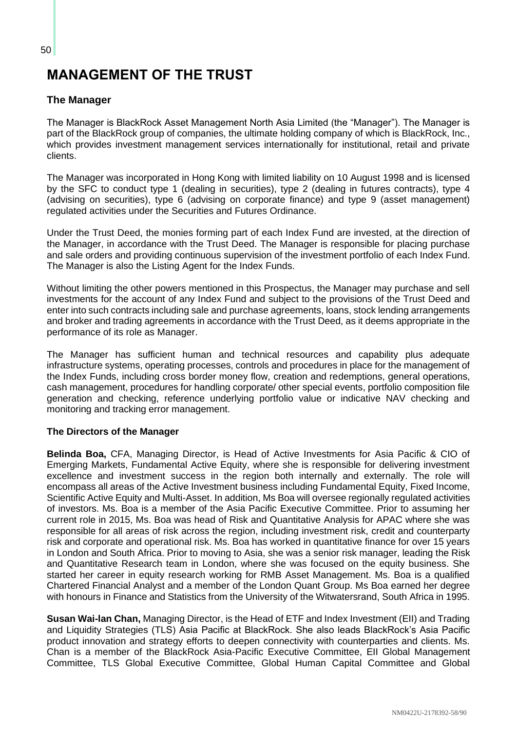## **MANAGEMENT OF THE TRUST**

## **The Manager**

The Manager is BlackRock Asset Management North Asia Limited (the "Manager"). The Manager is part of the BlackRock group of companies, the ultimate holding company of which is BlackRock, Inc., which provides investment management services internationally for institutional, retail and private clients.

The Manager was incorporated in Hong Kong with limited liability on 10 August 1998 and is licensed by the SFC to conduct type 1 (dealing in securities), type 2 (dealing in futures contracts), type 4 (advising on securities), type 6 (advising on corporate finance) and type 9 (asset management) regulated activities under the Securities and Futures Ordinance.

Under the Trust Deed, the monies forming part of each Index Fund are invested, at the direction of the Manager, in accordance with the Trust Deed. The Manager is responsible for placing purchase and sale orders and providing continuous supervision of the investment portfolio of each Index Fund. The Manager is also the Listing Agent for the Index Funds.

Without limiting the other powers mentioned in this Prospectus, the Manager may purchase and sell investments for the account of any Index Fund and subject to the provisions of the Trust Deed and enter into such contracts including sale and purchase agreements, loans, stock lending arrangements and broker and trading agreements in accordance with the Trust Deed, as it deems appropriate in the performance of its role as Manager.

The Manager has sufficient human and technical resources and capability plus adequate infrastructure systems, operating processes, controls and procedures in place for the management of the Index Funds, including cross border money flow, creation and redemptions, general operations, cash management, procedures for handling corporate/ other special events, portfolio composition file generation and checking, reference underlying portfolio value or indicative NAV checking and monitoring and tracking error management.

#### **The Directors of the Manager**

**Belinda Boa,** CFA, Managing Director, is Head of Active Investments for Asia Pacific & CIO of Emerging Markets, Fundamental Active Equity, where she is responsible for delivering investment excellence and investment success in the region both internally and externally. The role will encompass all areas of the Active Investment business including Fundamental Equity, Fixed Income, Scientific Active Equity and Multi-Asset. In addition, Ms Boa will oversee regionally regulated activities of investors. Ms. Boa is a member of the Asia Pacific Executive Committee. Prior to assuming her current role in 2015, Ms. Boa was head of Risk and Quantitative Analysis for APAC where she was responsible for all areas of risk across the region, including investment risk, credit and counterparty risk and corporate and operational risk. Ms. Boa has worked in quantitative finance for over 15 years in London and South Africa. Prior to moving to Asia, she was a senior risk manager, leading the Risk and Quantitative Research team in London, where she was focused on the equity business. She started her career in equity research working for RMB Asset Management. Ms. Boa is a qualified Chartered Financial Analyst and a member of the London Quant Group. Ms Boa earned her degree with honours in Finance and Statistics from the University of the Witwatersrand, South Africa in 1995.

**Susan Wai-lan Chan,** Managing Director, is the Head of ETF and Index Investment (EII) and Trading and Liquidity Strategies (TLS) Asia Pacific at BlackRock. She also leads BlackRock's Asia Pacific product innovation and strategy efforts to deepen connectivity with counterparties and clients. Ms. Chan is a member of the BlackRock Asia-Pacific Executive Committee, EII Global Management Committee, TLS Global Executive Committee, Global Human Capital Committee and Global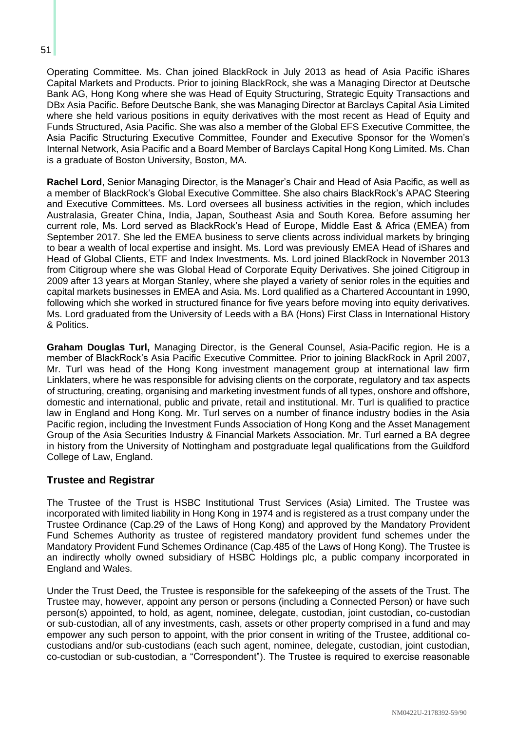51

Operating Committee. Ms. Chan joined BlackRock in July 2013 as head of Asia Pacific iShares Capital Markets and Products. Prior to joining BlackRock, she was a Managing Director at Deutsche Bank AG, Hong Kong where she was Head of Equity Structuring, Strategic Equity Transactions and DBx Asia Pacific. Before Deutsche Bank, she was Managing Director at Barclays Capital Asia Limited where she held various positions in equity derivatives with the most recent as Head of Equity and Funds Structured, Asia Pacific. She was also a member of the Global EFS Executive Committee, the Asia Pacific Structuring Executive Committee, Founder and Executive Sponsor for the Women's Internal Network, Asia Pacific and a Board Member of Barclays Capital Hong Kong Limited. Ms. Chan is a graduate of Boston University, Boston, MA.

**Rachel Lord**, Senior Managing Director, is the Manager's Chair and Head of Asia Pacific, as well as a member of BlackRock's Global Executive Committee. She also chairs BlackRock's APAC Steering and Executive Committees. Ms. Lord oversees all business activities in the region, which includes Australasia, Greater China, India, Japan, Southeast Asia and South Korea. Before assuming her current role, Ms. Lord served as BlackRock's Head of Europe, Middle East & Africa (EMEA) from September 2017. She led the EMEA business to serve clients across individual markets by bringing to bear a wealth of local expertise and insight. Ms. Lord was previously EMEA Head of iShares and Head of Global Clients, ETF and Index Investments. Ms. Lord joined BlackRock in November 2013 from Citigroup where she was Global Head of Corporate Equity Derivatives. She joined Citigroup in 2009 after 13 years at Morgan Stanley, where she played a variety of senior roles in the equities and capital markets businesses in EMEA and Asia. Ms. Lord qualified as a Chartered Accountant in 1990, following which she worked in structured finance for five years before moving into equity derivatives. Ms. Lord graduated from the University of Leeds with a BA (Hons) First Class in International History & Politics.

**Graham Douglas Turl,** Managing Director, is the General Counsel, Asia-Pacific region. He is a member of BlackRock's Asia Pacific Executive Committee. Prior to joining BlackRock in April 2007, Mr. Turl was head of the Hong Kong investment management group at international law firm Linklaters, where he was responsible for advising clients on the corporate, regulatory and tax aspects of structuring, creating, organising and marketing investment funds of all types, onshore and offshore, domestic and international, public and private, retail and institutional. Mr. Turl is qualified to practice law in England and Hong Kong. Mr. Turl serves on a number of finance industry bodies in the Asia Pacific region, including the Investment Funds Association of Hong Kong and the Asset Management Group of the Asia Securities Industry & Financial Markets Association. Mr. Turl earned a BA degree in history from the University of Nottingham and postgraduate legal qualifications from the Guildford College of Law, England.

#### **Trustee and Registrar**

The Trustee of the Trust is HSBC Institutional Trust Services (Asia) Limited. The Trustee was incorporated with limited liability in Hong Kong in 1974 and is registered as a trust company under the Trustee Ordinance (Cap.29 of the Laws of Hong Kong) and approved by the Mandatory Provident Fund Schemes Authority as trustee of registered mandatory provident fund schemes under the Mandatory Provident Fund Schemes Ordinance (Cap.485 of the Laws of Hong Kong). The Trustee is an indirectly wholly owned subsidiary of HSBC Holdings plc, a public company incorporated in England and Wales.

Under the Trust Deed, the Trustee is responsible for the safekeeping of the assets of the Trust. The Trustee may, however, appoint any person or persons (including a Connected Person) or have such person(s) appointed, to hold, as agent, nominee, delegate, custodian, joint custodian, co-custodian or sub-custodian, all of any investments, cash, assets or other property comprised in a fund and may empower any such person to appoint, with the prior consent in writing of the Trustee, additional cocustodians and/or sub-custodians (each such agent, nominee, delegate, custodian, joint custodian, co-custodian or sub-custodian, a "Correspondent"). The Trustee is required to exercise reasonable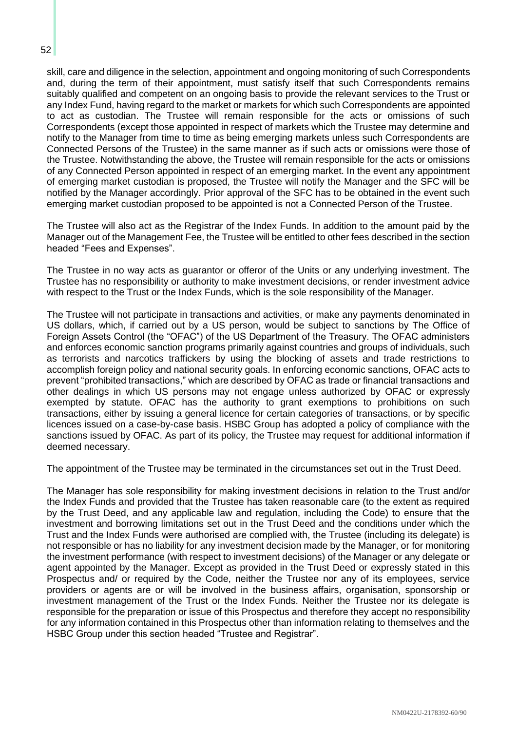skill, care and diligence in the selection, appointment and ongoing monitoring of such Correspondents and, during the term of their appointment, must satisfy itself that such Correspondents remains suitably qualified and competent on an ongoing basis to provide the relevant services to the Trust or any Index Fund, having regard to the market or markets for which such Correspondents are appointed to act as custodian. The Trustee will remain responsible for the acts or omissions of such Correspondents (except those appointed in respect of markets which the Trustee may determine and notify to the Manager from time to time as being emerging markets unless such Correspondents are Connected Persons of the Trustee) in the same manner as if such acts or omissions were those of the Trustee. Notwithstanding the above, the Trustee will remain responsible for the acts or omissions of any Connected Person appointed in respect of an emerging market. In the event any appointment of emerging market custodian is proposed, the Trustee will notify the Manager and the SFC will be notified by the Manager accordingly. Prior approval of the SFC has to be obtained in the event such emerging market custodian proposed to be appointed is not a Connected Person of the Trustee.

The Trustee will also act as the Registrar of the Index Funds. In addition to the amount paid by the Manager out of the Management Fee, the Trustee will be entitled to other fees described in the section headed "Fees and Expenses".

The Trustee in no way acts as guarantor or offeror of the Units or any underlying investment. The Trustee has no responsibility or authority to make investment decisions, or render investment advice with respect to the Trust or the Index Funds, which is the sole responsibility of the Manager.

The Trustee will not participate in transactions and activities, or make any payments denominated in US dollars, which, if carried out by a US person, would be subject to sanctions by The Office of Foreign Assets Control (the "OFAC") of the US Department of the Treasury. The OFAC administers and enforces economic sanction programs primarily against countries and groups of individuals, such as terrorists and narcotics traffickers by using the blocking of assets and trade restrictions to accomplish foreign policy and national security goals. In enforcing economic sanctions, OFAC acts to prevent "prohibited transactions," which are described by OFAC as trade or financial transactions and other dealings in which US persons may not engage unless authorized by OFAC or expressly exempted by statute. OFAC has the authority to grant exemptions to prohibitions on such transactions, either by issuing a general licence for certain categories of transactions, or by specific licences issued on a case-by-case basis. HSBC Group has adopted a policy of compliance with the sanctions issued by OFAC. As part of its policy, the Trustee may request for additional information if deemed necessary.

The appointment of the Trustee may be terminated in the circumstances set out in the Trust Deed.

The Manager has sole responsibility for making investment decisions in relation to the Trust and/or the Index Funds and provided that the Trustee has taken reasonable care (to the extent as required by the Trust Deed, and any applicable law and regulation, including the Code) to ensure that the investment and borrowing limitations set out in the Trust Deed and the conditions under which the Trust and the Index Funds were authorised are complied with, the Trustee (including its delegate) is not responsible or has no liability for any investment decision made by the Manager, or for monitoring the investment performance (with respect to investment decisions) of the Manager or any delegate or agent appointed by the Manager. Except as provided in the Trust Deed or expressly stated in this Prospectus and/ or required by the Code, neither the Trustee nor any of its employees, service providers or agents are or will be involved in the business affairs, organisation, sponsorship or investment management of the Trust or the Index Funds. Neither the Trustee nor its delegate is responsible for the preparation or issue of this Prospectus and therefore they accept no responsibility for any information contained in this Prospectus other than information relating to themselves and the HSBC Group under this section headed "Trustee and Registrar".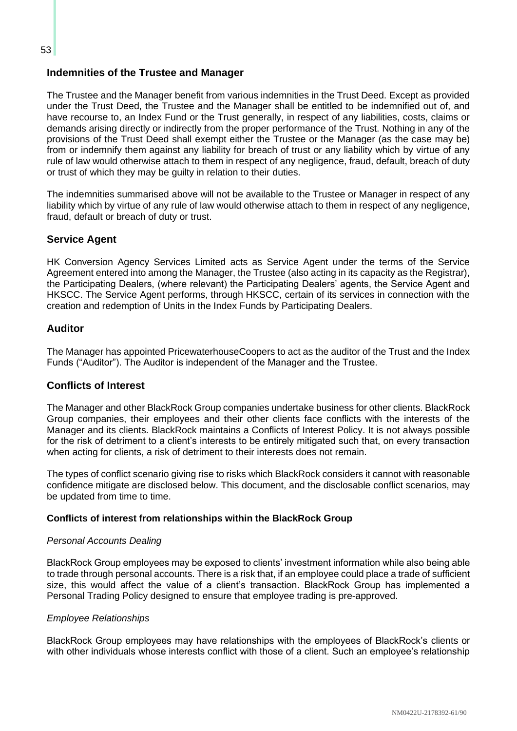## **Indemnities of the Trustee and Manager**

The Trustee and the Manager benefit from various indemnities in the Trust Deed. Except as provided under the Trust Deed, the Trustee and the Manager shall be entitled to be indemnified out of, and have recourse to, an Index Fund or the Trust generally, in respect of any liabilities, costs, claims or demands arising directly or indirectly from the proper performance of the Trust. Nothing in any of the provisions of the Trust Deed shall exempt either the Trustee or the Manager (as the case may be) from or indemnify them against any liability for breach of trust or any liability which by virtue of any rule of law would otherwise attach to them in respect of any negligence, fraud, default, breach of duty or trust of which they may be guilty in relation to their duties.

The indemnities summarised above will not be available to the Trustee or Manager in respect of any liability which by virtue of any rule of law would otherwise attach to them in respect of any negligence, fraud, default or breach of duty or trust.

#### **Service Agent**

HK Conversion Agency Services Limited acts as Service Agent under the terms of the Service Agreement entered into among the Manager, the Trustee (also acting in its capacity as the Registrar), the Participating Dealers, (where relevant) the Participating Dealers' agents, the Service Agent and HKSCC. The Service Agent performs, through HKSCC, certain of its services in connection with the creation and redemption of Units in the Index Funds by Participating Dealers.

## **Auditor**

The Manager has appointed PricewaterhouseCoopers to act as the auditor of the Trust and the Index Funds ("Auditor"). The Auditor is independent of the Manager and the Trustee.

#### **Conflicts of Interest**

The Manager and other BlackRock Group companies undertake business for other clients. BlackRock Group companies, their employees and their other clients face conflicts with the interests of the Manager and its clients. BlackRock maintains a Conflicts of Interest Policy. It is not always possible for the risk of detriment to a client's interests to be entirely mitigated such that, on every transaction when acting for clients, a risk of detriment to their interests does not remain.

The types of conflict scenario giving rise to risks which BlackRock considers it cannot with reasonable confidence mitigate are disclosed below. This document, and the disclosable conflict scenarios, may be updated from time to time.

#### **Conflicts of interest from relationships within the BlackRock Group**

#### *Personal Accounts Dealing*

BlackRock Group employees may be exposed to clients' investment information while also being able to trade through personal accounts. There is a risk that, if an employee could place a trade of sufficient size, this would affect the value of a client's transaction. BlackRock Group has implemented a Personal Trading Policy designed to ensure that employee trading is pre-approved.

#### *Employee Relationships*

BlackRock Group employees may have relationships with the employees of BlackRock's clients or with other individuals whose interests conflict with those of a client. Such an employee's relationship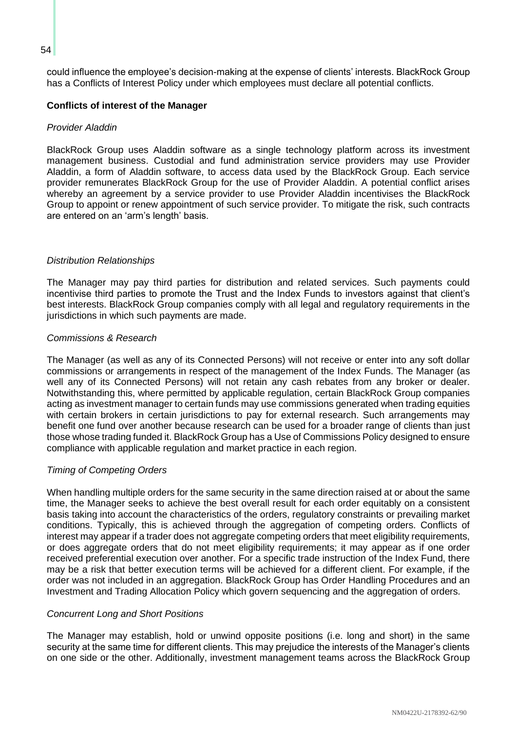could influence the employee's decision-making at the expense of clients' interests. BlackRock Group has a Conflicts of Interest Policy under which employees must declare all potential conflicts.

#### **Conflicts of interest of the Manager**

#### *Provider Aladdin*

BlackRock Group uses Aladdin software as a single technology platform across its investment management business. Custodial and fund administration service providers may use Provider Aladdin, a form of Aladdin software, to access data used by the BlackRock Group. Each service provider remunerates BlackRock Group for the use of Provider Aladdin. A potential conflict arises whereby an agreement by a service provider to use Provider Aladdin incentivises the BlackRock Group to appoint or renew appointment of such service provider. To mitigate the risk, such contracts are entered on an 'arm's length' basis.

#### *Distribution Relationships*

The Manager may pay third parties for distribution and related services. Such payments could incentivise third parties to promote the Trust and the Index Funds to investors against that client's best interests. BlackRock Group companies comply with all legal and regulatory requirements in the jurisdictions in which such payments are made.

#### *Commissions & Research*

The Manager (as well as any of its Connected Persons) will not receive or enter into any soft dollar commissions or arrangements in respect of the management of the Index Funds. The Manager (as well any of its Connected Persons) will not retain any cash rebates from any broker or dealer. Notwithstanding this, where permitted by applicable regulation, certain BlackRock Group companies acting as investment manager to certain funds may use commissions generated when trading equities with certain brokers in certain jurisdictions to pay for external research. Such arrangements may benefit one fund over another because research can be used for a broader range of clients than just those whose trading funded it. BlackRock Group has a Use of Commissions Policy designed to ensure compliance with applicable regulation and market practice in each region.

#### *Timing of Competing Orders*

When handling multiple orders for the same security in the same direction raised at or about the same time, the Manager seeks to achieve the best overall result for each order equitably on a consistent basis taking into account the characteristics of the orders, regulatory constraints or prevailing market conditions. Typically, this is achieved through the aggregation of competing orders. Conflicts of interest may appear if a trader does not aggregate competing orders that meet eligibility requirements, or does aggregate orders that do not meet eligibility requirements; it may appear as if one order received preferential execution over another. For a specific trade instruction of the Index Fund, there may be a risk that better execution terms will be achieved for a different client. For example, if the order was not included in an aggregation. BlackRock Group has Order Handling Procedures and an Investment and Trading Allocation Policy which govern sequencing and the aggregation of orders.

#### *Concurrent Long and Short Positions*

The Manager may establish, hold or unwind opposite positions (i.e. long and short) in the same security at the same time for different clients. This may prejudice the interests of the Manager's clients on one side or the other. Additionally, investment management teams across the BlackRock Group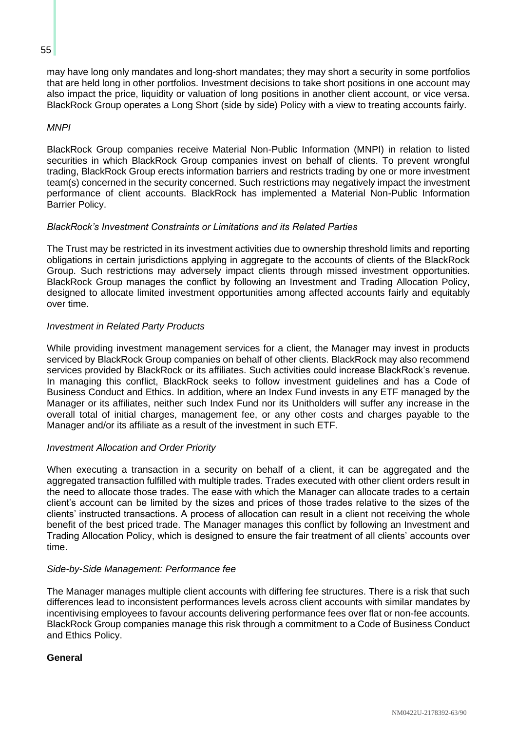#### 55

may have long only mandates and long-short mandates; they may short a security in some portfolios that are held long in other portfolios. Investment decisions to take short positions in one account may also impact the price, liquidity or valuation of long positions in another client account, or vice versa. BlackRock Group operates a Long Short (side by side) Policy with a view to treating accounts fairly.

#### *MNPI*

BlackRock Group companies receive Material Non-Public Information (MNPI) in relation to listed securities in which BlackRock Group companies invest on behalf of clients. To prevent wrongful trading, BlackRock Group erects information barriers and restricts trading by one or more investment team(s) concerned in the security concerned. Such restrictions may negatively impact the investment performance of client accounts. BlackRock has implemented a Material Non-Public Information Barrier Policy.

#### *BlackRock's Investment Constraints or Limitations and its Related Parties*

The Trust may be restricted in its investment activities due to ownership threshold limits and reporting obligations in certain jurisdictions applying in aggregate to the accounts of clients of the BlackRock Group. Such restrictions may adversely impact clients through missed investment opportunities. BlackRock Group manages the conflict by following an Investment and Trading Allocation Policy, designed to allocate limited investment opportunities among affected accounts fairly and equitably over time.

#### *Investment in Related Party Products*

While providing investment management services for a client, the Manager may invest in products serviced by BlackRock Group companies on behalf of other clients. BlackRock may also recommend services provided by BlackRock or its affiliates. Such activities could increase BlackRock's revenue. In managing this conflict, BlackRock seeks to follow investment guidelines and has a Code of Business Conduct and Ethics. In addition, where an Index Fund invests in any ETF managed by the Manager or its affiliates, neither such Index Fund nor its Unitholders will suffer any increase in the overall total of initial charges, management fee, or any other costs and charges payable to the Manager and/or its affiliate as a result of the investment in such ETF.

#### *Investment Allocation and Order Priority*

When executing a transaction in a security on behalf of a client, it can be aggregated and the aggregated transaction fulfilled with multiple trades. Trades executed with other client orders result in the need to allocate those trades. The ease with which the Manager can allocate trades to a certain client's account can be limited by the sizes and prices of those trades relative to the sizes of the clients' instructed transactions. A process of allocation can result in a client not receiving the whole benefit of the best priced trade. The Manager manages this conflict by following an Investment and Trading Allocation Policy, which is designed to ensure the fair treatment of all clients' accounts over time.

#### *Side-by-Side Management: Performance fee*

The Manager manages multiple client accounts with differing fee structures. There is a risk that such differences lead to inconsistent performances levels across client accounts with similar mandates by incentivising employees to favour accounts delivering performance fees over flat or non-fee accounts. BlackRock Group companies manage this risk through a commitment to a Code of Business Conduct and Ethics Policy.

#### **General**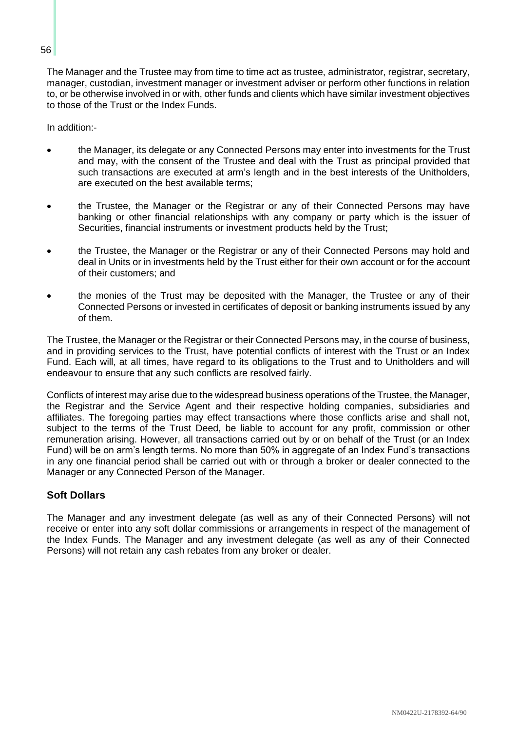The Manager and the Trustee may from time to time act as trustee, administrator, registrar, secretary, manager, custodian, investment manager or investment adviser or perform other functions in relation to, or be otherwise involved in or with, other funds and clients which have similar investment objectives to those of the Trust or the Index Funds.

In addition:-

- the Manager, its delegate or any Connected Persons may enter into investments for the Trust and may, with the consent of the Trustee and deal with the Trust as principal provided that such transactions are executed at arm's length and in the best interests of the Unitholders, are executed on the best available terms;
- the Trustee, the Manager or the Registrar or any of their Connected Persons may have banking or other financial relationships with any company or party which is the issuer of Securities, financial instruments or investment products held by the Trust;
- the Trustee, the Manager or the Registrar or any of their Connected Persons may hold and deal in Units or in investments held by the Trust either for their own account or for the account of their customers; and
- the monies of the Trust may be deposited with the Manager, the Trustee or any of their Connected Persons or invested in certificates of deposit or banking instruments issued by any of them.

The Trustee, the Manager or the Registrar or their Connected Persons may, in the course of business, and in providing services to the Trust, have potential conflicts of interest with the Trust or an Index Fund. Each will, at all times, have regard to its obligations to the Trust and to Unitholders and will endeavour to ensure that any such conflicts are resolved fairly.

Conflicts of interest may arise due to the widespread business operations of the Trustee, the Manager, the Registrar and the Service Agent and their respective holding companies, subsidiaries and affiliates. The foregoing parties may effect transactions where those conflicts arise and shall not, subject to the terms of the Trust Deed, be liable to account for any profit, commission or other remuneration arising. However, all transactions carried out by or on behalf of the Trust (or an Index Fund) will be on arm's length terms. No more than 50% in aggregate of an Index Fund's transactions in any one financial period shall be carried out with or through a broker or dealer connected to the Manager or any Connected Person of the Manager.

## **Soft Dollars**

The Manager and any investment delegate (as well as any of their Connected Persons) will not receive or enter into any soft dollar commissions or arrangements in respect of the management of the Index Funds. The Manager and any investment delegate (as well as any of their Connected Persons) will not retain any cash rebates from any broker or dealer.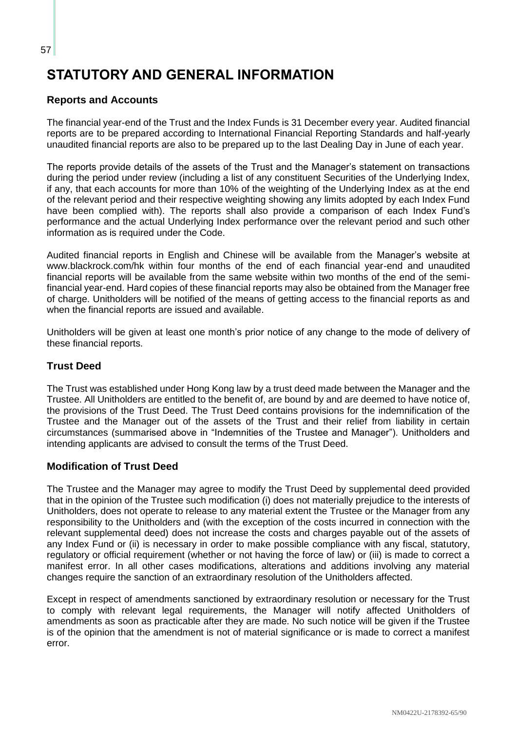## **STATUTORY AND GENERAL INFORMATION**

## **Reports and Accounts**

The financial year-end of the Trust and the Index Funds is 31 December every year. Audited financial reports are to be prepared according to International Financial Reporting Standards and half-yearly unaudited financial reports are also to be prepared up to the last Dealing Day in June of each year.

The reports provide details of the assets of the Trust and the Manager's statement on transactions during the period under review (including a list of any constituent Securities of the Underlying Index, if any, that each accounts for more than 10% of the weighting of the Underlying Index as at the end of the relevant period and their respective weighting showing any limits adopted by each Index Fund have been complied with). The reports shall also provide a comparison of each Index Fund's performance and the actual Underlying Index performance over the relevant period and such other information as is required under the Code.

Audited financial reports in English and Chinese will be available from the Manager's website at www.blackrock.com/hk within four months of the end of each financial year-end and unaudited financial reports will be available from the same website within two months of the end of the semifinancial year-end. Hard copies of these financial reports may also be obtained from the Manager free of charge. Unitholders will be notified of the means of getting access to the financial reports as and when the financial reports are issued and available.

Unitholders will be given at least one month's prior notice of any change to the mode of delivery of these financial reports.

## **Trust Deed**

The Trust was established under Hong Kong law by a trust deed made between the Manager and the Trustee. All Unitholders are entitled to the benefit of, are bound by and are deemed to have notice of, the provisions of the Trust Deed. The Trust Deed contains provisions for the indemnification of the Trustee and the Manager out of the assets of the Trust and their relief from liability in certain circumstances (summarised above in "Indemnities of the Trustee and Manager"). Unitholders and intending applicants are advised to consult the terms of the Trust Deed.

## **Modification of Trust Deed**

The Trustee and the Manager may agree to modify the Trust Deed by supplemental deed provided that in the opinion of the Trustee such modification (i) does not materially prejudice to the interests of Unitholders, does not operate to release to any material extent the Trustee or the Manager from any responsibility to the Unitholders and (with the exception of the costs incurred in connection with the relevant supplemental deed) does not increase the costs and charges payable out of the assets of any Index Fund or (ii) is necessary in order to make possible compliance with any fiscal, statutory, regulatory or official requirement (whether or not having the force of law) or (iii) is made to correct a manifest error. In all other cases modifications, alterations and additions involving any material changes require the sanction of an extraordinary resolution of the Unitholders affected.

Except in respect of amendments sanctioned by extraordinary resolution or necessary for the Trust to comply with relevant legal requirements, the Manager will notify affected Unitholders of amendments as soon as practicable after they are made. No such notice will be given if the Trustee is of the opinion that the amendment is not of material significance or is made to correct a manifest error.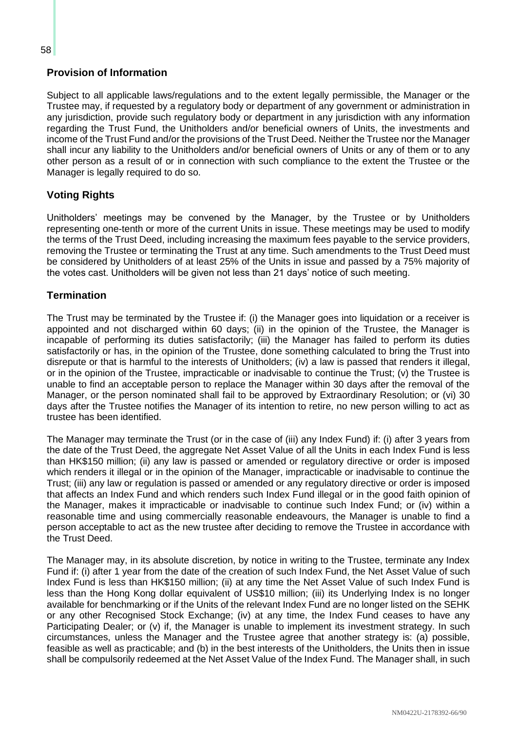## **Provision of Information**

Subject to all applicable laws/regulations and to the extent legally permissible, the Manager or the Trustee may, if requested by a regulatory body or department of any government or administration in any jurisdiction, provide such regulatory body or department in any jurisdiction with any information regarding the Trust Fund, the Unitholders and/or beneficial owners of Units, the investments and income of the Trust Fund and/or the provisions of the Trust Deed. Neither the Trustee nor the Manager shall incur any liability to the Unitholders and/or beneficial owners of Units or any of them or to any other person as a result of or in connection with such compliance to the extent the Trustee or the Manager is legally required to do so.

## **Voting Rights**

Unitholders' meetings may be convened by the Manager, by the Trustee or by Unitholders representing one-tenth or more of the current Units in issue. These meetings may be used to modify the terms of the Trust Deed, including increasing the maximum fees payable to the service providers, removing the Trustee or terminating the Trust at any time. Such amendments to the Trust Deed must be considered by Unitholders of at least 25% of the Units in issue and passed by a 75% majority of the votes cast. Unitholders will be given not less than 21 days' notice of such meeting.

## **Termination**

The Trust may be terminated by the Trustee if: (i) the Manager goes into liquidation or a receiver is appointed and not discharged within 60 days; (ii) in the opinion of the Trustee, the Manager is incapable of performing its duties satisfactorily; (iii) the Manager has failed to perform its duties satisfactorily or has, in the opinion of the Trustee, done something calculated to bring the Trust into disrepute or that is harmful to the interests of Unitholders; (iv) a law is passed that renders it illegal, or in the opinion of the Trustee, impracticable or inadvisable to continue the Trust; (v) the Trustee is unable to find an acceptable person to replace the Manager within 30 days after the removal of the Manager, or the person nominated shall fail to be approved by Extraordinary Resolution; or (vi) 30 days after the Trustee notifies the Manager of its intention to retire, no new person willing to act as trustee has been identified.

The Manager may terminate the Trust (or in the case of (iii) any Index Fund) if: (i) after 3 years from the date of the Trust Deed, the aggregate Net Asset Value of all the Units in each Index Fund is less than HK\$150 million; (ii) any law is passed or amended or regulatory directive or order is imposed which renders it illegal or in the opinion of the Manager, impracticable or inadvisable to continue the Trust; (iii) any law or regulation is passed or amended or any regulatory directive or order is imposed that affects an Index Fund and which renders such Index Fund illegal or in the good faith opinion of the Manager, makes it impracticable or inadvisable to continue such Index Fund; or (iv) within a reasonable time and using commercially reasonable endeavours, the Manager is unable to find a person acceptable to act as the new trustee after deciding to remove the Trustee in accordance with the Trust Deed.

The Manager may, in its absolute discretion, by notice in writing to the Trustee, terminate any Index Fund if: (i) after 1 year from the date of the creation of such Index Fund, the Net Asset Value of such Index Fund is less than HK\$150 million; (ii) at any time the Net Asset Value of such Index Fund is less than the Hong Kong dollar equivalent of US\$10 million; (iii) its Underlying Index is no longer available for benchmarking or if the Units of the relevant Index Fund are no longer listed on the SEHK or any other Recognised Stock Exchange; (iv) at any time, the Index Fund ceases to have any Participating Dealer; or (v) if, the Manager is unable to implement its investment strategy. In such circumstances, unless the Manager and the Trustee agree that another strategy is: (a) possible, feasible as well as practicable; and (b) in the best interests of the Unitholders, the Units then in issue shall be compulsorily redeemed at the Net Asset Value of the Index Fund. The Manager shall, in such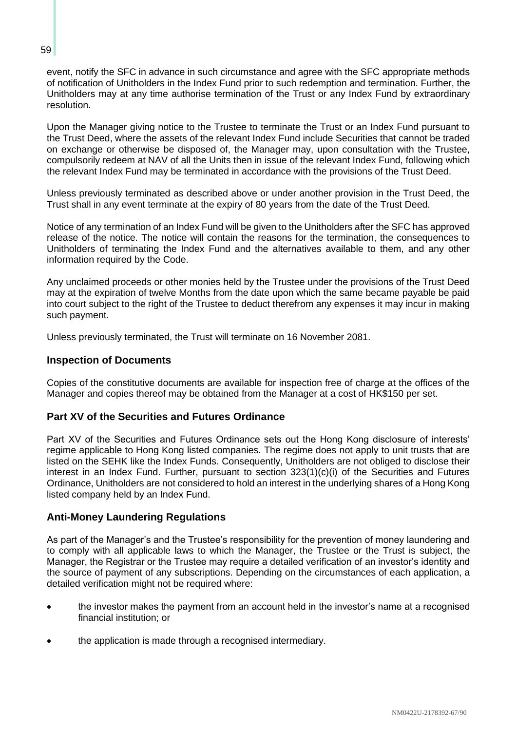event, notify the SFC in advance in such circumstance and agree with the SFC appropriate methods of notification of Unitholders in the Index Fund prior to such redemption and termination. Further, the Unitholders may at any time authorise termination of the Trust or any Index Fund by extraordinary resolution.

Upon the Manager giving notice to the Trustee to terminate the Trust or an Index Fund pursuant to the Trust Deed, where the assets of the relevant Index Fund include Securities that cannot be traded on exchange or otherwise be disposed of, the Manager may, upon consultation with the Trustee, compulsorily redeem at NAV of all the Units then in issue of the relevant Index Fund, following which the relevant Index Fund may be terminated in accordance with the provisions of the Trust Deed.

Unless previously terminated as described above or under another provision in the Trust Deed, the Trust shall in any event terminate at the expiry of 80 years from the date of the Trust Deed.

Notice of any termination of an Index Fund will be given to the Unitholders after the SFC has approved release of the notice. The notice will contain the reasons for the termination, the consequences to Unitholders of terminating the Index Fund and the alternatives available to them, and any other information required by the Code.

Any unclaimed proceeds or other monies held by the Trustee under the provisions of the Trust Deed may at the expiration of twelve Months from the date upon which the same became payable be paid into court subject to the right of the Trustee to deduct therefrom any expenses it may incur in making such payment.

Unless previously terminated, the Trust will terminate on 16 November 2081.

### **Inspection of Documents**

Copies of the constitutive documents are available for inspection free of charge at the offices of the Manager and copies thereof may be obtained from the Manager at a cost of HK\$150 per set.

#### **Part XV of the Securities and Futures Ordinance**

Part XV of the Securities and Futures Ordinance sets out the Hong Kong disclosure of interests' regime applicable to Hong Kong listed companies. The regime does not apply to unit trusts that are listed on the SEHK like the Index Funds. Consequently, Unitholders are not obliged to disclose their interest in an Index Fund. Further, pursuant to section 323(1)(c)(i) of the Securities and Futures Ordinance, Unitholders are not considered to hold an interest in the underlying shares of a Hong Kong listed company held by an Index Fund.

#### **Anti-Money Laundering Regulations**

As part of the Manager's and the Trustee's responsibility for the prevention of money laundering and to comply with all applicable laws to which the Manager, the Trustee or the Trust is subject, the Manager, the Registrar or the Trustee may require a detailed verification of an investor's identity and the source of payment of any subscriptions. Depending on the circumstances of each application, a detailed verification might not be required where:

- the investor makes the payment from an account held in the investor's name at a recognised financial institution; or
- the application is made through a recognised intermediary.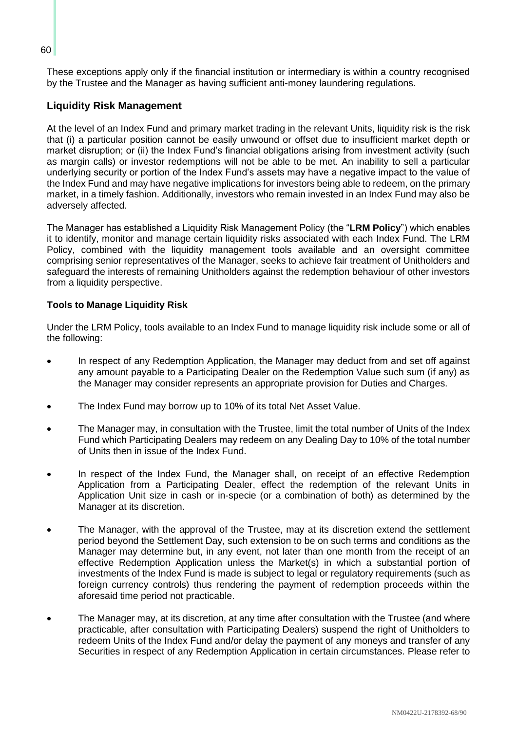These exceptions apply only if the financial institution or intermediary is within a country recognised by the Trustee and the Manager as having sufficient anti-money laundering regulations.

## **Liquidity Risk Management**

At the level of an Index Fund and primary market trading in the relevant Units, liquidity risk is the risk that (i) a particular position cannot be easily unwound or offset due to insufficient market depth or market disruption; or (ii) the Index Fund's financial obligations arising from investment activity (such as margin calls) or investor redemptions will not be able to be met. An inability to sell a particular underlying security or portion of the Index Fund's assets may have a negative impact to the value of the Index Fund and may have negative implications for investors being able to redeem, on the primary market, in a timely fashion. Additionally, investors who remain invested in an Index Fund may also be adversely affected.

The Manager has established a Liquidity Risk Management Policy (the "**LRM Policy**") which enables it to identify, monitor and manage certain liquidity risks associated with each Index Fund. The LRM Policy, combined with the liquidity management tools available and an oversight committee comprising senior representatives of the Manager, seeks to achieve fair treatment of Unitholders and safeguard the interests of remaining Unitholders against the redemption behaviour of other investors from a liquidity perspective.

## **Tools to Manage Liquidity Risk**

Under the LRM Policy, tools available to an Index Fund to manage liquidity risk include some or all of the following:

- In respect of any Redemption Application, the Manager may deduct from and set off against any amount payable to a Participating Dealer on the Redemption Value such sum (if any) as the Manager may consider represents an appropriate provision for Duties and Charges.
- The Index Fund may borrow up to 10% of its total Net Asset Value.
- The Manager may, in consultation with the Trustee, limit the total number of Units of the Index Fund which Participating Dealers may redeem on any Dealing Day to 10% of the total number of Units then in issue of the Index Fund.
- In respect of the Index Fund, the Manager shall, on receipt of an effective Redemption Application from a Participating Dealer, effect the redemption of the relevant Units in Application Unit size in cash or in-specie (or a combination of both) as determined by the Manager at its discretion.
- The Manager, with the approval of the Trustee, may at its discretion extend the settlement period beyond the Settlement Day, such extension to be on such terms and conditions as the Manager may determine but, in any event, not later than one month from the receipt of an effective Redemption Application unless the Market(s) in which a substantial portion of investments of the Index Fund is made is subject to legal or regulatory requirements (such as foreign currency controls) thus rendering the payment of redemption proceeds within the aforesaid time period not practicable.
- The Manager may, at its discretion, at any time after consultation with the Trustee (and where practicable, after consultation with Participating Dealers) suspend the right of Unitholders to redeem Units of the Index Fund and/or delay the payment of any moneys and transfer of any Securities in respect of any Redemption Application in certain circumstances. Please refer to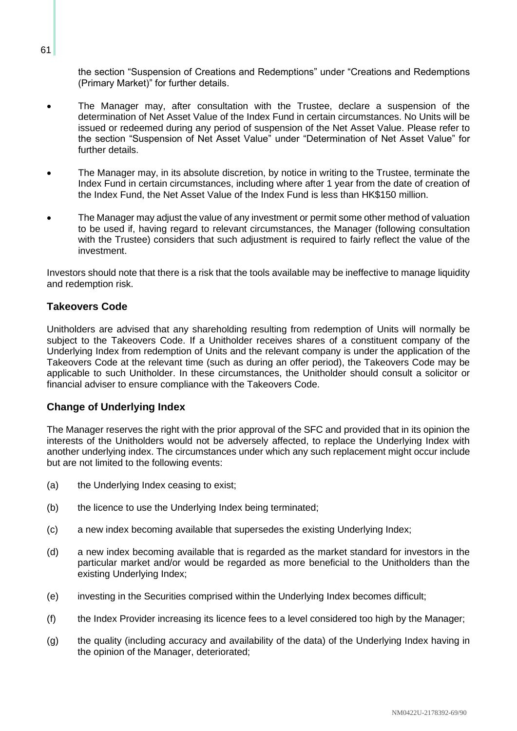the section "Suspension of Creations and Redemptions" under "Creations and Redemptions (Primary Market)" for further details.

- The Manager may, after consultation with the Trustee, declare a suspension of the determination of Net Asset Value of the Index Fund in certain circumstances. No Units will be issued or redeemed during any period of suspension of the Net Asset Value. Please refer to the section "Suspension of Net Asset Value" under "Determination of Net Asset Value" for further details.
- The Manager may, in its absolute discretion, by notice in writing to the Trustee, terminate the Index Fund in certain circumstances, including where after 1 year from the date of creation of the Index Fund, the Net Asset Value of the Index Fund is less than HK\$150 million.
- The Manager may adjust the value of any investment or permit some other method of valuation to be used if, having regard to relevant circumstances, the Manager (following consultation with the Trustee) considers that such adjustment is required to fairly reflect the value of the investment.

Investors should note that there is a risk that the tools available may be ineffective to manage liquidity and redemption risk.

#### **Takeovers Code**

Unitholders are advised that any shareholding resulting from redemption of Units will normally be subject to the Takeovers Code. If a Unitholder receives shares of a constituent company of the Underlying Index from redemption of Units and the relevant company is under the application of the Takeovers Code at the relevant time (such as during an offer period), the Takeovers Code may be applicable to such Unitholder. In these circumstances, the Unitholder should consult a solicitor or financial adviser to ensure compliance with the Takeovers Code.

#### **Change of Underlying Index**

The Manager reserves the right with the prior approval of the SFC and provided that in its opinion the interests of the Unitholders would not be adversely affected, to replace the Underlying Index with another underlying index. The circumstances under which any such replacement might occur include but are not limited to the following events:

- (a) the Underlying Index ceasing to exist;
- (b) the licence to use the Underlying Index being terminated;
- (c) a new index becoming available that supersedes the existing Underlying Index;
- (d) a new index becoming available that is regarded as the market standard for investors in the particular market and/or would be regarded as more beneficial to the Unitholders than the existing Underlying Index;
- (e) investing in the Securities comprised within the Underlying Index becomes difficult;
- (f) the Index Provider increasing its licence fees to a level considered too high by the Manager;
- (g) the quality (including accuracy and availability of the data) of the Underlying Index having in the opinion of the Manager, deteriorated;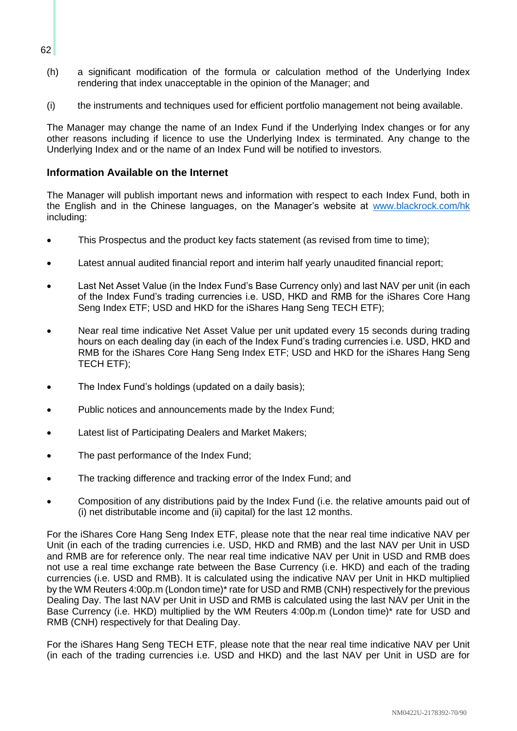- (h) a significant modification of the formula or calculation method of the Underlying Index rendering that index unacceptable in the opinion of the Manager; and
- (i) the instruments and techniques used for efficient portfolio management not being available.

The Manager may change the name of an Index Fund if the Underlying Index changes or for any other reasons including if licence to use the Underlying Index is terminated. Any change to the Underlying Index and or the name of an Index Fund will be notified to investors.

#### **Information Available on the Internet**

The Manager will publish important news and information with respect to each Index Fund, both in the English and in the Chinese languages, on the Manager's website at [www.blackrock.com/hk](http://www.blackrock.com/hk) including:

- This Prospectus and the product key facts statement (as revised from time to time);
- Latest annual audited financial report and interim half yearly unaudited financial report;
- Last Net Asset Value (in the Index Fund's Base Currency only) and last NAV per unit (in each of the Index Fund's trading currencies i.e. USD, HKD and RMB for the iShares Core Hang Seng Index ETF; USD and HKD for the iShares Hang Seng TECH ETF);
- Near real time indicative Net Asset Value per unit updated every 15 seconds during trading hours on each dealing day (in each of the Index Fund's trading currencies i.e. USD, HKD and RMB for the iShares Core Hang Seng Index ETF; USD and HKD for the iShares Hang Seng TECH ETF);
- The Index Fund's holdings (updated on a daily basis);
- Public notices and announcements made by the Index Fund;
- Latest list of Participating Dealers and Market Makers;
- The past performance of the Index Fund;
- The tracking difference and tracking error of the Index Fund; and
- Composition of any distributions paid by the Index Fund (i.e. the relative amounts paid out of (i) net distributable income and (ii) capital) for the last 12 months.

For the iShares Core Hang Seng Index ETF, please note that the near real time indicative NAV per Unit (in each of the trading currencies i.e. USD, HKD and RMB) and the last NAV per Unit in USD and RMB are for reference only. The near real time indicative NAV per Unit in USD and RMB does not use a real time exchange rate between the Base Currency (i.e. HKD) and each of the trading currencies (i.e. USD and RMB). It is calculated using the indicative NAV per Unit in HKD multiplied by the WM Reuters 4:00p.m (London time)\* rate for USD and RMB (CNH) respectively for the previous Dealing Day. The last NAV per Unit in USD and RMB is calculated using the last NAV per Unit in the Base Currency (i.e. HKD) multiplied by the WM Reuters 4:00p.m (London time)\* rate for USD and RMB (CNH) respectively for that Dealing Day.

For the iShares Hang Seng TECH ETF, please note that the near real time indicative NAV per Unit (in each of the trading currencies i.e. USD and HKD) and the last NAV per Unit in USD are for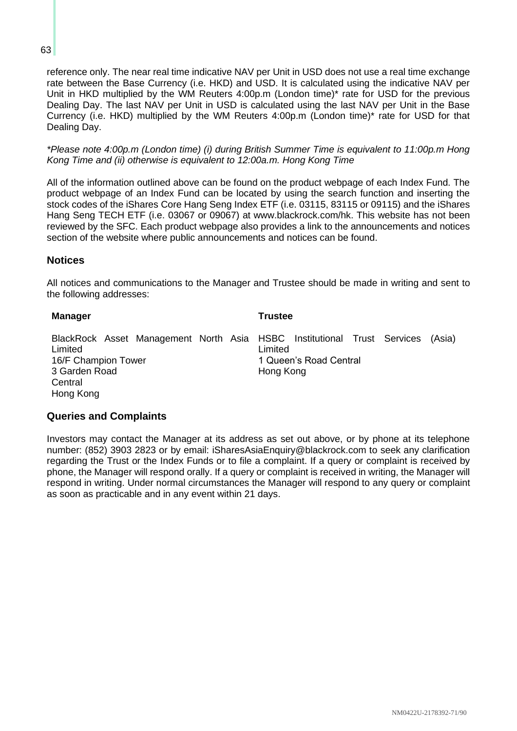reference only. The near real time indicative NAV per Unit in USD does not use a real time exchange rate between the Base Currency (i.e. HKD) and USD. It is calculated using the indicative NAV per Unit in HKD multiplied by the WM Reuters 4:00p.m (London time)\* rate for USD for the previous Dealing Day. The last NAV per Unit in USD is calculated using the last NAV per Unit in the Base Currency (i.e. HKD) multiplied by the WM Reuters 4:00p.m (London time)\* rate for USD for that Dealing Day.

*\*Please note 4:00p.m (London time) (i) during British Summer Time is equivalent to 11:00p.m Hong Kong Time and (ii) otherwise is equivalent to 12:00a.m. Hong Kong Time*

All of the information outlined above can be found on the product webpage of each Index Fund. The product webpage of an Index Fund can be located by using the search function and inserting the stock codes of the iShares Core Hang Seng Index ETF (i.e. 03115, 83115 or 09115) and the iShares Hang Seng TECH ETF (i.e. 03067 or 09067) at www.blackrock.com/hk. This website has not been reviewed by the SFC. Each product webpage also provides a link to the announcements and notices section of the website where public announcements and notices can be found.

## **Notices**

All notices and communications to the Manager and Trustee should be made in writing and sent to the following addresses:

| <b>Manager</b>                                                                                                                                     | <b>Trustee</b>                                           |
|----------------------------------------------------------------------------------------------------------------------------------------------------|----------------------------------------------------------|
| BlackRock Asset Management North Asia HSBC Institutional Trust Services<br>Limited<br>16/F Champion Tower<br>3 Garden Road<br>Central<br>Hong Kong | (Asia)<br>Limited<br>1 Queen's Road Central<br>Hong Kong |

#### **Queries and Complaints**

Investors may contact the Manager at its address as set out above, or by phone at its telephone number: (852) 3903 2823 or by email: iSharesAsiaEnquiry@blackrock.com to seek any clarification regarding the Trust or the Index Funds or to file a complaint. If a query or complaint is received by phone, the Manager will respond orally. If a query or complaint is received in writing, the Manager will respond in writing. Under normal circumstances the Manager will respond to any query or complaint as soon as practicable and in any event within 21 days.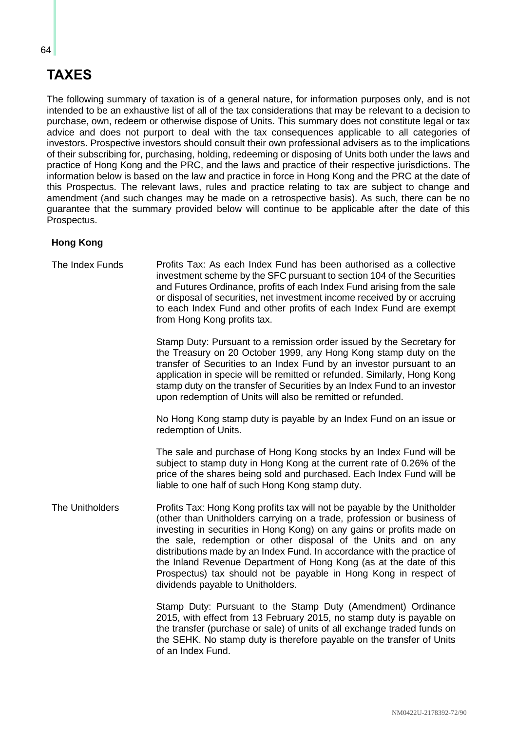# **TAXES**

The following summary of taxation is of a general nature, for information purposes only, and is not intended to be an exhaustive list of all of the tax considerations that may be relevant to a decision to purchase, own, redeem or otherwise dispose of Units. This summary does not constitute legal or tax advice and does not purport to deal with the tax consequences applicable to all categories of investors. Prospective investors should consult their own professional advisers as to the implications of their subscribing for, purchasing, holding, redeeming or disposing of Units both under the laws and practice of Hong Kong and the PRC, and the laws and practice of their respective jurisdictions. The information below is based on the law and practice in force in Hong Kong and the PRC at the date of this Prospectus. The relevant laws, rules and practice relating to tax are subject to change and amendment (and such changes may be made on a retrospective basis). As such, there can be no guarantee that the summary provided below will continue to be applicable after the date of this Prospectus.

## **Hong Kong**

| The Index Funds | Profits Tax: As each Index Fund has been authorised as a collective<br>investment scheme by the SFC pursuant to section 104 of the Securities<br>and Futures Ordinance, profits of each Index Fund arising from the sale<br>or disposal of securities, net investment income received by or accruing<br>to each Index Fund and other profits of each Index Fund are exempt<br>from Hong Kong profits tax.                                                                                                                                               |
|-----------------|---------------------------------------------------------------------------------------------------------------------------------------------------------------------------------------------------------------------------------------------------------------------------------------------------------------------------------------------------------------------------------------------------------------------------------------------------------------------------------------------------------------------------------------------------------|
|                 | Stamp Duty: Pursuant to a remission order issued by the Secretary for<br>the Treasury on 20 October 1999, any Hong Kong stamp duty on the<br>transfer of Securities to an Index Fund by an investor pursuant to an<br>application in specie will be remitted or refunded. Similarly, Hong Kong<br>stamp duty on the transfer of Securities by an Index Fund to an investor<br>upon redemption of Units will also be remitted or refunded.                                                                                                               |
|                 | No Hong Kong stamp duty is payable by an Index Fund on an issue or<br>redemption of Units.                                                                                                                                                                                                                                                                                                                                                                                                                                                              |
|                 | The sale and purchase of Hong Kong stocks by an Index Fund will be<br>subject to stamp duty in Hong Kong at the current rate of 0.26% of the<br>price of the shares being sold and purchased. Each Index Fund will be<br>liable to one half of such Hong Kong stamp duty.                                                                                                                                                                                                                                                                               |
| The Unitholders | Profits Tax: Hong Kong profits tax will not be payable by the Unitholder<br>(other than Unitholders carrying on a trade, profession or business of<br>investing in securities in Hong Kong) on any gains or profits made on<br>the sale, redemption or other disposal of the Units and on any<br>distributions made by an Index Fund. In accordance with the practice of<br>the Inland Revenue Department of Hong Kong (as at the date of this<br>Prospectus) tax should not be payable in Hong Kong in respect of<br>dividends payable to Unitholders. |
|                 | Stamp Duty: Pursuant to the Stamp Duty (Amendment) Ordinance<br>2015, with effect from 13 February 2015, no stamp duty is payable on<br>the transfer (purchase or sale) of units of all exchange traded funds on<br>the SEHK. No stamp duty is therefore payable on the transfer of Units<br>of an Index Fund.                                                                                                                                                                                                                                          |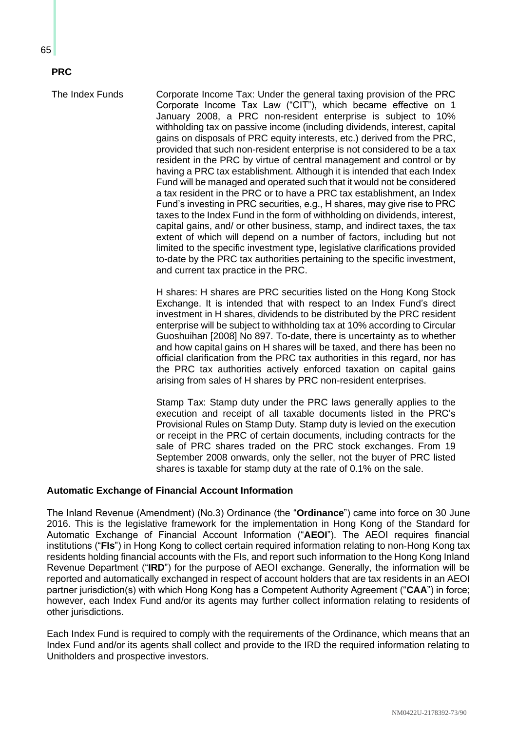# **PRC**

The Index Funds Corporate Income Tax: Under the general taxing provision of the PRC Corporate Income Tax Law ("CIT"), which became effective on 1 January 2008, a PRC non-resident enterprise is subject to 10% withholding tax on passive income (including dividends, interest, capital gains on disposals of PRC equity interests, etc.) derived from the PRC, provided that such non-resident enterprise is not considered to be a tax resident in the PRC by virtue of central management and control or by having a PRC tax establishment. Although it is intended that each Index Fund will be managed and operated such that it would not be considered a tax resident in the PRC or to have a PRC tax establishment, an Index Fund's investing in PRC securities, e.g., H shares, may give rise to PRC taxes to the Index Fund in the form of withholding on dividends, interest, capital gains, and/ or other business, stamp, and indirect taxes, the tax extent of which will depend on a number of factors, including but not limited to the specific investment type, legislative clarifications provided to-date by the PRC tax authorities pertaining to the specific investment, and current tax practice in the PRC.

> H shares: H shares are PRC securities listed on the Hong Kong Stock Exchange. It is intended that with respect to an Index Fund's direct investment in H shares, dividends to be distributed by the PRC resident enterprise will be subject to withholding tax at 10% according to Circular Guoshuihan [2008] No 897. To-date, there is uncertainty as to whether and how capital gains on H shares will be taxed, and there has been no official clarification from the PRC tax authorities in this regard, nor has the PRC tax authorities actively enforced taxation on capital gains arising from sales of H shares by PRC non-resident enterprises.

> Stamp Tax: Stamp duty under the PRC laws generally applies to the execution and receipt of all taxable documents listed in the PRC's Provisional Rules on Stamp Duty. Stamp duty is levied on the execution or receipt in the PRC of certain documents, including contracts for the sale of PRC shares traded on the PRC stock exchanges. From 19 September 2008 onwards, only the seller, not the buyer of PRC listed shares is taxable for stamp duty at the rate of 0.1% on the sale.

## **Automatic Exchange of Financial Account Information**

The Inland Revenue (Amendment) (No.3) Ordinance (the "**Ordinance**") came into force on 30 June 2016. This is the legislative framework for the implementation in Hong Kong of the Standard for Automatic Exchange of Financial Account Information ("**AEOI**"). The AEOI requires financial institutions ("**FIs**") in Hong Kong to collect certain required information relating to non-Hong Kong tax residents holding financial accounts with the FIs, and report such information to the Hong Kong Inland Revenue Department ("**IRD**") for the purpose of AEOI exchange. Generally, the information will be reported and automatically exchanged in respect of account holders that are tax residents in an AEOI partner jurisdiction(s) with which Hong Kong has a Competent Authority Agreement ("**CAA**") in force; however, each Index Fund and/or its agents may further collect information relating to residents of other jurisdictions.

Each Index Fund is required to comply with the requirements of the Ordinance, which means that an Index Fund and/or its agents shall collect and provide to the IRD the required information relating to Unitholders and prospective investors.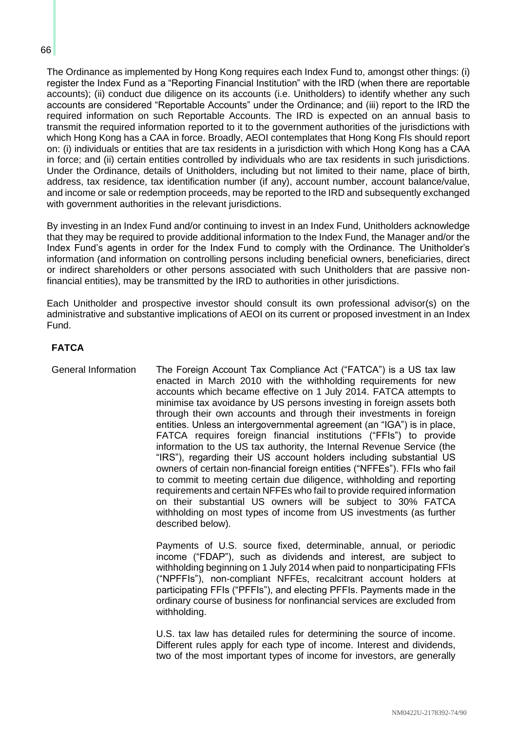#### 66

The Ordinance as implemented by Hong Kong requires each Index Fund to, amongst other things: (i) register the Index Fund as a "Reporting Financial Institution" with the IRD (when there are reportable accounts); (ii) conduct due diligence on its accounts (i.e. Unitholders) to identify whether any such accounts are considered "Reportable Accounts" under the Ordinance; and (iii) report to the IRD the required information on such Reportable Accounts. The IRD is expected on an annual basis to transmit the required information reported to it to the government authorities of the jurisdictions with which Hong Kong has a CAA in force. Broadly, AEOI contemplates that Hong Kong FIs should report on: (i) individuals or entities that are tax residents in a jurisdiction with which Hong Kong has a CAA in force; and (ii) certain entities controlled by individuals who are tax residents in such jurisdictions. Under the Ordinance, details of Unitholders, including but not limited to their name, place of birth, address, tax residence, tax identification number (if any), account number, account balance/value, and income or sale or redemption proceeds, may be reported to the IRD and subsequently exchanged with government authorities in the relevant jurisdictions.

By investing in an Index Fund and/or continuing to invest in an Index Fund, Unitholders acknowledge that they may be required to provide additional information to the Index Fund, the Manager and/or the Index Fund's agents in order for the Index Fund to comply with the Ordinance. The Unitholder's information (and information on controlling persons including beneficial owners, beneficiaries, direct or indirect shareholders or other persons associated with such Unitholders that are passive nonfinancial entities), may be transmitted by the IRD to authorities in other jurisdictions.

Each Unitholder and prospective investor should consult its own professional advisor(s) on the administrative and substantive implications of AEOI on its current or proposed investment in an Index Fund.

## **FATCA**

General Information The Foreign Account Tax Compliance Act ("FATCA") is a US tax law enacted in March 2010 with the withholding requirements for new accounts which became effective on 1 July 2014. FATCA attempts to minimise tax avoidance by US persons investing in foreign assets both through their own accounts and through their investments in foreign entities. Unless an intergovernmental agreement (an "IGA") is in place, FATCA requires foreign financial institutions ("FFIs") to provide information to the US tax authority, the Internal Revenue Service (the "IRS"), regarding their US account holders including substantial US owners of certain non-financial foreign entities ("NFFEs"). FFIs who fail to commit to meeting certain due diligence, withholding and reporting requirements and certain NFFEs who fail to provide required information on their substantial US owners will be subject to 30% FATCA withholding on most types of income from US investments (as further described below).

> Payments of U.S. source fixed, determinable, annual, or periodic income ("FDAP"), such as dividends and interest, are subject to withholding beginning on 1 July 2014 when paid to nonparticipating FFIs ("NPFFIs"), non-compliant NFFEs, recalcitrant account holders at participating FFIs ("PFFIs"), and electing PFFIs. Payments made in the ordinary course of business for nonfinancial services are excluded from withholding.

> U.S. tax law has detailed rules for determining the source of income. Different rules apply for each type of income. Interest and dividends, two of the most important types of income for investors, are generally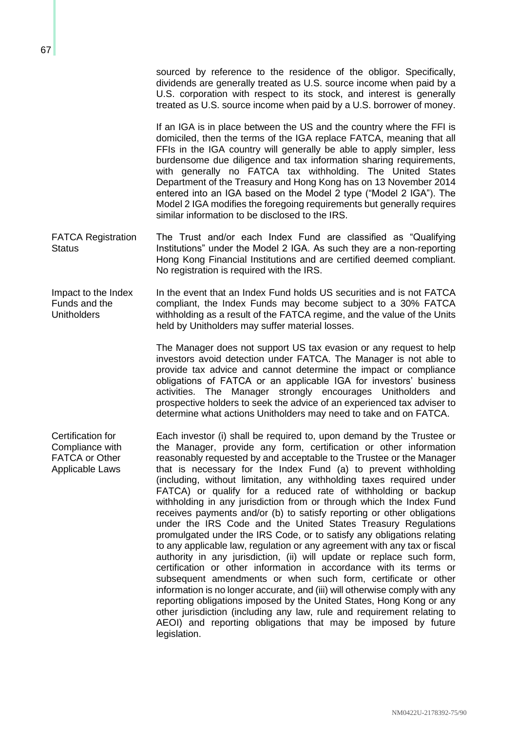sourced by reference to the residence of the obligor. Specifically, dividends are generally treated as U.S. source income when paid by a U.S. corporation with respect to its stock, and interest is generally treated as U.S. source income when paid by a U.S. borrower of money.

If an IGA is in place between the US and the country where the FFI is domiciled, then the terms of the IGA replace FATCA, meaning that all FFIs in the IGA country will generally be able to apply simpler, less burdensome due diligence and tax information sharing requirements, with generally no FATCA tax withholding. The United States Department of the Treasury and Hong Kong has on 13 November 2014 entered into an IGA based on the Model 2 type ("Model 2 IGA"). The Model 2 IGA modifies the foregoing requirements but generally requires similar information to be disclosed to the IRS.

- FATCA Registration **Status** The Trust and/or each Index Fund are classified as "Qualifying Institutions" under the Model 2 IGA. As such they are a non-reporting Hong Kong Financial Institutions and are certified deemed compliant. No registration is required with the IRS.
- Impact to the Index Funds and the **Unitholders** In the event that an Index Fund holds US securities and is not FATCA compliant, the Index Funds may become subject to a 30% FATCA withholding as a result of the FATCA regime, and the value of the Units held by Unitholders may suffer material losses.

The Manager does not support US tax evasion or any request to help investors avoid detection under FATCA. The Manager is not able to provide tax advice and cannot determine the impact or compliance obligations of FATCA or an applicable IGA for investors' business activities. The Manager strongly encourages Unitholders and prospective holders to seek the advice of an experienced tax adviser to determine what actions Unitholders may need to take and on FATCA.

Certification for Compliance with FATCA or Other Applicable Laws

Each investor (i) shall be required to, upon demand by the Trustee or the Manager, provide any form, certification or other information reasonably requested by and acceptable to the Trustee or the Manager that is necessary for the Index Fund (a) to prevent withholding (including, without limitation, any withholding taxes required under FATCA) or qualify for a reduced rate of withholding or backup withholding in any jurisdiction from or through which the Index Fund receives payments and/or (b) to satisfy reporting or other obligations under the IRS Code and the United States Treasury Regulations promulgated under the IRS Code, or to satisfy any obligations relating to any applicable law, regulation or any agreement with any tax or fiscal authority in any jurisdiction, (ii) will update or replace such form, certification or other information in accordance with its terms or subsequent amendments or when such form, certificate or other information is no longer accurate, and (iii) will otherwise comply with any reporting obligations imposed by the United States, Hong Kong or any other jurisdiction (including any law, rule and requirement relating to AEOI) and reporting obligations that may be imposed by future legislation.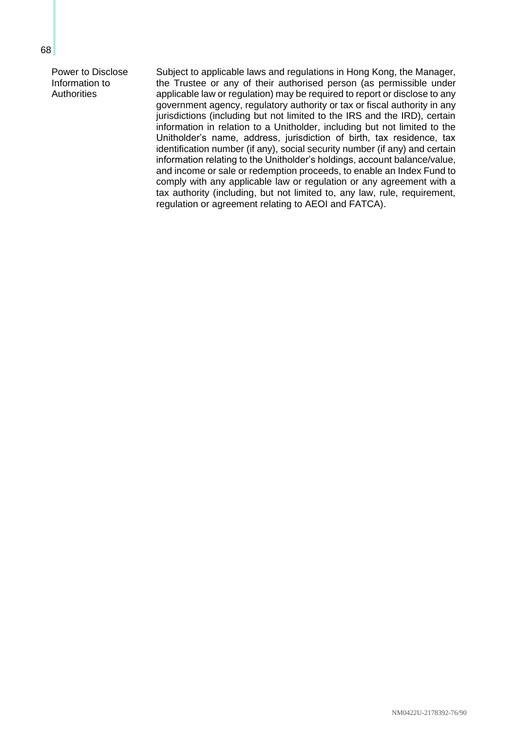Power to Disclose Information to **Authorities** 

Subject to applicable laws and regulations in Hong Kong, the Manager, the Trustee or any of their authorised person (as permissible under applicable law or regulation) may be required to report or disclose to any government agency, regulatory authority or tax or fiscal authority in any jurisdictions (including but not limited to the IRS and the IRD), certain information in relation to a Unitholder, including but not limited to the Unitholder's name, address, jurisdiction of birth, tax residence, tax identification number (if any), social security number (if any) and certain information relating to the Unitholder's holdings, account balance/value, and income or sale or redemption proceeds, to enable an Index Fund to comply with any applicable law or regulation or any agreement with a tax authority (including, but not limited to, any law, rule, requirement, regulation or agreement relating to AEOI and FATCA).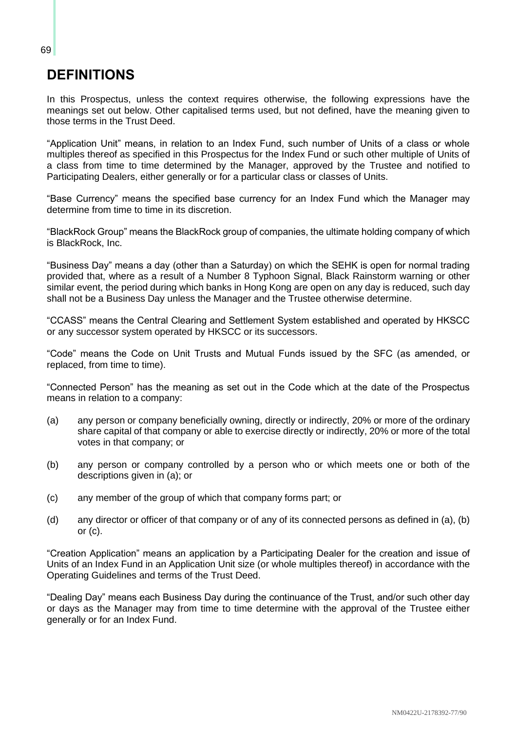# **DEFINITIONS**

In this Prospectus, unless the context requires otherwise, the following expressions have the meanings set out below. Other capitalised terms used, but not defined, have the meaning given to those terms in the Trust Deed.

"Application Unit" means, in relation to an Index Fund, such number of Units of a class or whole multiples thereof as specified in this Prospectus for the Index Fund or such other multiple of Units of a class from time to time determined by the Manager, approved by the Trustee and notified to Participating Dealers, either generally or for a particular class or classes of Units.

"Base Currency" means the specified base currency for an Index Fund which the Manager may determine from time to time in its discretion.

"BlackRock Group" means the BlackRock group of companies, the ultimate holding company of which is BlackRock, Inc.

"Business Day" means a day (other than a Saturday) on which the SEHK is open for normal trading provided that, where as a result of a Number 8 Typhoon Signal, Black Rainstorm warning or other similar event, the period during which banks in Hong Kong are open on any day is reduced, such day shall not be a Business Day unless the Manager and the Trustee otherwise determine.

"CCASS" means the Central Clearing and Settlement System established and operated by HKSCC or any successor system operated by HKSCC or its successors.

"Code" means the Code on Unit Trusts and Mutual Funds issued by the SFC (as amended, or replaced, from time to time).

"Connected Person" has the meaning as set out in the Code which at the date of the Prospectus means in relation to a company:

- (a) any person or company beneficially owning, directly or indirectly, 20% or more of the ordinary share capital of that company or able to exercise directly or indirectly, 20% or more of the total votes in that company; or
- (b) any person or company controlled by a person who or which meets one or both of the descriptions given in (a); or
- (c) any member of the group of which that company forms part; or
- (d) any director or officer of that company or of any of its connected persons as defined in (a), (b) or  $(c)$ .

"Creation Application" means an application by a Participating Dealer for the creation and issue of Units of an Index Fund in an Application Unit size (or whole multiples thereof) in accordance with the Operating Guidelines and terms of the Trust Deed.

"Dealing Day" means each Business Day during the continuance of the Trust, and/or such other day or days as the Manager may from time to time determine with the approval of the Trustee either generally or for an Index Fund.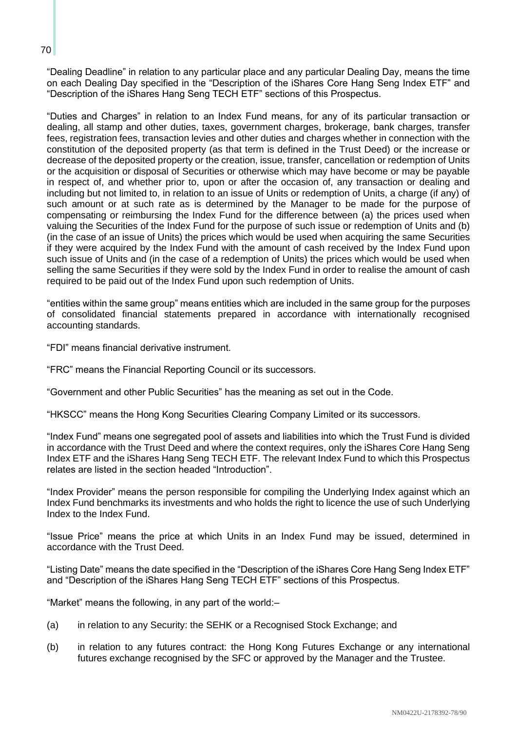"Dealing Deadline" in relation to any particular place and any particular Dealing Day, means the time on each Dealing Day specified in the "Description of the iShares Core Hang Seng Index ETF" and "Description of the iShares Hang Seng TECH ETF" sections of this Prospectus.

"Duties and Charges" in relation to an Index Fund means, for any of its particular transaction or dealing, all stamp and other duties, taxes, government charges, brokerage, bank charges, transfer fees, registration fees, transaction levies and other duties and charges whether in connection with the constitution of the deposited property (as that term is defined in the Trust Deed) or the increase or decrease of the deposited property or the creation, issue, transfer, cancellation or redemption of Units or the acquisition or disposal of Securities or otherwise which may have become or may be payable in respect of, and whether prior to, upon or after the occasion of, any transaction or dealing and including but not limited to, in relation to an issue of Units or redemption of Units, a charge (if any) of such amount or at such rate as is determined by the Manager to be made for the purpose of compensating or reimbursing the Index Fund for the difference between (a) the prices used when valuing the Securities of the Index Fund for the purpose of such issue or redemption of Units and (b) (in the case of an issue of Units) the prices which would be used when acquiring the same Securities if they were acquired by the Index Fund with the amount of cash received by the Index Fund upon such issue of Units and (in the case of a redemption of Units) the prices which would be used when selling the same Securities if they were sold by the Index Fund in order to realise the amount of cash required to be paid out of the Index Fund upon such redemption of Units.

"entities within the same group" means entities which are included in the same group for the purposes of consolidated financial statements prepared in accordance with internationally recognised accounting standards.

"FDI" means financial derivative instrument.

"FRC" means the Financial Reporting Council or its successors.

"Government and other Public Securities" has the meaning as set out in the Code.

"HKSCC" means the Hong Kong Securities Clearing Company Limited or its successors.

"Index Fund" means one segregated pool of assets and liabilities into which the Trust Fund is divided in accordance with the Trust Deed and where the context requires, only the iShares Core Hang Seng Index ETF and the iShares Hang Seng TECH ETF. The relevant Index Fund to which this Prospectus relates are listed in the section headed "Introduction".

"Index Provider" means the person responsible for compiling the Underlying Index against which an Index Fund benchmarks its investments and who holds the right to licence the use of such Underlying Index to the Index Fund.

"Issue Price" means the price at which Units in an Index Fund may be issued, determined in accordance with the Trust Deed.

"Listing Date" means the date specified in the "Description of the iShares Core Hang Seng Index ETF" and "Description of the iShares Hang Seng TECH ETF" sections of this Prospectus.

"Market" means the following, in any part of the world:–

- (a) in relation to any Security: the SEHK or a Recognised Stock Exchange; and
- (b) in relation to any futures contract: the Hong Kong Futures Exchange or any international futures exchange recognised by the SFC or approved by the Manager and the Trustee.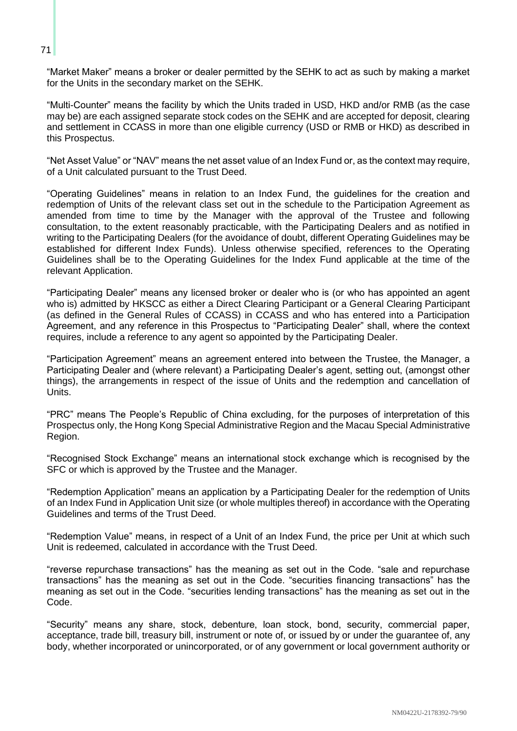"Market Maker" means a broker or dealer permitted by the SEHK to act as such by making a market for the Units in the secondary market on the SEHK.

"Multi-Counter" means the facility by which the Units traded in USD, HKD and/or RMB (as the case may be) are each assigned separate stock codes on the SEHK and are accepted for deposit, clearing and settlement in CCASS in more than one eligible currency (USD or RMB or HKD) as described in this Prospectus.

"Net Asset Value" or "NAV" means the net asset value of an Index Fund or, as the context may require, of a Unit calculated pursuant to the Trust Deed.

"Operating Guidelines" means in relation to an Index Fund, the guidelines for the creation and redemption of Units of the relevant class set out in the schedule to the Participation Agreement as amended from time to time by the Manager with the approval of the Trustee and following consultation, to the extent reasonably practicable, with the Participating Dealers and as notified in writing to the Participating Dealers (for the avoidance of doubt, different Operating Guidelines may be established for different Index Funds). Unless otherwise specified, references to the Operating Guidelines shall be to the Operating Guidelines for the Index Fund applicable at the time of the relevant Application.

"Participating Dealer" means any licensed broker or dealer who is (or who has appointed an agent who is) admitted by HKSCC as either a Direct Clearing Participant or a General Clearing Participant (as defined in the General Rules of CCASS) in CCASS and who has entered into a Participation Agreement, and any reference in this Prospectus to "Participating Dealer" shall, where the context requires, include a reference to any agent so appointed by the Participating Dealer.

"Participation Agreement" means an agreement entered into between the Trustee, the Manager, a Participating Dealer and (where relevant) a Participating Dealer's agent, setting out, (amongst other things), the arrangements in respect of the issue of Units and the redemption and cancellation of Units.

"PRC" means The People's Republic of China excluding, for the purposes of interpretation of this Prospectus only, the Hong Kong Special Administrative Region and the Macau Special Administrative Region.

"Recognised Stock Exchange" means an international stock exchange which is recognised by the SFC or which is approved by the Trustee and the Manager.

"Redemption Application" means an application by a Participating Dealer for the redemption of Units of an Index Fund in Application Unit size (or whole multiples thereof) in accordance with the Operating Guidelines and terms of the Trust Deed.

"Redemption Value" means, in respect of a Unit of an Index Fund, the price per Unit at which such Unit is redeemed, calculated in accordance with the Trust Deed.

"reverse repurchase transactions" has the meaning as set out in the Code. "sale and repurchase transactions" has the meaning as set out in the Code. "securities financing transactions" has the meaning as set out in the Code. "securities lending transactions" has the meaning as set out in the Code.

"Security" means any share, stock, debenture, loan stock, bond, security, commercial paper, acceptance, trade bill, treasury bill, instrument or note of, or issued by or under the guarantee of, any body, whether incorporated or unincorporated, or of any government or local government authority or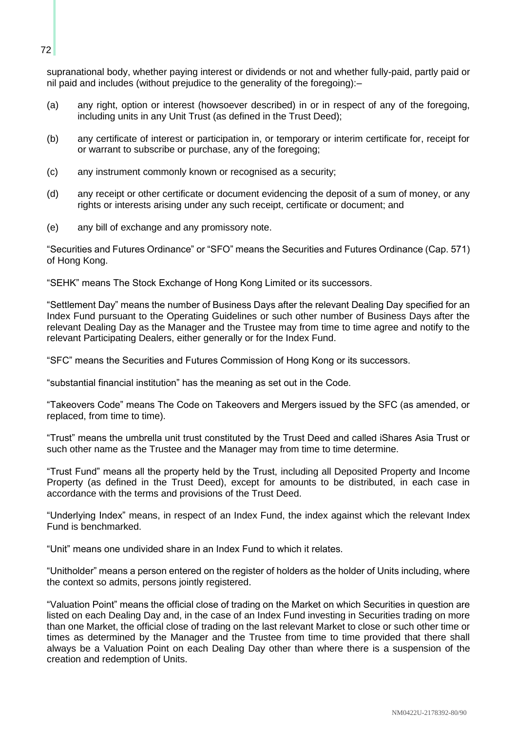supranational body, whether paying interest or dividends or not and whether fully-paid, partly paid or nil paid and includes (without prejudice to the generality of the foregoing):–

- (a) any right, option or interest (howsoever described) in or in respect of any of the foregoing, including units in any Unit Trust (as defined in the Trust Deed);
- (b) any certificate of interest or participation in, or temporary or interim certificate for, receipt for or warrant to subscribe or purchase, any of the foregoing;
- (c) any instrument commonly known or recognised as a security;
- (d) any receipt or other certificate or document evidencing the deposit of a sum of money, or any rights or interests arising under any such receipt, certificate or document; and
- (e) any bill of exchange and any promissory note.

"Securities and Futures Ordinance" or "SFO" means the Securities and Futures Ordinance (Cap. 571) of Hong Kong.

"SEHK" means The Stock Exchange of Hong Kong Limited or its successors.

"Settlement Day" means the number of Business Days after the relevant Dealing Day specified for an Index Fund pursuant to the Operating Guidelines or such other number of Business Days after the relevant Dealing Day as the Manager and the Trustee may from time to time agree and notify to the relevant Participating Dealers, either generally or for the Index Fund.

"SFC" means the Securities and Futures Commission of Hong Kong or its successors.

"substantial financial institution" has the meaning as set out in the Code.

"Takeovers Code" means The Code on Takeovers and Mergers issued by the SFC (as amended, or replaced, from time to time).

"Trust" means the umbrella unit trust constituted by the Trust Deed and called iShares Asia Trust or such other name as the Trustee and the Manager may from time to time determine.

"Trust Fund" means all the property held by the Trust, including all Deposited Property and Income Property (as defined in the Trust Deed), except for amounts to be distributed, in each case in accordance with the terms and provisions of the Trust Deed.

"Underlying Index" means, in respect of an Index Fund, the index against which the relevant Index Fund is benchmarked.

"Unit" means one undivided share in an Index Fund to which it relates.

"Unitholder" means a person entered on the register of holders as the holder of Units including, where the context so admits, persons jointly registered.

"Valuation Point" means the official close of trading on the Market on which Securities in question are listed on each Dealing Day and, in the case of an Index Fund investing in Securities trading on more than one Market, the official close of trading on the last relevant Market to close or such other time or times as determined by the Manager and the Trustee from time to time provided that there shall always be a Valuation Point on each Dealing Day other than where there is a suspension of the creation and redemption of Units.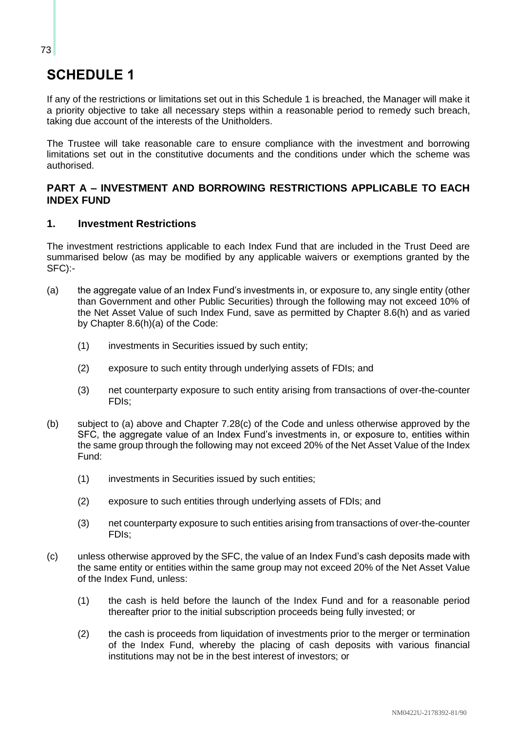# **SCHEDULE 1**

If any of the restrictions or limitations set out in this Schedule 1 is breached, the Manager will make it a priority objective to take all necessary steps within a reasonable period to remedy such breach, taking due account of the interests of the Unitholders.

The Trustee will take reasonable care to ensure compliance with the investment and borrowing limitations set out in the constitutive documents and the conditions under which the scheme was authorised.

# **PART A – INVESTMENT AND BORROWING RESTRICTIONS APPLICABLE TO EACH INDEX FUND**

# **1. Investment Restrictions**

The investment restrictions applicable to each Index Fund that are included in the Trust Deed are summarised below (as may be modified by any applicable waivers or exemptions granted by the SFC):-

- (a) the aggregate value of an Index Fund's investments in, or exposure to, any single entity (other than Government and other Public Securities) through the following may not exceed 10% of the Net Asset Value of such Index Fund, save as permitted by Chapter 8.6(h) and as varied by Chapter 8.6(h)(a) of the Code:
	- (1) investments in Securities issued by such entity;
	- (2) exposure to such entity through underlying assets of FDIs; and
	- (3) net counterparty exposure to such entity arising from transactions of over-the-counter FDIs;
- (b) subject to (a) above and Chapter 7.28(c) of the Code and unless otherwise approved by the SFC, the aggregate value of an Index Fund's investments in, or exposure to, entities within the same group through the following may not exceed 20% of the Net Asset Value of the Index Fund:
	- (1) investments in Securities issued by such entities;
	- (2) exposure to such entities through underlying assets of FDIs; and
	- (3) net counterparty exposure to such entities arising from transactions of over-the-counter FDIs;
- (c) unless otherwise approved by the SFC, the value of an Index Fund's cash deposits made with the same entity or entities within the same group may not exceed 20% of the Net Asset Value of the Index Fund, unless:
	- (1) the cash is held before the launch of the Index Fund and for a reasonable period thereafter prior to the initial subscription proceeds being fully invested; or
	- (2) the cash is proceeds from liquidation of investments prior to the merger or termination of the Index Fund, whereby the placing of cash deposits with various financial institutions may not be in the best interest of investors; or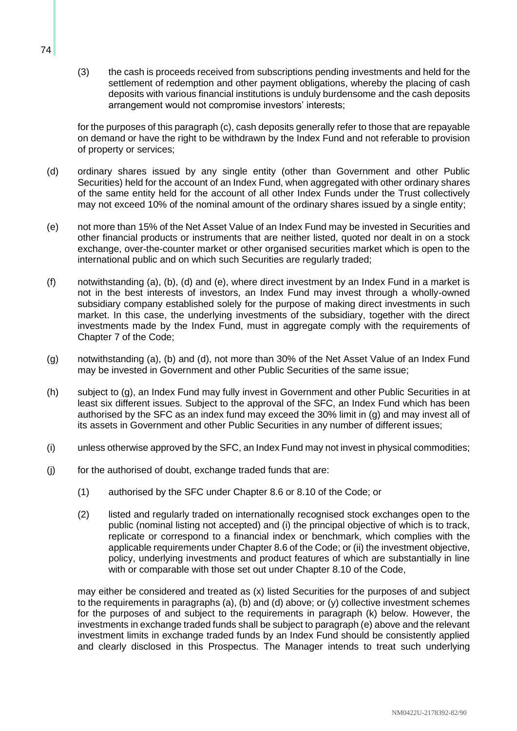(3) the cash is proceeds received from subscriptions pending investments and held for the settlement of redemption and other payment obligations, whereby the placing of cash deposits with various financial institutions is unduly burdensome and the cash deposits arrangement would not compromise investors' interests;

for the purposes of this paragraph (c), cash deposits generally refer to those that are repayable on demand or have the right to be withdrawn by the Index Fund and not referable to provision of property or services;

- (d) ordinary shares issued by any single entity (other than Government and other Public Securities) held for the account of an Index Fund, when aggregated with other ordinary shares of the same entity held for the account of all other Index Funds under the Trust collectively may not exceed 10% of the nominal amount of the ordinary shares issued by a single entity;
- (e) not more than 15% of the Net Asset Value of an Index Fund may be invested in Securities and other financial products or instruments that are neither listed, quoted nor dealt in on a stock exchange, over-the-counter market or other organised securities market which is open to the international public and on which such Securities are regularly traded;
- (f) notwithstanding (a), (b), (d) and (e), where direct investment by an Index Fund in a market is not in the best interests of investors, an Index Fund may invest through a wholly-owned subsidiary company established solely for the purpose of making direct investments in such market. In this case, the underlying investments of the subsidiary, together with the direct investments made by the Index Fund, must in aggregate comply with the requirements of Chapter 7 of the Code;
- (g) notwithstanding (a), (b) and (d), not more than 30% of the Net Asset Value of an Index Fund may be invested in Government and other Public Securities of the same issue;
- (h) subject to (g), an Index Fund may fully invest in Government and other Public Securities in at least six different issues. Subject to the approval of the SFC, an Index Fund which has been authorised by the SFC as an index fund may exceed the 30% limit in (g) and may invest all of its assets in Government and other Public Securities in any number of different issues;
- (i) unless otherwise approved by the SFC, an Index Fund may not invest in physical commodities;
- (j) for the authorised of doubt, exchange traded funds that are:
	- (1) authorised by the SFC under Chapter 8.6 or 8.10 of the Code; or
	- (2) listed and regularly traded on internationally recognised stock exchanges open to the public (nominal listing not accepted) and (i) the principal objective of which is to track, replicate or correspond to a financial index or benchmark, which complies with the applicable requirements under Chapter 8.6 of the Code; or (ii) the investment objective, policy, underlying investments and product features of which are substantially in line with or comparable with those set out under Chapter 8.10 of the Code,

may either be considered and treated as (x) listed Securities for the purposes of and subject to the requirements in paragraphs (a), (b) and (d) above; or (y) collective investment schemes for the purposes of and subject to the requirements in paragraph (k) below. However, the investments in exchange traded funds shall be subject to paragraph (e) above and the relevant investment limits in exchange traded funds by an Index Fund should be consistently applied and clearly disclosed in this Prospectus. The Manager intends to treat such underlying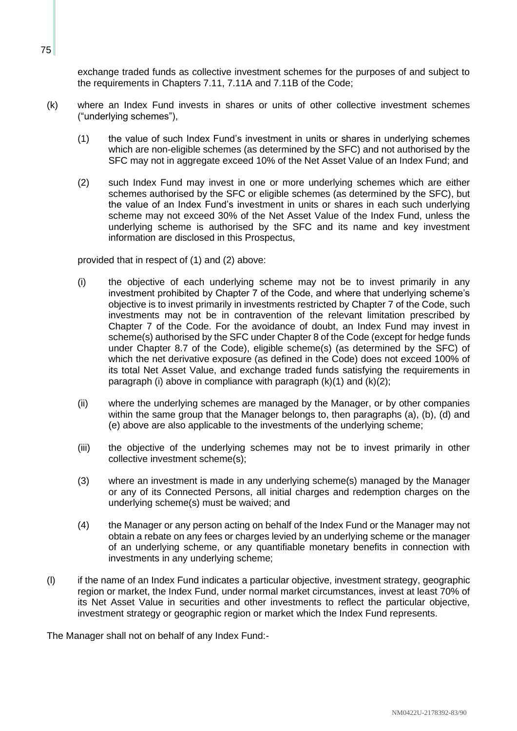exchange traded funds as collective investment schemes for the purposes of and subject to the requirements in Chapters 7.11, 7.11A and 7.11B of the Code;

- (k) where an Index Fund invests in shares or units of other collective investment schemes ("underlying schemes"),
	- (1) the value of such Index Fund's investment in units or shares in underlying schemes which are non-eligible schemes (as determined by the SFC) and not authorised by the SFC may not in aggregate exceed 10% of the Net Asset Value of an Index Fund; and
	- (2) such Index Fund may invest in one or more underlying schemes which are either schemes authorised by the SFC or eligible schemes (as determined by the SFC), but the value of an Index Fund's investment in units or shares in each such underlying scheme may not exceed 30% of the Net Asset Value of the Index Fund, unless the underlying scheme is authorised by the SFC and its name and key investment information are disclosed in this Prospectus,

provided that in respect of (1) and (2) above:

- (i) the objective of each underlying scheme may not be to invest primarily in any investment prohibited by Chapter 7 of the Code, and where that underlying scheme's objective is to invest primarily in investments restricted by Chapter 7 of the Code, such investments may not be in contravention of the relevant limitation prescribed by Chapter 7 of the Code. For the avoidance of doubt, an Index Fund may invest in scheme(s) authorised by the SFC under Chapter 8 of the Code (except for hedge funds under Chapter 8.7 of the Code), eligible scheme(s) (as determined by the SFC) of which the net derivative exposure (as defined in the Code) does not exceed 100% of its total Net Asset Value, and exchange traded funds satisfying the requirements in paragraph (i) above in compliance with paragraph  $(k)(1)$  and  $(k)(2)$ ;
- (ii) where the underlying schemes are managed by the Manager, or by other companies within the same group that the Manager belongs to, then paragraphs (a), (b), (d) and (e) above are also applicable to the investments of the underlying scheme;
- (iii) the objective of the underlying schemes may not be to invest primarily in other collective investment scheme(s);
- (3) where an investment is made in any underlying scheme(s) managed by the Manager or any of its Connected Persons, all initial charges and redemption charges on the underlying scheme(s) must be waived; and
- (4) the Manager or any person acting on behalf of the Index Fund or the Manager may not obtain a rebate on any fees or charges levied by an underlying scheme or the manager of an underlying scheme, or any quantifiable monetary benefits in connection with investments in any underlying scheme;
- (l) if the name of an Index Fund indicates a particular objective, investment strategy, geographic region or market, the Index Fund, under normal market circumstances, invest at least 70% of its Net Asset Value in securities and other investments to reflect the particular objective, investment strategy or geographic region or market which the Index Fund represents.

The Manager shall not on behalf of any Index Fund:-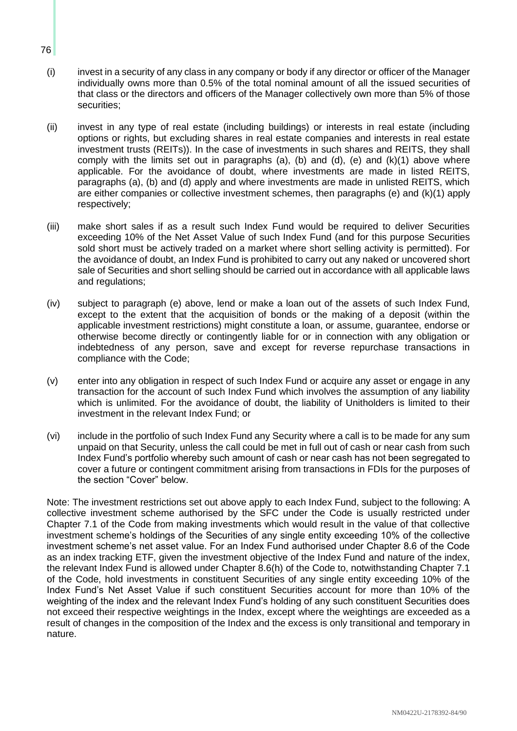- (i) invest in a security of any class in any company or body if any director or officer of the Manager individually owns more than 0.5% of the total nominal amount of all the issued securities of that class or the directors and officers of the Manager collectively own more than 5% of those securities;
- (ii) invest in any type of real estate (including buildings) or interests in real estate (including options or rights, but excluding shares in real estate companies and interests in real estate investment trusts (REITs)). In the case of investments in such shares and REITS, they shall comply with the limits set out in paragraphs (a), (b) and (d), (e) and  $(k)(1)$  above where applicable. For the avoidance of doubt, where investments are made in listed REITS, paragraphs (a), (b) and (d) apply and where investments are made in unlisted REITS, which are either companies or collective investment schemes, then paragraphs (e) and (k)(1) apply respectively;
- (iii) make short sales if as a result such Index Fund would be required to deliver Securities exceeding 10% of the Net Asset Value of such Index Fund (and for this purpose Securities sold short must be actively traded on a market where short selling activity is permitted). For the avoidance of doubt, an Index Fund is prohibited to carry out any naked or uncovered short sale of Securities and short selling should be carried out in accordance with all applicable laws and regulations;
- (iv) subject to paragraph (e) above, lend or make a loan out of the assets of such Index Fund, except to the extent that the acquisition of bonds or the making of a deposit (within the applicable investment restrictions) might constitute a loan, or assume, guarantee, endorse or otherwise become directly or contingently liable for or in connection with any obligation or indebtedness of any person, save and except for reverse repurchase transactions in compliance with the Code;
- (v) enter into any obligation in respect of such Index Fund or acquire any asset or engage in any transaction for the account of such Index Fund which involves the assumption of any liability which is unlimited. For the avoidance of doubt, the liability of Unitholders is limited to their investment in the relevant Index Fund; or
- (vi) include in the portfolio of such Index Fund any Security where a call is to be made for any sum unpaid on that Security, unless the call could be met in full out of cash or near cash from such Index Fund's portfolio whereby such amount of cash or near cash has not been segregated to cover a future or contingent commitment arising from transactions in FDIs for the purposes of the section "Cover" below.

Note: The investment restrictions set out above apply to each Index Fund, subject to the following: A collective investment scheme authorised by the SFC under the Code is usually restricted under Chapter 7.1 of the Code from making investments which would result in the value of that collective investment scheme's holdings of the Securities of any single entity exceeding 10% of the collective investment scheme's net asset value. For an Index Fund authorised under Chapter 8.6 of the Code as an index tracking ETF, given the investment objective of the Index Fund and nature of the index, the relevant Index Fund is allowed under Chapter 8.6(h) of the Code to, notwithstanding Chapter 7.1 of the Code, hold investments in constituent Securities of any single entity exceeding 10% of the Index Fund's Net Asset Value if such constituent Securities account for more than 10% of the weighting of the index and the relevant Index Fund's holding of any such constituent Securities does not exceed their respective weightings in the Index, except where the weightings are exceeded as a result of changes in the composition of the Index and the excess is only transitional and temporary in nature.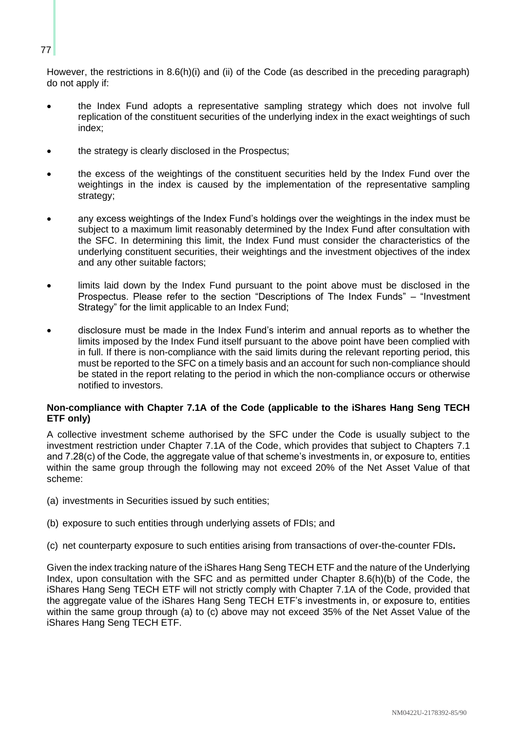### However, the restrictions in 8.6(h)(i) and (ii) of the Code (as described in the preceding paragraph) do not apply if:

- the Index Fund adopts a representative sampling strategy which does not involve full replication of the constituent securities of the underlying index in the exact weightings of such index;
- the strategy is clearly disclosed in the Prospectus;
- the excess of the weightings of the constituent securities held by the Index Fund over the weightings in the index is caused by the implementation of the representative sampling strategy;
- any excess weightings of the Index Fund's holdings over the weightings in the index must be subject to a maximum limit reasonably determined by the Index Fund after consultation with the SFC. In determining this limit, the Index Fund must consider the characteristics of the underlying constituent securities, their weightings and the investment objectives of the index and any other suitable factors;
- limits laid down by the Index Fund pursuant to the point above must be disclosed in the Prospectus. Please refer to the section "Descriptions of The Index Funds" – "Investment Strategy" for the limit applicable to an Index Fund;
- disclosure must be made in the Index Fund's interim and annual reports as to whether the limits imposed by the Index Fund itself pursuant to the above point have been complied with in full. If there is non-compliance with the said limits during the relevant reporting period, this must be reported to the SFC on a timely basis and an account for such non-compliance should be stated in the report relating to the period in which the non-compliance occurs or otherwise notified to investors.

## **Non-compliance with Chapter 7.1A of the Code (applicable to the iShares Hang Seng TECH ETF only)**

A collective investment scheme authorised by the SFC under the Code is usually subject to the investment restriction under Chapter 7.1A of the Code, which provides that subject to Chapters 7.1 and 7.28(c) of the Code, the aggregate value of that scheme's investments in, or exposure to, entities within the same group through the following may not exceed 20% of the Net Asset Value of that scheme:

- (a) investments in Securities issued by such entities;
- (b) exposure to such entities through underlying assets of FDIs; and
- (c) net counterparty exposure to such entities arising from transactions of over-the-counter FDIs**.**

Given the index tracking nature of the iShares Hang Seng TECH ETF and the nature of the Underlying Index, upon consultation with the SFC and as permitted under Chapter 8.6(h)(b) of the Code, the iShares Hang Seng TECH ETF will not strictly comply with Chapter 7.1A of the Code, provided that the aggregate value of the iShares Hang Seng TECH ETF's investments in, or exposure to, entities within the same group through (a) to (c) above may not exceed 35% of the Net Asset Value of the iShares Hang Seng TECH ETF.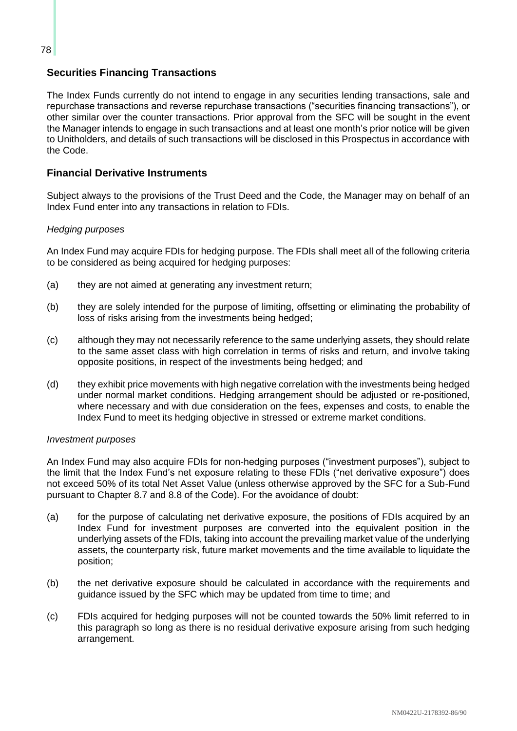# **Securities Financing Transactions**

The Index Funds currently do not intend to engage in any securities lending transactions, sale and repurchase transactions and reverse repurchase transactions ("securities financing transactions"), or other similar over the counter transactions. Prior approval from the SFC will be sought in the event the Manager intends to engage in such transactions and at least one month's prior notice will be given to Unitholders, and details of such transactions will be disclosed in this Prospectus in accordance with the Code.

# **Financial Derivative Instruments**

Subject always to the provisions of the Trust Deed and the Code, the Manager may on behalf of an Index Fund enter into any transactions in relation to FDIs.

#### *Hedging purposes*

An Index Fund may acquire FDIs for hedging purpose. The FDIs shall meet all of the following criteria to be considered as being acquired for hedging purposes:

- (a) they are not aimed at generating any investment return;
- (b) they are solely intended for the purpose of limiting, offsetting or eliminating the probability of loss of risks arising from the investments being hedged;
- (c) although they may not necessarily reference to the same underlying assets, they should relate to the same asset class with high correlation in terms of risks and return, and involve taking opposite positions, in respect of the investments being hedged; and
- (d) they exhibit price movements with high negative correlation with the investments being hedged under normal market conditions. Hedging arrangement should be adjusted or re-positioned, where necessary and with due consideration on the fees, expenses and costs, to enable the Index Fund to meet its hedging objective in stressed or extreme market conditions.

#### *Investment purposes*

An Index Fund may also acquire FDIs for non-hedging purposes ("investment purposes"), subject to the limit that the Index Fund's net exposure relating to these FDIs ("net derivative exposure") does not exceed 50% of its total Net Asset Value (unless otherwise approved by the SFC for a Sub-Fund pursuant to Chapter 8.7 and 8.8 of the Code). For the avoidance of doubt:

- (a) for the purpose of calculating net derivative exposure, the positions of FDIs acquired by an Index Fund for investment purposes are converted into the equivalent position in the underlying assets of the FDIs, taking into account the prevailing market value of the underlying assets, the counterparty risk, future market movements and the time available to liquidate the position;
- (b) the net derivative exposure should be calculated in accordance with the requirements and guidance issued by the SFC which may be updated from time to time; and
- (c) FDIs acquired for hedging purposes will not be counted towards the 50% limit referred to in this paragraph so long as there is no residual derivative exposure arising from such hedging arrangement.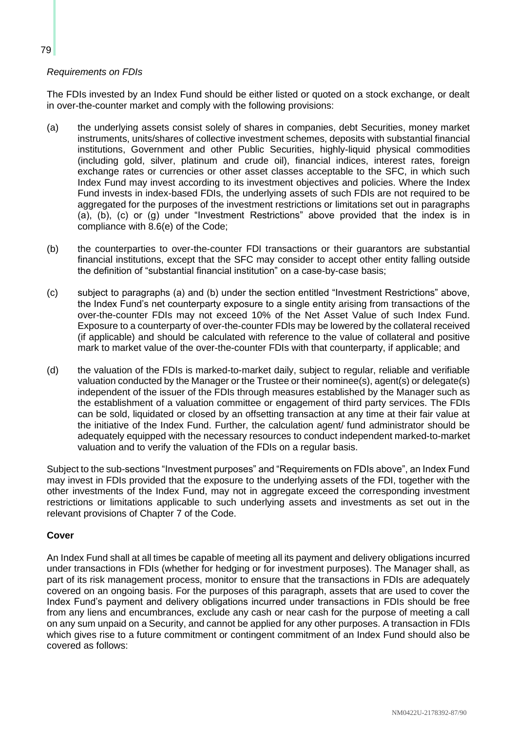## *Requirements on FDIs*

The FDIs invested by an Index Fund should be either listed or quoted on a stock exchange, or dealt in over-the-counter market and comply with the following provisions:

- (a) the underlying assets consist solely of shares in companies, debt Securities, money market instruments, units/shares of collective investment schemes, deposits with substantial financial institutions, Government and other Public Securities, highly-liquid physical commodities (including gold, silver, platinum and crude oil), financial indices, interest rates, foreign exchange rates or currencies or other asset classes acceptable to the SFC, in which such Index Fund may invest according to its investment objectives and policies. Where the Index Fund invests in index-based FDIs, the underlying assets of such FDIs are not required to be aggregated for the purposes of the investment restrictions or limitations set out in paragraphs (a), (b), (c) or (g) under "Investment Restrictions" above provided that the index is in compliance with 8.6(e) of the Code;
- (b) the counterparties to over-the-counter FDI transactions or their guarantors are substantial financial institutions, except that the SFC may consider to accept other entity falling outside the definition of "substantial financial institution" on a case-by-case basis;
- (c) subject to paragraphs (a) and (b) under the section entitled "Investment Restrictions" above, the Index Fund's net counterparty exposure to a single entity arising from transactions of the over-the-counter FDIs may not exceed 10% of the Net Asset Value of such Index Fund. Exposure to a counterparty of over-the-counter FDIs may be lowered by the collateral received (if applicable) and should be calculated with reference to the value of collateral and positive mark to market value of the over-the-counter FDIs with that counterparty, if applicable; and
- (d) the valuation of the FDIs is marked-to-market daily, subject to regular, reliable and verifiable valuation conducted by the Manager or the Trustee or their nominee(s), agent(s) or delegate(s) independent of the issuer of the FDIs through measures established by the Manager such as the establishment of a valuation committee or engagement of third party services. The FDIs can be sold, liquidated or closed by an offsetting transaction at any time at their fair value at the initiative of the Index Fund. Further, the calculation agent/ fund administrator should be adequately equipped with the necessary resources to conduct independent marked-to-market valuation and to verify the valuation of the FDIs on a regular basis.

Subject to the sub-sections "Investment purposes" and "Requirements on FDIs above", an Index Fund may invest in FDIs provided that the exposure to the underlying assets of the FDI, together with the other investments of the Index Fund, may not in aggregate exceed the corresponding investment restrictions or limitations applicable to such underlying assets and investments as set out in the relevant provisions of Chapter 7 of the Code.

## **Cover**

An Index Fund shall at all times be capable of meeting all its payment and delivery obligations incurred under transactions in FDIs (whether for hedging or for investment purposes). The Manager shall, as part of its risk management process, monitor to ensure that the transactions in FDIs are adequately covered on an ongoing basis. For the purposes of this paragraph, assets that are used to cover the Index Fund's payment and delivery obligations incurred under transactions in FDIs should be free from any liens and encumbrances, exclude any cash or near cash for the purpose of meeting a call on any sum unpaid on a Security, and cannot be applied for any other purposes. A transaction in FDIs which gives rise to a future commitment or contingent commitment of an Index Fund should also be covered as follows: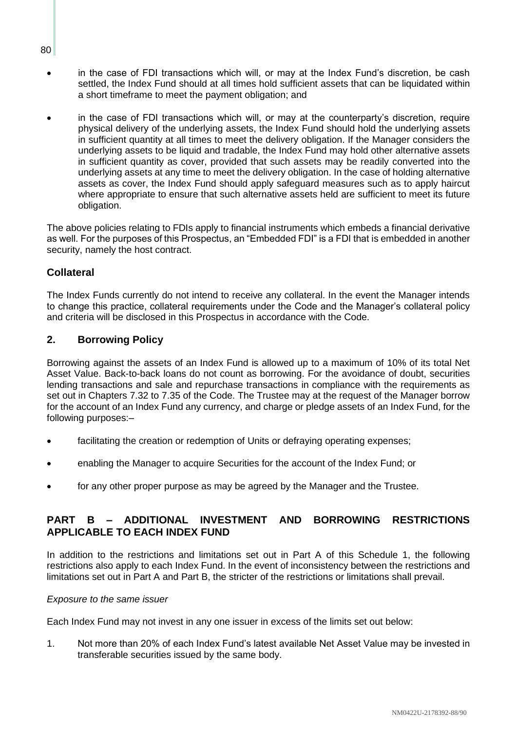- in the case of FDI transactions which will, or may at the Index Fund's discretion, be cash settled, the Index Fund should at all times hold sufficient assets that can be liquidated within a short timeframe to meet the payment obligation; and
- in the case of FDI transactions which will, or may at the counterparty's discretion, require physical delivery of the underlying assets, the Index Fund should hold the underlying assets in sufficient quantity at all times to meet the delivery obligation. If the Manager considers the underlying assets to be liquid and tradable, the Index Fund may hold other alternative assets in sufficient quantity as cover, provided that such assets may be readily converted into the underlying assets at any time to meet the delivery obligation. In the case of holding alternative assets as cover, the Index Fund should apply safeguard measures such as to apply haircut where appropriate to ensure that such alternative assets held are sufficient to meet its future obligation.

The above policies relating to FDIs apply to financial instruments which embeds a financial derivative as well. For the purposes of this Prospectus, an "Embedded FDI" is a FDI that is embedded in another security, namely the host contract.

# **Collateral**

The Index Funds currently do not intend to receive any collateral. In the event the Manager intends to change this practice, collateral requirements under the Code and the Manager's collateral policy and criteria will be disclosed in this Prospectus in accordance with the Code.

## **2. Borrowing Policy**

Borrowing against the assets of an Index Fund is allowed up to a maximum of 10% of its total Net Asset Value. Back-to-back loans do not count as borrowing. For the avoidance of doubt, securities lending transactions and sale and repurchase transactions in compliance with the requirements as set out in Chapters 7.32 to 7.35 of the Code. The Trustee may at the request of the Manager borrow for the account of an Index Fund any currency, and charge or pledge assets of an Index Fund, for the following purposes:–

- facilitating the creation or redemption of Units or defraying operating expenses;
- enabling the Manager to acquire Securities for the account of the Index Fund; or
- for any other proper purpose as may be agreed by the Manager and the Trustee.

# **PART B – ADDITIONAL INVESTMENT AND BORROWING RESTRICTIONS APPLICABLE TO EACH INDEX FUND**

In addition to the restrictions and limitations set out in Part A of this Schedule 1, the following restrictions also apply to each Index Fund. In the event of inconsistency between the restrictions and limitations set out in Part A and Part B, the stricter of the restrictions or limitations shall prevail.

#### *Exposure to the same issuer*

Each Index Fund may not invest in any one issuer in excess of the limits set out below:

1. Not more than 20% of each Index Fund's latest available Net Asset Value may be invested in transferable securities issued by the same body.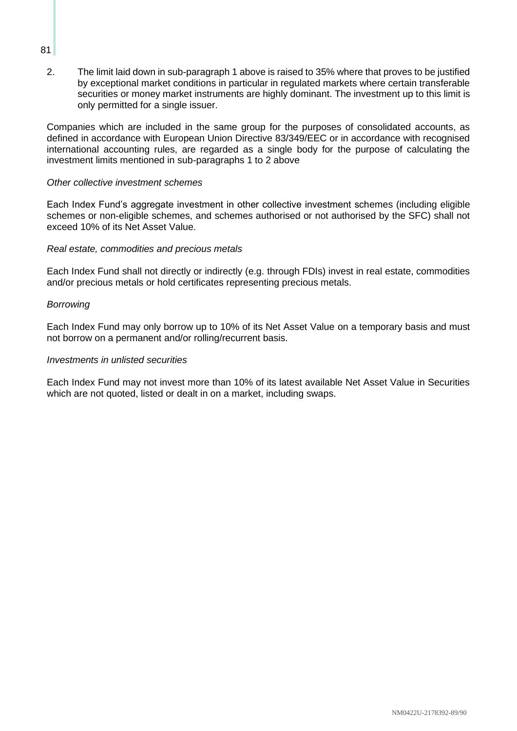2. The limit laid down in sub-paragraph 1 above is raised to 35% where that proves to be justified by exceptional market conditions in particular in regulated markets where certain transferable securities or money market instruments are highly dominant. The investment up to this limit is only permitted for a single issuer.

Companies which are included in the same group for the purposes of consolidated accounts, as defined in accordance with European Union Directive 83/349/EEC or in accordance with recognised international accounting rules, are regarded as a single body for the purpose of calculating the investment limits mentioned in sub-paragraphs 1 to 2 above

#### *Other collective investment schemes*

Each Index Fund's aggregate investment in other collective investment schemes (including eligible schemes or non-eligible schemes, and schemes authorised or not authorised by the SFC) shall not exceed 10% of its Net Asset Value.

#### *Real estate, commodities and precious metals*

Each Index Fund shall not directly or indirectly (e.g. through FDIs) invest in real estate, commodities and/or precious metals or hold certificates representing precious metals.

#### *Borrowing*

Each Index Fund may only borrow up to 10% of its Net Asset Value on a temporary basis and must not borrow on a permanent and/or rolling/recurrent basis.

#### *Investments in unlisted securities*

Each Index Fund may not invest more than 10% of its latest available Net Asset Value in Securities which are not quoted, listed or dealt in on a market, including swaps.